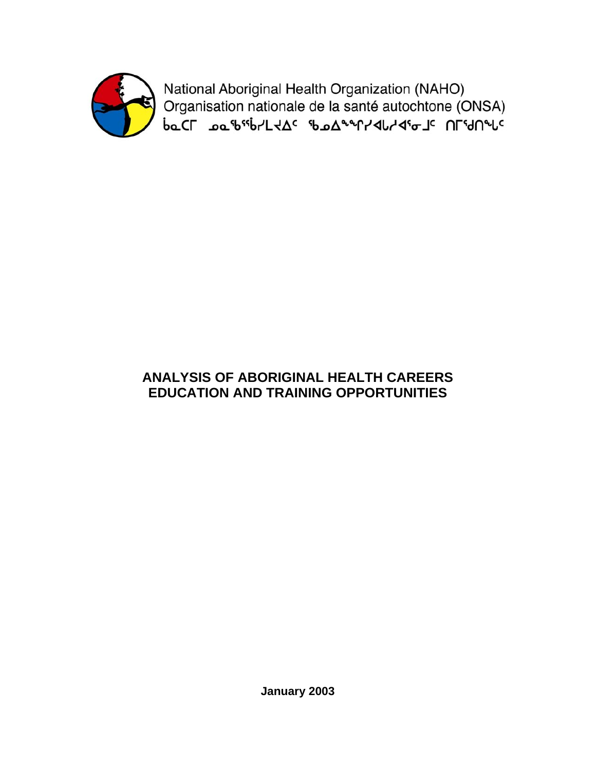

National Aboriginal Health Organization (NAHO) 

# **ANALYSIS OF ABORIGINAL HEALTH CAREERS EDUCATION AND TRAINING OPPORTUNITIES**

**January 2003**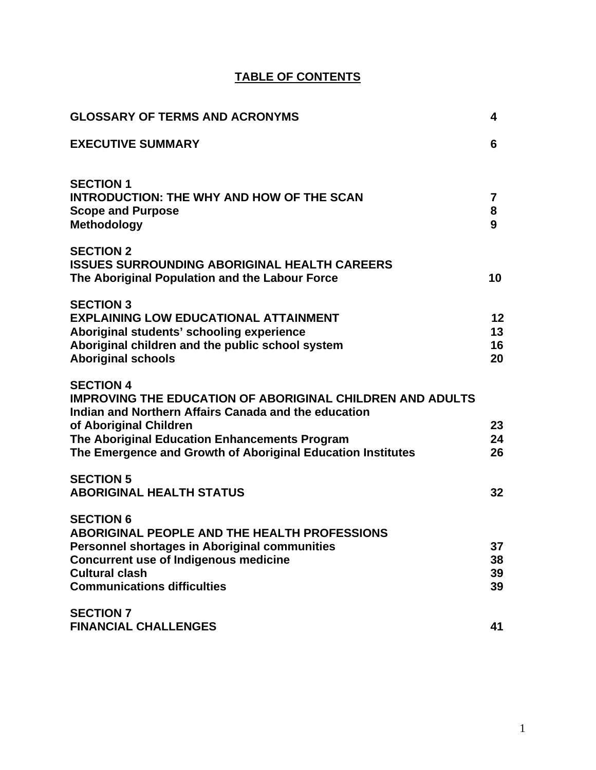# **TABLE OF CONTENTS**

| <b>GLOSSARY OF TERMS AND ACRONYMS</b>                                                                                                                                                                                                                                                  | 4                    |
|----------------------------------------------------------------------------------------------------------------------------------------------------------------------------------------------------------------------------------------------------------------------------------------|----------------------|
| <b>EXECUTIVE SUMMARY</b>                                                                                                                                                                                                                                                               | 6                    |
| <b>SECTION 1</b><br><b>INTRODUCTION: THE WHY AND HOW OF THE SCAN</b><br><b>Scope and Purpose</b><br><b>Methodology</b>                                                                                                                                                                 | 7<br>8<br>9          |
| <b>SECTION 2</b><br><b>ISSUES SURROUNDING ABORIGINAL HEALTH CAREERS</b><br>The Aboriginal Population and the Labour Force                                                                                                                                                              | 10                   |
| <b>SECTION 3</b><br><b>EXPLAINING LOW EDUCATIONAL ATTAINMENT</b><br>Aboriginal students' schooling experience<br>Aboriginal children and the public school system<br><b>Aboriginal schools</b>                                                                                         | 12<br>13<br>16<br>20 |
| <b>SECTION 4</b><br><b>IMPROVING THE EDUCATION OF ABORIGINAL CHILDREN AND ADULTS</b><br>Indian and Northern Affairs Canada and the education<br>of Aboriginal Children<br>The Aboriginal Education Enhancements Program<br>The Emergence and Growth of Aboriginal Education Institutes | 23<br>24<br>26       |
| <b>SECTION 5</b><br><b>ABORIGINAL HEALTH STATUS</b>                                                                                                                                                                                                                                    | 32                   |
| <b>SECTION 6</b><br><b>ABORIGINAL PEOPLE AND THE HEALTH PROFESSIONS</b><br><b>Personnel shortages in Aboriginal communities</b><br><b>Concurrent use of Indigenous medicine</b><br><b>Cultural clash</b><br><b>Communications difficulties</b>                                         | 37<br>38<br>39<br>39 |
| <b>SECTION 7</b><br><b>FINANCIAL CHALLENGES</b>                                                                                                                                                                                                                                        | 41                   |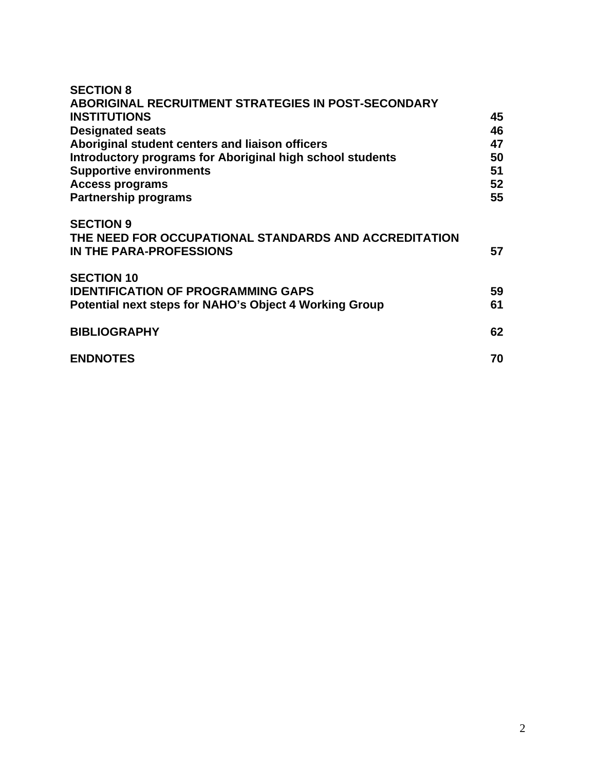| <b>SECTION 8</b><br><b>ABORIGINAL RECRUITMENT STRATEGIES IN POST-SECONDARY</b><br><b>INSTITUTIONS</b><br><b>Designated seats</b><br>Aboriginal student centers and liaison officers<br>Introductory programs for Aboriginal high school students<br><b>Supportive environments</b><br><b>Access programs</b><br><b>Partnership programs</b> | 45<br>46<br>47<br>50<br>51<br>52<br>55 |
|---------------------------------------------------------------------------------------------------------------------------------------------------------------------------------------------------------------------------------------------------------------------------------------------------------------------------------------------|----------------------------------------|
| <b>SECTION 9</b><br>THE NEED FOR OCCUPATIONAL STANDARDS AND ACCREDITATION<br><b>IN THE PARA-PROFESSIONS</b>                                                                                                                                                                                                                                 | 57                                     |
| <b>SECTION 10</b><br><b>IDENTIFICATION OF PROGRAMMING GAPS</b><br>Potential next steps for NAHO's Object 4 Working Group                                                                                                                                                                                                                    | 59<br>61                               |
| <b>BIBLIOGRAPHY</b>                                                                                                                                                                                                                                                                                                                         | 62                                     |
| <b>ENDNOTES</b>                                                                                                                                                                                                                                                                                                                             | 70                                     |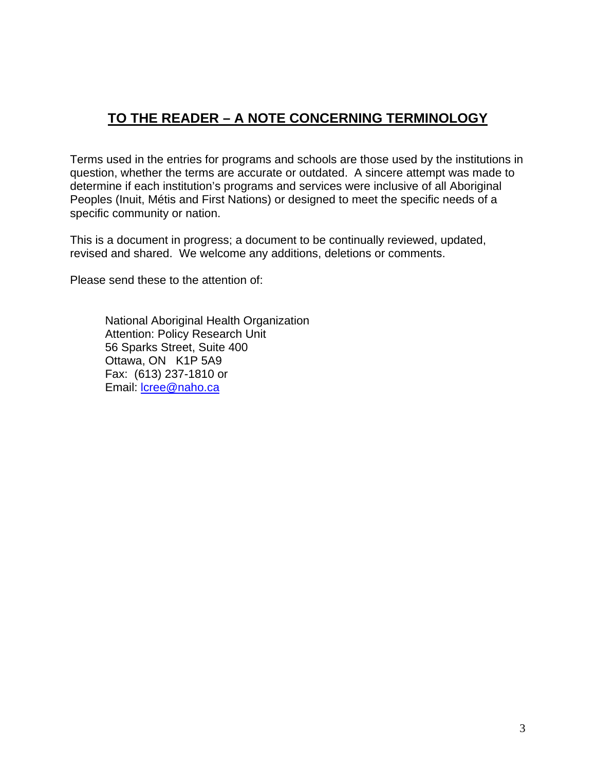# **TO THE READER – A NOTE CONCERNING TERMINOLOGY**

Terms used in the entries for programs and schools are those used by the institutions in question, whether the terms are accurate or outdated. A sincere attempt was made to determine if each institution's programs and services were inclusive of all Aboriginal Peoples (Inuit, Métis and First Nations) or designed to meet the specific needs of a specific community or nation.

This is a document in progress; a document to be continually reviewed, updated, revised and shared. We welcome any additions, deletions or comments.

Please send these to the attention of:

 National Aboriginal Health Organization Attention: Policy Research Unit 56 Sparks Street, Suite 400 Ottawa, ON K1P 5A9 Fax: (613) 237-1810 or Email: lcree@naho.ca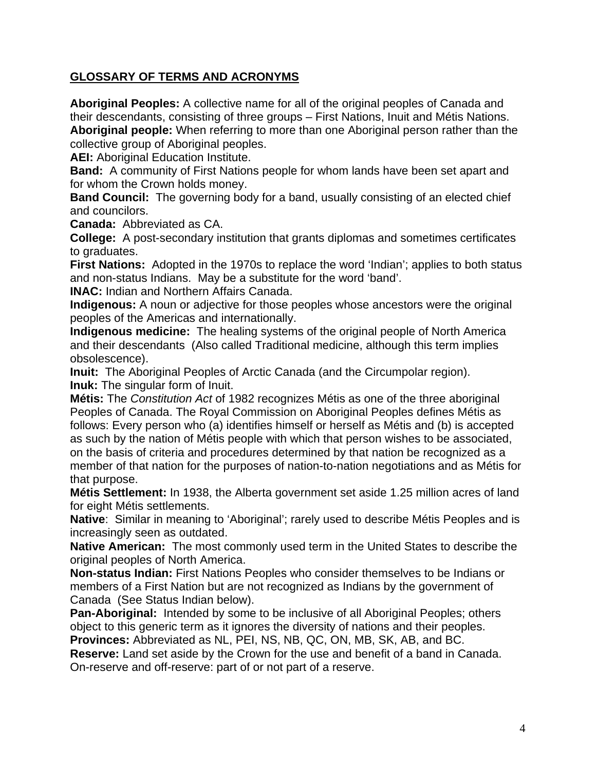# **GLOSSARY OF TERMS AND ACRONYMS**

**Aboriginal Peoples:** A collective name for all of the original peoples of Canada and their descendants, consisting of three groups – First Nations, Inuit and Métis Nations. **Aboriginal people:** When referring to more than one Aboriginal person rather than the collective group of Aboriginal peoples.

**AEI:** Aboriginal Education Institute.

**Band:** A community of First Nations people for whom lands have been set apart and for whom the Crown holds money.

**Band Council:** The governing body for a band, usually consisting of an elected chief and councilors.

**Canada:** Abbreviated as CA.

**College:** A post-secondary institution that grants diplomas and sometimes certificates to graduates.

**First Nations:** Adopted in the 1970s to replace the word 'Indian'; applies to both status and non-status Indians. May be a substitute for the word 'band'.

**INAC:** Indian and Northern Affairs Canada.

**Indigenous:** A noun or adjective for those peoples whose ancestors were the original peoples of the Americas and internationally.

**Indigenous medicine:** The healing systems of the original people of North America and their descendants (Also called Traditional medicine, although this term implies obsolescence).

**Inuit:** The Aboriginal Peoples of Arctic Canada (and the Circumpolar region). **Inuk:** The singular form of Inuit.

**Métis:** The *Constitution Act* of 1982 recognizes Métis as one of the three aboriginal Peoples of Canada. The Royal Commission on Aboriginal Peoples defines Métis as follows: Every person who (a) identifies himself or herself as Métis and (b) is accepted as such by the nation of Métis people with which that person wishes to be associated, on the basis of criteria and procedures determined by that nation be recognized as a member of that nation for the purposes of nation-to-nation negotiations and as Métis for that purpose.

**Métis Settlement:** In 1938, the Alberta government set aside 1.25 million acres of land for eight Métis settlements.

**Native**: Similar in meaning to 'Aboriginal'; rarely used to describe Métis Peoples and is increasingly seen as outdated.

**Native American:** The most commonly used term in the United States to describe the original peoples of North America.

**Non-status Indian:** First Nations Peoples who consider themselves to be Indians or members of a First Nation but are not recognized as Indians by the government of Canada (See Status Indian below).

**Pan-Aboriginal:** Intended by some to be inclusive of all Aboriginal Peoples; others object to this generic term as it ignores the diversity of nations and their peoples.

**Provinces:** Abbreviated as NL, PEI, NS, NB, QC, ON, MB, SK, AB, and BC. **Reserve:** Land set aside by the Crown for the use and benefit of a band in Canada.

On-reserve and off-reserve: part of or not part of a reserve.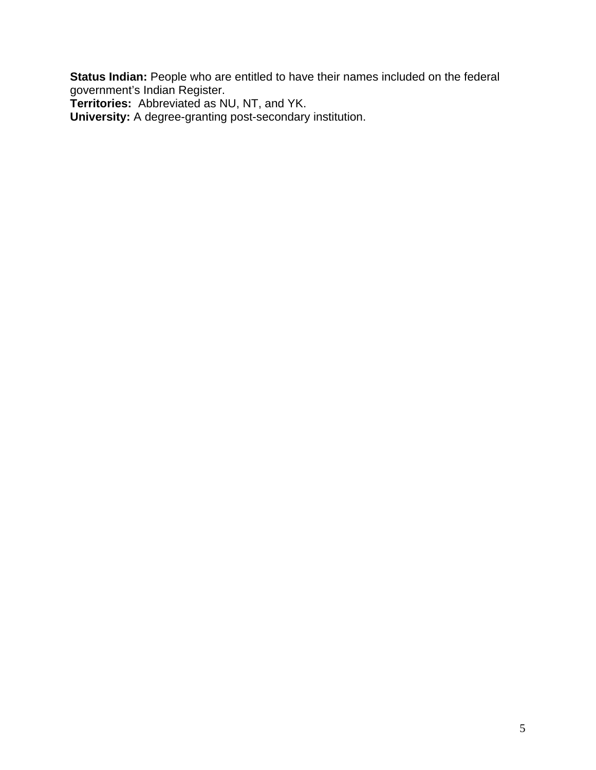**Status Indian:** People who are entitled to have their names included on the federal government's Indian Register.

**Territories:** Abbreviated as NU, NT, and YK.

**University:** A degree-granting post-secondary institution.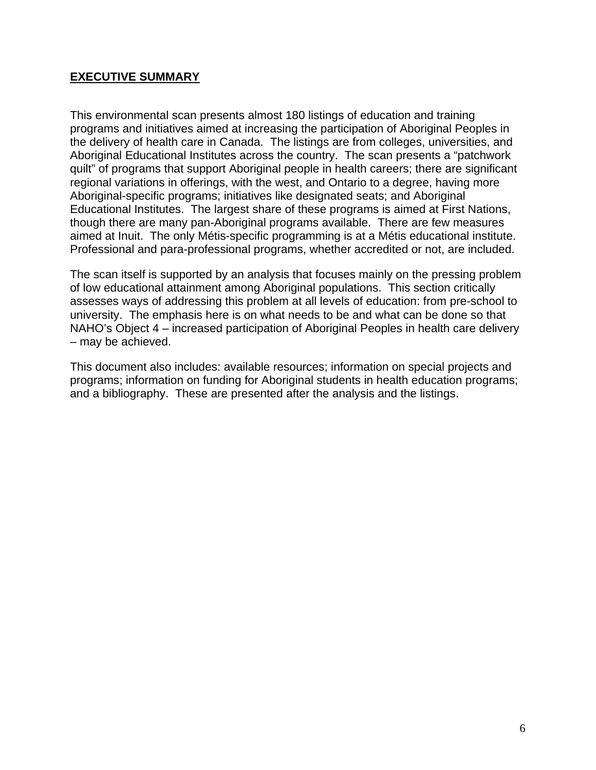#### **EXECUTIVE SUMMARY**

This environmental scan presents almost 180 listings of education and training programs and initiatives aimed at increasing the participation of Aboriginal Peoples in the delivery of health care in Canada. The listings are from colleges, universities, and Aboriginal Educational Institutes across the country. The scan presents a "patchwork quilt" of programs that support Aboriginal people in health careers; there are significant regional variations in offerings, with the west, and Ontario to a degree, having more Aboriginal-specific programs; initiatives like designated seats; and Aboriginal Educational Institutes. The largest share of these programs is aimed at First Nations, though there are many pan-Aboriginal programs available. There are few measures aimed at Inuit. The only Métis-specific programming is at a Métis educational institute. Professional and para-professional programs, whether accredited or not, are included.

The scan itself is supported by an analysis that focuses mainly on the pressing problem of low educational attainment among Aboriginal populations. This section critically assesses ways of addressing this problem at all levels of education: from pre-school to university. The emphasis here is on what needs to be and what can be done so that NAHO's Object 4 – increased participation of Aboriginal Peoples in health care delivery – may be achieved.

This document also includes: available resources; information on special projects and programs; information on funding for Aboriginal students in health education programs; and a bibliography. These are presented after the analysis and the listings.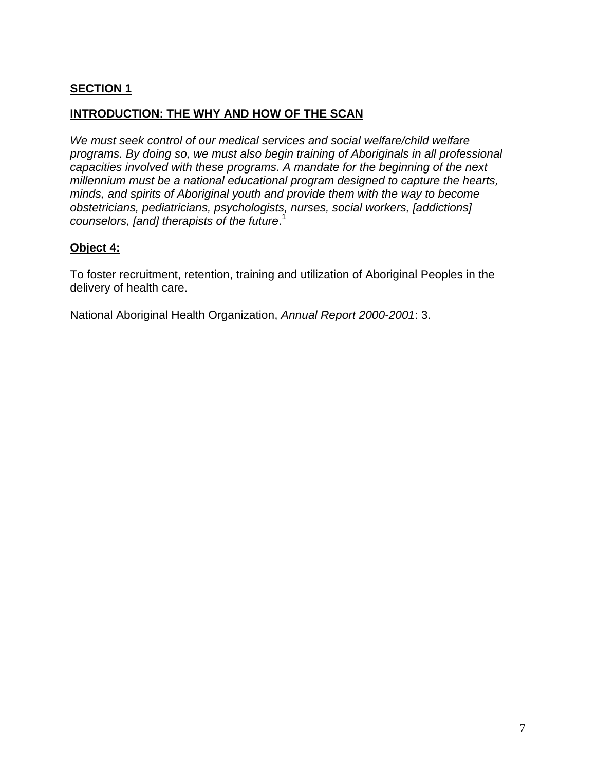# **SECTION 1**

#### **INTRODUCTION: THE WHY AND HOW OF THE SCAN**

*We must seek control of our medical services and social welfare/child welfare programs. By doing so, we must also begin training of Aboriginals in all professional capacities involved with these programs. A mandate for the beginning of the next millennium must be a national educational program designed to capture the hearts, minds, and spirits of Aboriginal youth and provide them with the way to become obstetricians, pediatricians, psychologists, nurses, social workers, [addictions] counselors, [and] therapists of the future*. 1

#### **Object 4:**

To foster recruitment, retention, training and utilization of Aboriginal Peoples in the delivery of health care.

National Aboriginal Health Organization, *Annual Report 2000-2001*: 3.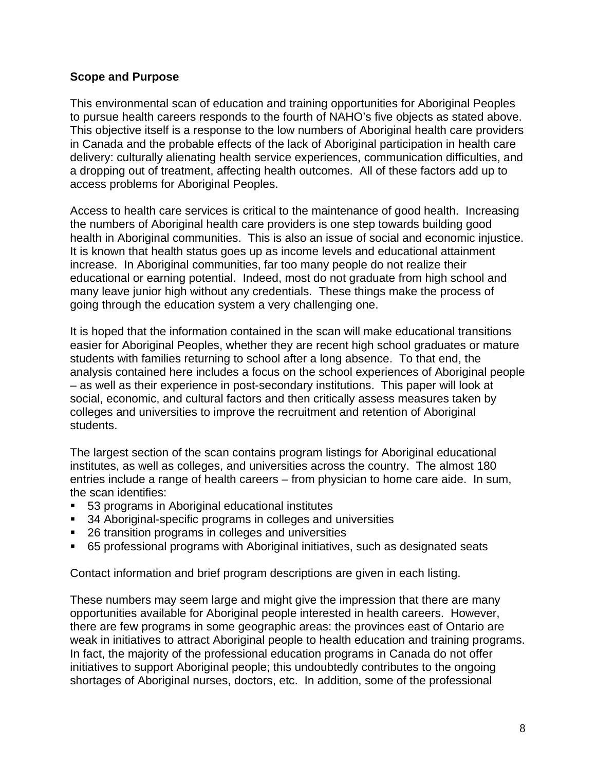#### **Scope and Purpose**

This environmental scan of education and training opportunities for Aboriginal Peoples to pursue health careers responds to the fourth of NAHO's five objects as stated above. This objective itself is a response to the low numbers of Aboriginal health care providers in Canada and the probable effects of the lack of Aboriginal participation in health care delivery: culturally alienating health service experiences, communication difficulties, and a dropping out of treatment, affecting health outcomes. All of these factors add up to access problems for Aboriginal Peoples.

Access to health care services is critical to the maintenance of good health. Increasing the numbers of Aboriginal health care providers is one step towards building good health in Aboriginal communities. This is also an issue of social and economic injustice. It is known that health status goes up as income levels and educational attainment increase. In Aboriginal communities, far too many people do not realize their educational or earning potential. Indeed, most do not graduate from high school and many leave junior high without any credentials. These things make the process of going through the education system a very challenging one.

It is hoped that the information contained in the scan will make educational transitions easier for Aboriginal Peoples, whether they are recent high school graduates or mature students with families returning to school after a long absence. To that end, the analysis contained here includes a focus on the school experiences of Aboriginal people – as well as their experience in post-secondary institutions. This paper will look at social, economic, and cultural factors and then critically assess measures taken by colleges and universities to improve the recruitment and retention of Aboriginal students.

The largest section of the scan contains program listings for Aboriginal educational institutes, as well as colleges, and universities across the country. The almost 180 entries include a range of health careers – from physician to home care aide. In sum, the scan identifies:

- 53 programs in Aboriginal educational institutes
- 34 Aboriginal-specific programs in colleges and universities
- 26 transition programs in colleges and universities
- 65 professional programs with Aboriginal initiatives, such as designated seats

Contact information and brief program descriptions are given in each listing.

These numbers may seem large and might give the impression that there are many opportunities available for Aboriginal people interested in health careers. However, there are few programs in some geographic areas: the provinces east of Ontario are weak in initiatives to attract Aboriginal people to health education and training programs. In fact, the majority of the professional education programs in Canada do not offer initiatives to support Aboriginal people; this undoubtedly contributes to the ongoing shortages of Aboriginal nurses, doctors, etc. In addition, some of the professional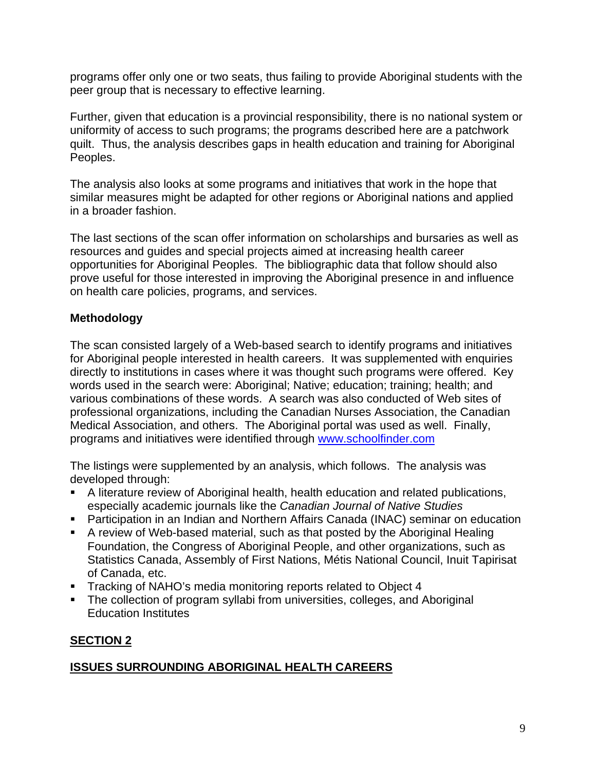programs offer only one or two seats, thus failing to provide Aboriginal students with the peer group that is necessary to effective learning.

Further, given that education is a provincial responsibility, there is no national system or uniformity of access to such programs; the programs described here are a patchwork quilt. Thus, the analysis describes gaps in health education and training for Aboriginal Peoples.

The analysis also looks at some programs and initiatives that work in the hope that similar measures might be adapted for other regions or Aboriginal nations and applied in a broader fashion.

The last sections of the scan offer information on scholarships and bursaries as well as resources and guides and special projects aimed at increasing health career opportunities for Aboriginal Peoples. The bibliographic data that follow should also prove useful for those interested in improving the Aboriginal presence in and influence on health care policies, programs, and services.

# **Methodology**

The scan consisted largely of a Web-based search to identify programs and initiatives for Aboriginal people interested in health careers. It was supplemented with enquiries directly to institutions in cases where it was thought such programs were offered. Key words used in the search were: Aboriginal; Native; education; training; health; and various combinations of these words. A search was also conducted of Web sites of professional organizations, including the Canadian Nurses Association, the Canadian Medical Association, and others. The Aboriginal portal was used as well. Finally, programs and initiatives were identified through www.schoolfinder.com

The listings were supplemented by an analysis, which follows. The analysis was developed through:

- A literature review of Aboriginal health, health education and related publications, especially academic journals like the *Canadian Journal of Native Studies*
- Participation in an Indian and Northern Affairs Canada (INAC) seminar on education
- A review of Web-based material, such as that posted by the Aboriginal Healing Foundation, the Congress of Aboriginal People, and other organizations, such as Statistics Canada, Assembly of First Nations, Métis National Council, Inuit Tapirisat of Canada, etc.
- **Tracking of NAHO's media monitoring reports related to Object 4**
- The collection of program syllabi from universities, colleges, and Aboriginal Education Institutes

# **SECTION 2**

### **ISSUES SURROUNDING ABORIGINAL HEALTH CAREERS**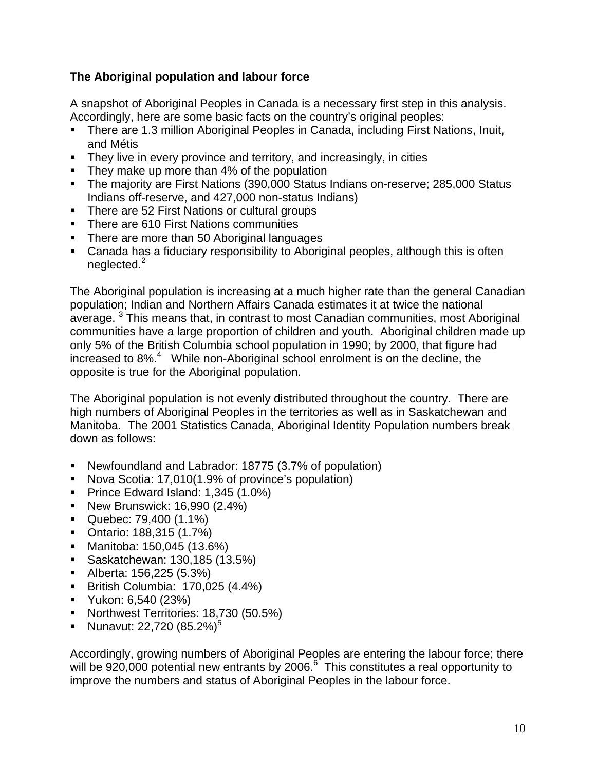# **The Aboriginal population and labour force**

A snapshot of Aboriginal Peoples in Canada is a necessary first step in this analysis. Accordingly, here are some basic facts on the country's original peoples:

- There are 1.3 million Aboriginal Peoples in Canada, including First Nations, Inuit, and Métis
- **They live in every province and territory, and increasingly, in cities**
- They make up more than 4% of the population
- The majority are First Nations (390,000 Status Indians on-reserve; 285,000 Status Indians off-reserve, and 427,000 non-status Indians)
- There are 52 First Nations or cultural groups
- **There are 610 First Nations communities**
- There are more than 50 Aboriginal languages
- Canada has a fiduciary responsibility to Aboriginal peoples, although this is often neglected.<sup>2</sup>

The Aboriginal population is increasing at a much higher rate than the general Canadian population; Indian and Northern Affairs Canada estimates it at twice the national average.<sup>3</sup> This means that, in contrast to most Canadian communities, most Aboriginal communities have a large proportion of children and youth. Aboriginal children made up only 5% of the British Columbia school population in 1990; by 2000, that figure had increased to 8%.<sup>4</sup> While non-Aboriginal school enrolment is on the decline, the opposite is true for the Aboriginal population.

The Aboriginal population is not evenly distributed throughout the country. There are high numbers of Aboriginal Peoples in the territories as well as in Saskatchewan and Manitoba. The 2001 Statistics Canada, Aboriginal Identity Population numbers break down as follows:

- Newfoundland and Labrador: 18775 (3.7% of population)
- Nova Scotia: 17,010(1.9% of province's population)
- Prince Edward Island: 1,345 (1.0%)
- **New Brunswick: 16,990 (2.4%)**
- Quebec: 79,400 (1.1%)
- Ontario: 188,315 (1.7%)
- Manitoba: 150,045 (13.6%)
- Saskatchewan: 130,185 (13.5%)
- Alberta: 156,225 (5.3%)
- British Columbia: 170,025 (4.4%)
- **Yukon: 6,540 (23%)**
- Northwest Territories: 18,730 (50.5%)
- Nunavut: 22,720  $(85.2\%)^5$

Accordingly, growing numbers of Aboriginal Peoples are entering the labour force; there will be 920,000 potential new entrants by 2006.<sup>6</sup> This constitutes a real opportunity to improve the numbers and status of Aboriginal Peoples in the labour force.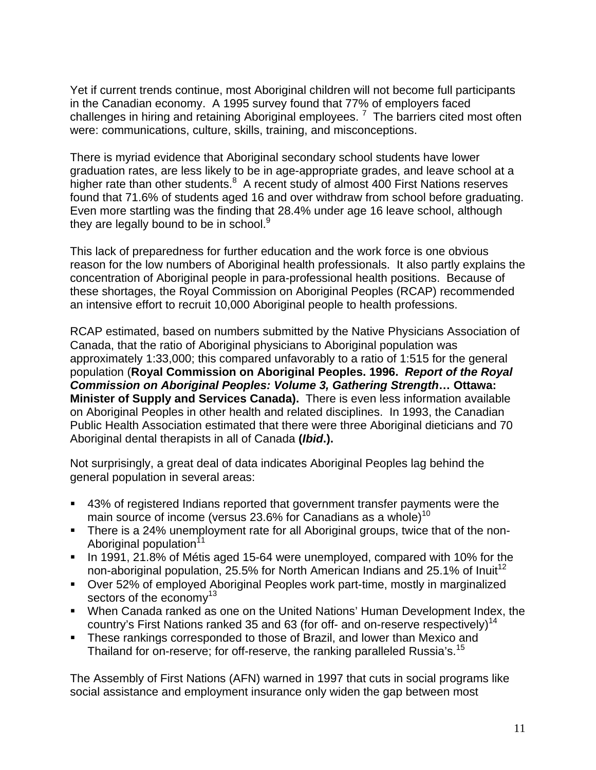Yet if current trends continue, most Aboriginal children will not become full participants in the Canadian economy. A 1995 survey found that 77% of employers faced challenges in hiring and retaining Aboriginal employees.<sup>7</sup> The barriers cited most often were: communications, culture, skills, training, and misconceptions.

There is myriad evidence that Aboriginal secondary school students have lower graduation rates, are less likely to be in age-appropriate grades, and leave school at a higher rate than other students.<sup>8</sup> A recent study of almost 400 First Nations reserves found that 71.6% of students aged 16 and over withdraw from school before graduating. Even more startling was the finding that 28.4% under age 16 leave school, although they are legally bound to be in school.<sup>9</sup>

This lack of preparedness for further education and the work force is one obvious reason for the low numbers of Aboriginal health professionals. It also partly explains the concentration of Aboriginal people in para-professional health positions. Because of these shortages, the Royal Commission on Aboriginal Peoples (RCAP) recommended an intensive effort to recruit 10,000 Aboriginal people to health professions.

RCAP estimated, based on numbers submitted by the Native Physicians Association of Canada, that the ratio of Aboriginal physicians to Aboriginal population was approximately 1:33,000; this compared unfavorably to a ratio of 1:515 for the general population (**Royal Commission on Aboriginal Peoples. 1996.** *Report of the Royal Commission on Aboriginal Peoples: Volume 3, Gathering Strength***… Ottawa: Minister of Supply and Services Canada).** There is even less information available on Aboriginal Peoples in other health and related disciplines. In 1993, the Canadian Public Health Association estimated that there were three Aboriginal dieticians and 70 Aboriginal dental therapists in all of Canada **(***Ibid***.).**

Not surprisingly, a great deal of data indicates Aboriginal Peoples lag behind the general population in several areas:

- 43% of registered Indians reported that government transfer payments were the main source of income (versus 23.6% for Canadians as a whole)<sup>10</sup>
- There is a 24% unemployment rate for all Aboriginal groups, twice that of the non-Aboriginal population<sup>11</sup>
- In 1991, 21.8% of Métis aged 15-64 were unemployed, compared with 10% for the non-aboriginal population, 25.5% for North American Indians and 25.1% of Inuit<sup>12</sup>
- Over 52% of employed Aboriginal Peoples work part-time, mostly in marginalized sectors of the economy $13$
- When Canada ranked as one on the United Nations' Human Development Index, the country's First Nations ranked 35 and 63 (for off- and on-reserve respectively)<sup>14</sup>
- **These rankings corresponded to those of Brazil, and lower than Mexico and** Thailand for on-reserve; for off-reserve, the ranking paralleled Russia's.<sup>15</sup>

The Assembly of First Nations (AFN) warned in 1997 that cuts in social programs like social assistance and employment insurance only widen the gap between most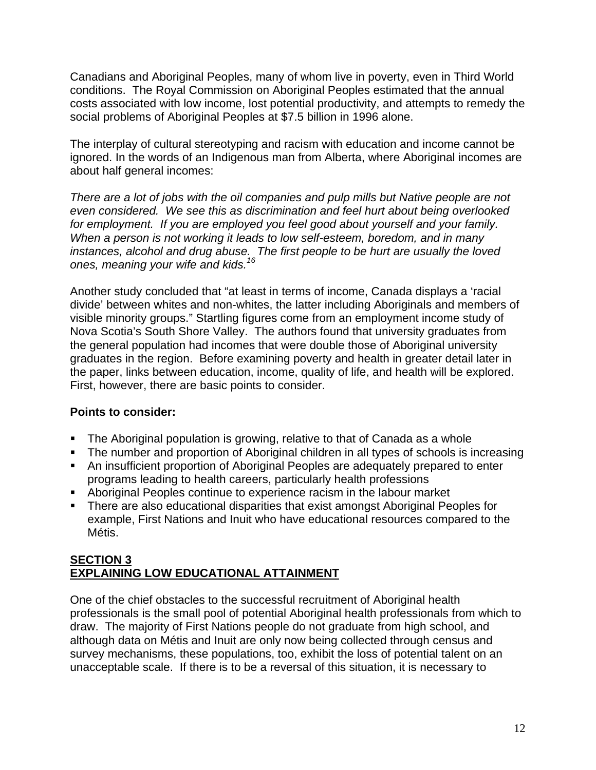Canadians and Aboriginal Peoples, many of whom live in poverty, even in Third World conditions. The Royal Commission on Aboriginal Peoples estimated that the annual costs associated with low income, lost potential productivity, and attempts to remedy the social problems of Aboriginal Peoples at \$7.5 billion in 1996 alone.

The interplay of cultural stereotyping and racism with education and income cannot be ignored. In the words of an Indigenous man from Alberta, where Aboriginal incomes are about half general incomes:

*There are a lot of jobs with the oil companies and pulp mills but Native people are not even considered. We see this as discrimination and feel hurt about being overlooked for employment. If you are employed you feel good about yourself and your family. When a person is not working it leads to low self-esteem, boredom, and in many instances, alcohol and drug abuse. The first people to be hurt are usually the loved ones, meaning your wife and kids.16*

Another study concluded that "at least in terms of income, Canada displays a 'racial divide' between whites and non-whites, the latter including Aboriginals and members of visible minority groups." Startling figures come from an employment income study of Nova Scotia's South Shore Valley. The authors found that university graduates from the general population had incomes that were double those of Aboriginal university graduates in the region. Before examining poverty and health in greater detail later in the paper, links between education, income, quality of life, and health will be explored. First, however, there are basic points to consider.

### **Points to consider:**

- The Aboriginal population is growing, relative to that of Canada as a whole
- The number and proportion of Aboriginal children in all types of schools is increasing
- An insufficient proportion of Aboriginal Peoples are adequately prepared to enter programs leading to health careers, particularly health professions
- Aboriginal Peoples continue to experience racism in the labour market
- There are also educational disparities that exist amongst Aboriginal Peoples for example, First Nations and Inuit who have educational resources compared to the Métis.

#### **SECTION 3 EXPLAINING LOW EDUCATIONAL ATTAINMENT**

One of the chief obstacles to the successful recruitment of Aboriginal health professionals is the small pool of potential Aboriginal health professionals from which to draw. The majority of First Nations people do not graduate from high school, and although data on Métis and Inuit are only now being collected through census and survey mechanisms, these populations, too, exhibit the loss of potential talent on an unacceptable scale. If there is to be a reversal of this situation, it is necessary to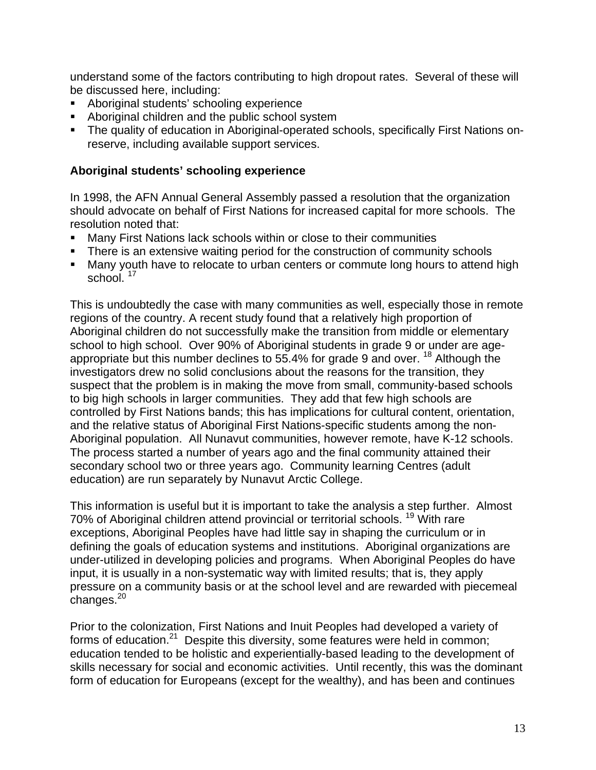understand some of the factors contributing to high dropout rates. Several of these will be discussed here, including:

- Aboriginal students' schooling experience
- Aboriginal children and the public school system
- The quality of education in Aboriginal-operated schools, specifically First Nations onreserve, including available support services.

#### **Aboriginal students' schooling experience**

In 1998, the AFN Annual General Assembly passed a resolution that the organization should advocate on behalf of First Nations for increased capital for more schools. The resolution noted that:

- Many First Nations lack schools within or close to their communities
- There is an extensive waiting period for the construction of community schools
- Many youth have to relocate to urban centers or commute long hours to attend high school.  $17$

This is undoubtedly the case with many communities as well, especially those in remote regions of the country. A recent study found that a relatively high proportion of Aboriginal children do not successfully make the transition from middle or elementary school to high school. Over 90% of Aboriginal students in grade 9 or under are ageappropriate but this number declines to 55.4% for grade 9 and over. <sup>18</sup> Although the investigators drew no solid conclusions about the reasons for the transition, they suspect that the problem is in making the move from small, community-based schools to big high schools in larger communities. They add that few high schools are controlled by First Nations bands; this has implications for cultural content, orientation, and the relative status of Aboriginal First Nations-specific students among the non-Aboriginal population. All Nunavut communities, however remote, have K-12 schools. The process started a number of years ago and the final community attained their secondary school two or three years ago. Community learning Centres (adult education) are run separately by Nunavut Arctic College.

This information is useful but it is important to take the analysis a step further. Almost 70% of Aboriginal children attend provincial or territorial schools.<sup>19</sup> With rare exceptions, Aboriginal Peoples have had little say in shaping the curriculum or in defining the goals of education systems and institutions. Aboriginal organizations are under-utilized in developing policies and programs. When Aboriginal Peoples do have input, it is usually in a non-systematic way with limited results; that is, they apply pressure on a community basis or at the school level and are rewarded with piecemeal  $chances.<sup>20</sup>$ 

Prior to the colonization, First Nations and Inuit Peoples had developed a variety of forms of education.<sup>21</sup> Despite this diversity, some features were held in common; education tended to be holistic and experientially-based leading to the development of skills necessary for social and economic activities. Until recently, this was the dominant form of education for Europeans (except for the wealthy), and has been and continues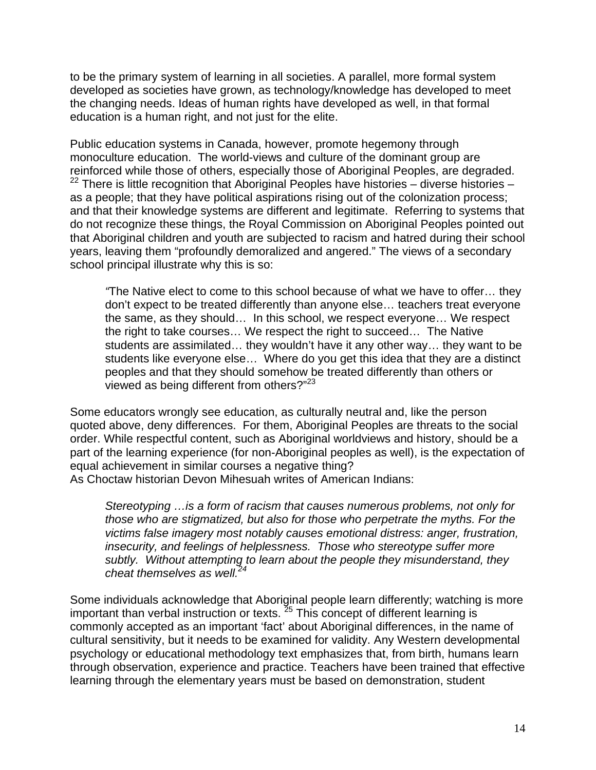to be the primary system of learning in all societies. A parallel, more formal system developed as societies have grown, as technology/knowledge has developed to meet the changing needs. Ideas of human rights have developed as well, in that formal education is a human right, and not just for the elite.

Public education systems in Canada, however, promote hegemony through monoculture education. The world-views and culture of the dominant group are reinforced while those of others, especially those of Aboriginal Peoples, are degraded. <sup>22</sup> There is little recognition that Aboriginal Peoples have histories – diverse histories – as a people; that they have political aspirations rising out of the colonization process; and that their knowledge systems are different and legitimate. Referring to systems that do not recognize these things, the Royal Commission on Aboriginal Peoples pointed out that Aboriginal children and youth are subjected to racism and hatred during their school years, leaving them "profoundly demoralized and angered." The views of a secondary school principal illustrate why this is so:

*"*The Native elect to come to this school because of what we have to offer… they don't expect to be treated differently than anyone else… teachers treat everyone the same, as they should… In this school, we respect everyone… We respect the right to take courses… We respect the right to succeed… The Native students are assimilated… they wouldn't have it any other way… they want to be students like everyone else… Where do you get this idea that they are a distinct peoples and that they should somehow be treated differently than others or viewed as being different from others?"<sup>23</sup>

Some educators wrongly see education, as culturally neutral and, like the person quoted above, deny differences. For them, Aboriginal Peoples are threats to the social order. While respectful content, such as Aboriginal worldviews and history, should be a part of the learning experience (for non-Aboriginal peoples as well), is the expectation of equal achievement in similar courses a negative thing?

As Choctaw historian Devon Mihesuah writes of American Indians:

*Stereotyping …is a form of racism that causes numerous problems, not only for those who are stigmatized, but also for those who perpetrate the myths. For the victims false imagery most notably causes emotional distress: anger, frustration, insecurity, and feelings of helplessness. Those who stereotype suffer more subtly. Without attempting to learn about the people they misunderstand, they cheat themselves as well.24*

Some individuals acknowledge that Aboriginal people learn differently; watching is more important than verbal instruction or texts. 25 This concept of different learning is commonly accepted as an important 'fact' about Aboriginal differences, in the name of cultural sensitivity, but it needs to be examined for validity. Any Western developmental psychology or educational methodology text emphasizes that, from birth, humans learn through observation, experience and practice. Teachers have been trained that effective learning through the elementary years must be based on demonstration, student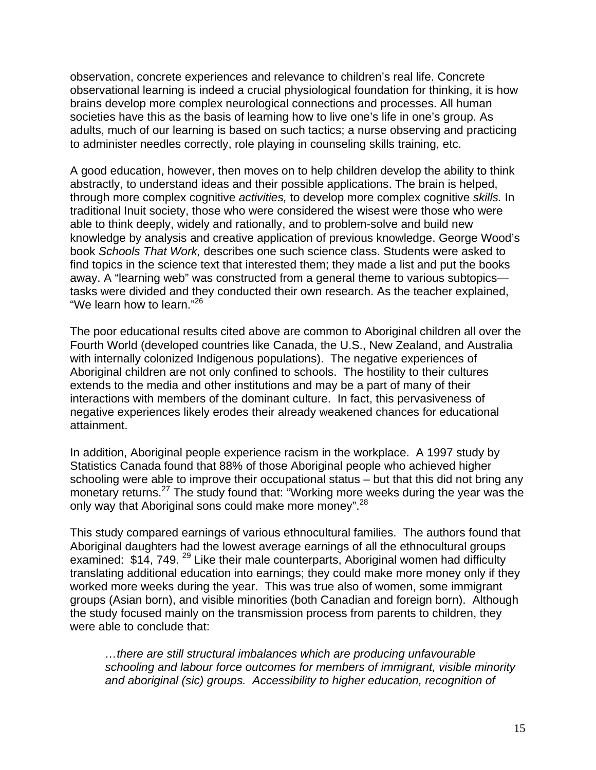observation, concrete experiences and relevance to children's real life. Concrete observational learning is indeed a crucial physiological foundation for thinking, it is how brains develop more complex neurological connections and processes. All human societies have this as the basis of learning how to live one's life in one's group. As adults, much of our learning is based on such tactics; a nurse observing and practicing to administer needles correctly, role playing in counseling skills training, etc.

A good education, however, then moves on to help children develop the ability to think abstractly, to understand ideas and their possible applications. The brain is helped, through more complex cognitive *activities,* to develop more complex cognitive *skills.* In traditional Inuit society, those who were considered the wisest were those who were able to think deeply, widely and rationally, and to problem-solve and build new knowledge by analysis and creative application of previous knowledge. George Wood's book *Schools That Work,* describes one such science class. Students were asked to find topics in the science text that interested them; they made a list and put the books away. A "learning web" was constructed from a general theme to various subtopics tasks were divided and they conducted their own research. As the teacher explained, "We learn how to learn."<sup>26</sup>

The poor educational results cited above are common to Aboriginal children all over the Fourth World (developed countries like Canada, the U.S., New Zealand, and Australia with internally colonized Indigenous populations). The negative experiences of Aboriginal children are not only confined to schools. The hostility to their cultures extends to the media and other institutions and may be a part of many of their interactions with members of the dominant culture. In fact, this pervasiveness of negative experiences likely erodes their already weakened chances for educational attainment.

In addition, Aboriginal people experience racism in the workplace. A 1997 study by Statistics Canada found that 88% of those Aboriginal people who achieved higher schooling were able to improve their occupational status – but that this did not bring any monetary returns.<sup>27</sup> The study found that: "Working more weeks during the year was the only way that Aboriginal sons could make more money".<sup>28</sup>

This study compared earnings of various ethnocultural families. The authors found that Aboriginal daughters had the lowest average earnings of all the ethnocultural groups examined: \$14, 749.<sup>29</sup> Like their male counterparts, Aboriginal women had difficulty translating additional education into earnings; they could make more money only if they worked more weeks during the year. This was true also of women, some immigrant groups (Asian born), and visible minorities (both Canadian and foreign born). Although the study focused mainly on the transmission process from parents to children, they were able to conclude that:

*…there are still structural imbalances which are producing unfavourable schooling and labour force outcomes for members of immigrant, visible minority and aboriginal (sic) groups. Accessibility to higher education, recognition of*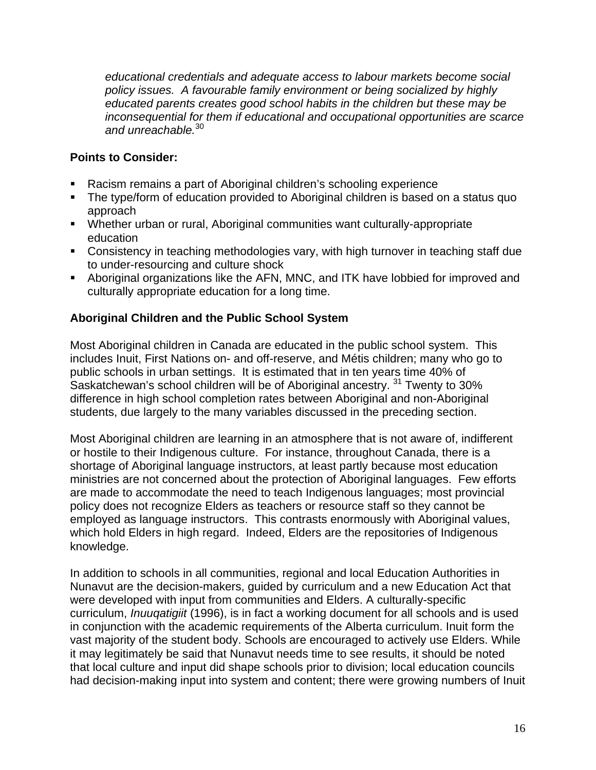*educational credentials and adequate access to labour markets become social policy issues. A favourable family environment or being socialized by highly educated parents creates good school habits in the children but these may be inconsequential for them if educational and occupational opportunities are scarce and unreachable.*<sup>30</sup>

# **Points to Consider:**

- Racism remains a part of Aboriginal children's schooling experience
- The type/form of education provided to Aboriginal children is based on a status quo approach
- Whether urban or rural, Aboriginal communities want culturally-appropriate education
- Consistency in teaching methodologies vary, with high turnover in teaching staff due to under-resourcing and culture shock
- Aboriginal organizations like the AFN, MNC, and ITK have lobbied for improved and culturally appropriate education for a long time.

# **Aboriginal Children and the Public School System**

Most Aboriginal children in Canada are educated in the public school system. This includes Inuit, First Nations on- and off-reserve, and Métis children; many who go to public schools in urban settings. It is estimated that in ten years time 40% of Saskatchewan's school children will be of Aboriginal ancestry.<sup>31</sup> Twenty to 30% difference in high school completion rates between Aboriginal and non-Aboriginal students, due largely to the many variables discussed in the preceding section.

Most Aboriginal children are learning in an atmosphere that is not aware of, indifferent or hostile to their Indigenous culture. For instance, throughout Canada, there is a shortage of Aboriginal language instructors, at least partly because most education ministries are not concerned about the protection of Aboriginal languages. Few efforts are made to accommodate the need to teach Indigenous languages; most provincial policy does not recognize Elders as teachers or resource staff so they cannot be employed as language instructors. This contrasts enormously with Aboriginal values, which hold Elders in high regard. Indeed, Elders are the repositories of Indigenous knowledge.

In addition to schools in all communities, regional and local Education Authorities in Nunavut are the decision-makers, guided by curriculum and a new Education Act that were developed with input from communities and Elders. A culturally-specific curriculum, *Inuuqatigiit* (1996), is in fact a working document for all schools and is used in conjunction with the academic requirements of the Alberta curriculum. Inuit form the vast majority of the student body. Schools are encouraged to actively use Elders. While it may legitimately be said that Nunavut needs time to see results, it should be noted that local culture and input did shape schools prior to division; local education councils had decision-making input into system and content; there were growing numbers of Inuit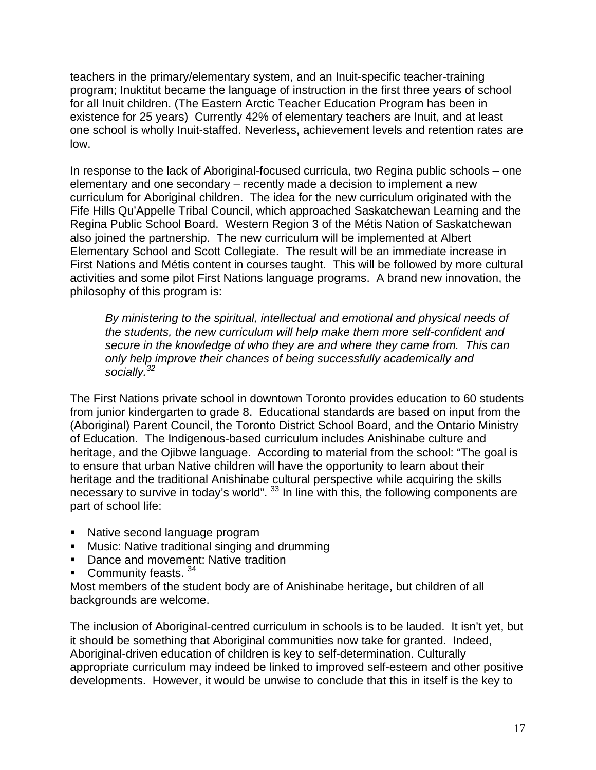teachers in the primary/elementary system, and an Inuit-specific teacher-training program; Inuktitut became the language of instruction in the first three years of school for all Inuit children. (The Eastern Arctic Teacher Education Program has been in existence for 25 years) Currently 42% of elementary teachers are Inuit, and at least one school is wholly Inuit-staffed. Neverless, achievement levels and retention rates are low.

In response to the lack of Aboriginal-focused curricula, two Regina public schools – one elementary and one secondary – recently made a decision to implement a new curriculum for Aboriginal children. The idea for the new curriculum originated with the Fife Hills Qu'Appelle Tribal Council, which approached Saskatchewan Learning and the Regina Public School Board. Western Region 3 of the Métis Nation of Saskatchewan also joined the partnership. The new curriculum will be implemented at Albert Elementary School and Scott Collegiate. The result will be an immediate increase in First Nations and Métis content in courses taught. This will be followed by more cultural activities and some pilot First Nations language programs. A brand new innovation, the philosophy of this program is:

*By ministering to the spiritual, intellectual and emotional and physical needs of the students, the new curriculum will help make them more self-confident and secure in the knowledge of who they are and where they came from. This can only help improve their chances of being successfully academically and socially.<sup>32</sup>*

The First Nations private school in downtown Toronto provides education to 60 students from junior kindergarten to grade 8. Educational standards are based on input from the (Aboriginal) Parent Council, the Toronto District School Board, and the Ontario Ministry of Education. The Indigenous-based curriculum includes Anishinabe culture and heritage, and the Ojibwe language. According to material from the school: "The goal is to ensure that urban Native children will have the opportunity to learn about their heritage and the traditional Anishinabe cultural perspective while acquiring the skills necessary to survive in today's world". <sup>33</sup> In line with this, the following components are part of school life:

- Native second language program
- **Music: Native traditional singing and drumming**
- Dance and movement: Native tradition
- Community feasts.  $34$

Most members of the student body are of Anishinabe heritage, but children of all backgrounds are welcome.

The inclusion of Aboriginal-centred curriculum in schools is to be lauded. It isn't yet, but it should be something that Aboriginal communities now take for granted. Indeed, Aboriginal-driven education of children is key to self-determination. Culturally appropriate curriculum may indeed be linked to improved self-esteem and other positive developments. However, it would be unwise to conclude that this in itself is the key to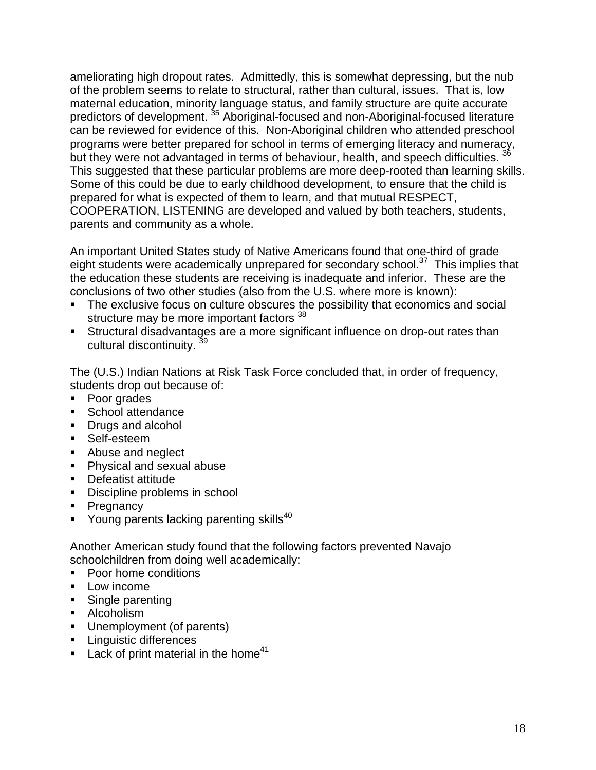ameliorating high dropout rates. Admittedly, this is somewhat depressing, but the nub of the problem seems to relate to structural, rather than cultural, issues. That is, low maternal education, minority language status, and family structure are quite accurate predictors of development. 35 Aboriginal-focused and non-Aboriginal-focused literature can be reviewed for evidence of this. Non-Aboriginal children who attended preschool programs were better prepared for school in terms of emerging literacy and numeracy, but they were not advantaged in terms of behaviour, health, and speech difficulties. <sup>3</sup> This suggested that these particular problems are more deep-rooted than learning skills. Some of this could be due to early childhood development, to ensure that the child is prepared for what is expected of them to learn, and that mutual RESPECT, COOPERATION, LISTENING are developed and valued by both teachers, students, parents and community as a whole.

An important United States study of Native Americans found that one-third of grade eight students were academically unprepared for secondary school.<sup>37</sup> This implies that the education these students are receiving is inadequate and inferior. These are the conclusions of two other studies (also from the U.S. where more is known):

- The exclusive focus on culture obscures the possibility that economics and social structure may be more important factors <sup>38</sup>
- Structural disadvantages are a more significant influence on drop-out rates than cultural discontinuity. 39

The (U.S.) Indian Nations at Risk Task Force concluded that, in order of frequency, students drop out because of:

- Poor grades
- **School attendance**
- Drugs and alcohol
- Self-esteem
- Abuse and neglect
- **Physical and sexual abuse**
- Defeatist attitude
- **Discipline problems in school**
- Pregnancy
- Young parents lacking parenting skills<sup>40</sup>

Another American study found that the following factors prevented Navajo schoolchildren from doing well academically:

- Poor home conditions
- **Low income**
- Single parenting
- Alcoholism
- Unemployment (of parents)
- **Linguistic differences**
- **Lack of print material in the home**<sup>41</sup>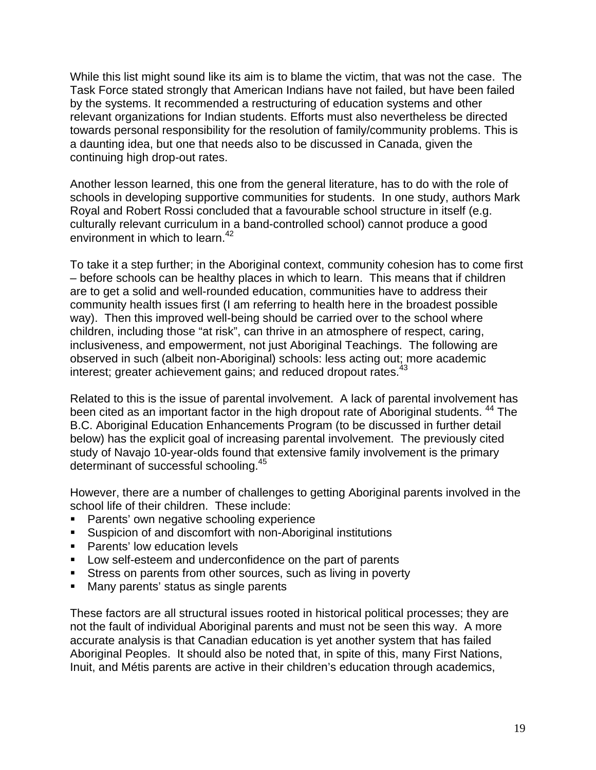While this list might sound like its aim is to blame the victim, that was not the case. The Task Force stated strongly that American Indians have not failed, but have been failed by the systems. It recommended a restructuring of education systems and other relevant organizations for Indian students. Efforts must also nevertheless be directed towards personal responsibility for the resolution of family/community problems. This is a daunting idea, but one that needs also to be discussed in Canada, given the continuing high drop-out rates.

Another lesson learned, this one from the general literature, has to do with the role of schools in developing supportive communities for students. In one study, authors Mark Royal and Robert Rossi concluded that a favourable school structure in itself (e.g. culturally relevant curriculum in a band-controlled school) cannot produce a good environment in which to learn.<sup>42</sup>

To take it a step further; in the Aboriginal context, community cohesion has to come first – before schools can be healthy places in which to learn. This means that if children are to get a solid and well-rounded education, communities have to address their community health issues first (I am referring to health here in the broadest possible way). Then this improved well-being should be carried over to the school where children, including those "at risk", can thrive in an atmosphere of respect, caring, inclusiveness, and empowerment, not just Aboriginal Teachings. The following are observed in such (albeit non-Aboriginal) schools: less acting out; more academic interest; greater achievement gains; and reduced dropout rates.<sup>43</sup>

Related to this is the issue of parental involvement. A lack of parental involvement has been cited as an important factor in the high dropout rate of Aboriginal students. <sup>44</sup> The B.C. Aboriginal Education Enhancements Program (to be discussed in further detail below) has the explicit goal of increasing parental involvement. The previously cited study of Navajo 10-year-olds found that extensive family involvement is the primary determinant of successful schooling.<sup>45</sup>

However, there are a number of challenges to getting Aboriginal parents involved in the school life of their children. These include:

- **Parents' own negative schooling experience**
- Suspicion of and discomfort with non-Aboriginal institutions
- **Parents' low education levels**
- **Low self-esteem and underconfidence on the part of parents**
- **Stress on parents from other sources, such as living in poverty**
- Many parents' status as single parents

These factors are all structural issues rooted in historical political processes; they are not the fault of individual Aboriginal parents and must not be seen this way. A more accurate analysis is that Canadian education is yet another system that has failed Aboriginal Peoples. It should also be noted that, in spite of this, many First Nations, Inuit, and Métis parents are active in their children's education through academics,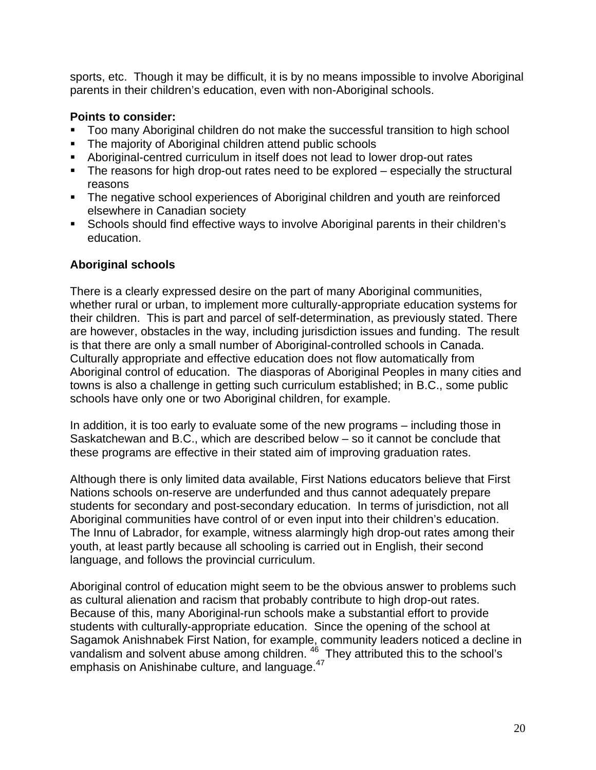sports, etc. Though it may be difficult, it is by no means impossible to involve Aboriginal parents in their children's education, even with non-Aboriginal schools.

#### **Points to consider:**

- Too many Aboriginal children do not make the successful transition to high school
- The majority of Aboriginal children attend public schools
- Aboriginal-centred curriculum in itself does not lead to lower drop-out rates
- The reasons for high drop-out rates need to be explored especially the structural reasons
- The negative school experiences of Aboriginal children and youth are reinforced elsewhere in Canadian society
- Schools should find effective ways to involve Aboriginal parents in their children's education.

### **Aboriginal schools**

There is a clearly expressed desire on the part of many Aboriginal communities, whether rural or urban, to implement more culturally-appropriate education systems for their children. This is part and parcel of self-determination, as previously stated. There are however, obstacles in the way, including jurisdiction issues and funding. The result is that there are only a small number of Aboriginal-controlled schools in Canada. Culturally appropriate and effective education does not flow automatically from Aboriginal control of education. The diasporas of Aboriginal Peoples in many cities and towns is also a challenge in getting such curriculum established; in B.C., some public schools have only one or two Aboriginal children, for example.

In addition, it is too early to evaluate some of the new programs – including those in Saskatchewan and B.C., which are described below – so it cannot be conclude that these programs are effective in their stated aim of improving graduation rates.

Although there is only limited data available, First Nations educators believe that First Nations schools on-reserve are underfunded and thus cannot adequately prepare students for secondary and post-secondary education. In terms of jurisdiction, not all Aboriginal communities have control of or even input into their children's education. The Innu of Labrador, for example, witness alarmingly high drop-out rates among their youth, at least partly because all schooling is carried out in English, their second language, and follows the provincial curriculum.

Aboriginal control of education might seem to be the obvious answer to problems such as cultural alienation and racism that probably contribute to high drop-out rates. Because of this, many Aboriginal-run schools make a substantial effort to provide students with culturally-appropriate education. Since the opening of the school at Sagamok Anishnabek First Nation, for example, community leaders noticed a decline in vandalism and solvent abuse among children.  $46$  They attributed this to the school's emphasis on Anishinabe culture, and language. $47$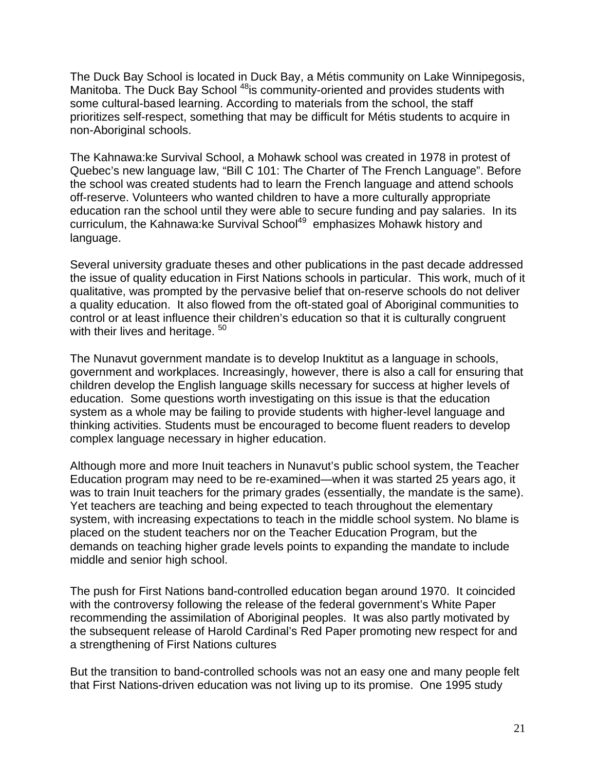The Duck Bay School is located in Duck Bay, a Métis community on Lake Winnipegosis, Manitoba. The Duck Bay School<sup>48</sup>is community-oriented and provides students with some cultural-based learning. According to materials from the school, the staff prioritizes self-respect, something that may be difficult for Métis students to acquire in non-Aboriginal schools.

The Kahnawa:ke Survival School, a Mohawk school was created in 1978 in protest of Quebec's new language law, "Bill C 101: The Charter of The French Language". Before the school was created students had to learn the French language and attend schools off-reserve. Volunteers who wanted children to have a more culturally appropriate education ran the school until they were able to secure funding and pay salaries. In its curriculum, the Kahnawa:ke Survival School<sup>49</sup> emphasizes Mohawk history and language.

Several university graduate theses and other publications in the past decade addressed the issue of quality education in First Nations schools in particular. This work, much of it qualitative, was prompted by the pervasive belief that on-reserve schools do not deliver a quality education. It also flowed from the oft-stated goal of Aboriginal communities to control or at least influence their children's education so that it is culturally congruent with their lives and heritage. <sup>50</sup>

The Nunavut government mandate is to develop Inuktitut as a language in schools, government and workplaces. Increasingly, however, there is also a call for ensuring that children develop the English language skills necessary for success at higher levels of education. Some questions worth investigating on this issue is that the education system as a whole may be failing to provide students with higher-level language and thinking activities. Students must be encouraged to become fluent readers to develop complex language necessary in higher education.

Although more and more Inuit teachers in Nunavut's public school system, the Teacher Education program may need to be re-examined—when it was started 25 years ago, it was to train Inuit teachers for the primary grades (essentially, the mandate is the same). Yet teachers are teaching and being expected to teach throughout the elementary system, with increasing expectations to teach in the middle school system. No blame is placed on the student teachers nor on the Teacher Education Program, but the demands on teaching higher grade levels points to expanding the mandate to include middle and senior high school.

The push for First Nations band-controlled education began around 1970. It coincided with the controversy following the release of the federal government's White Paper recommending the assimilation of Aboriginal peoples. It was also partly motivated by the subsequent release of Harold Cardinal's Red Paper promoting new respect for and a strengthening of First Nations cultures

But the transition to band-controlled schools was not an easy one and many people felt that First Nations-driven education was not living up to its promise. One 1995 study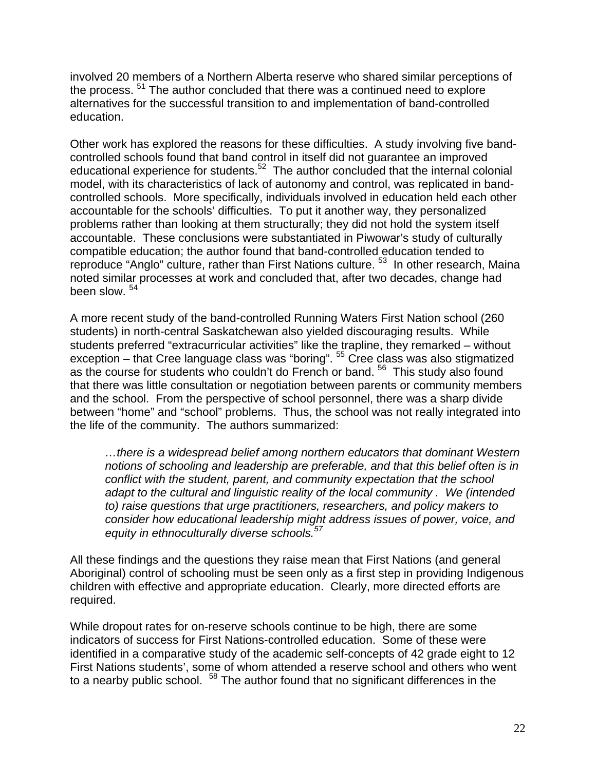involved 20 members of a Northern Alberta reserve who shared similar perceptions of the process. <sup>51</sup> The author concluded that there was a continued need to explore alternatives for the successful transition to and implementation of band-controlled education.

Other work has explored the reasons for these difficulties. A study involving five bandcontrolled schools found that band control in itself did not guarantee an improved educational experience for students.<sup>52</sup> The author concluded that the internal colonial model, with its characteristics of lack of autonomy and control, was replicated in bandcontrolled schools. More specifically, individuals involved in education held each other accountable for the schools' difficulties. To put it another way, they personalized problems rather than looking at them structurally; they did not hold the system itself accountable. These conclusions were substantiated in Piwowar's study of culturally compatible education; the author found that band-controlled education tended to reproduce "Anglo" culture, rather than First Nations culture.<sup>53</sup> In other research, Maina noted similar processes at work and concluded that, after two decades, change had been slow.  $54$ 

A more recent study of the band-controlled Running Waters First Nation school (260 students) in north-central Saskatchewan also yielded discouraging results. While students preferred "extracurricular activities" like the trapline, they remarked – without exception – that Cree language class was "boring". 55 Cree class was also stigmatized as the course for students who couldn't do French or band.<sup>56</sup> This study also found that there was little consultation or negotiation between parents or community members and the school. From the perspective of school personnel, there was a sharp divide between "home" and "school" problems. Thus, the school was not really integrated into the life of the community. The authors summarized:

*…there is a widespread belief among northern educators that dominant Western notions of schooling and leadership are preferable, and that this belief often is in conflict with the student, parent, and community expectation that the school adapt to the cultural and linguistic reality of the local community . We (intended to) raise questions that urge practitioners, researchers, and policy makers to consider how educational leadership might address issues of power, voice, and equity in ethnoculturally diverse schools.57* 

All these findings and the questions they raise mean that First Nations (and general Aboriginal) control of schooling must be seen only as a first step in providing Indigenous children with effective and appropriate education. Clearly, more directed efforts are required.

While dropout rates for on-reserve schools continue to be high, there are some indicators of success for First Nations-controlled education. Some of these were identified in a comparative study of the academic self-concepts of 42 grade eight to 12 First Nations students', some of whom attended a reserve school and others who went to a nearby public school. <sup>58</sup> The author found that no significant differences in the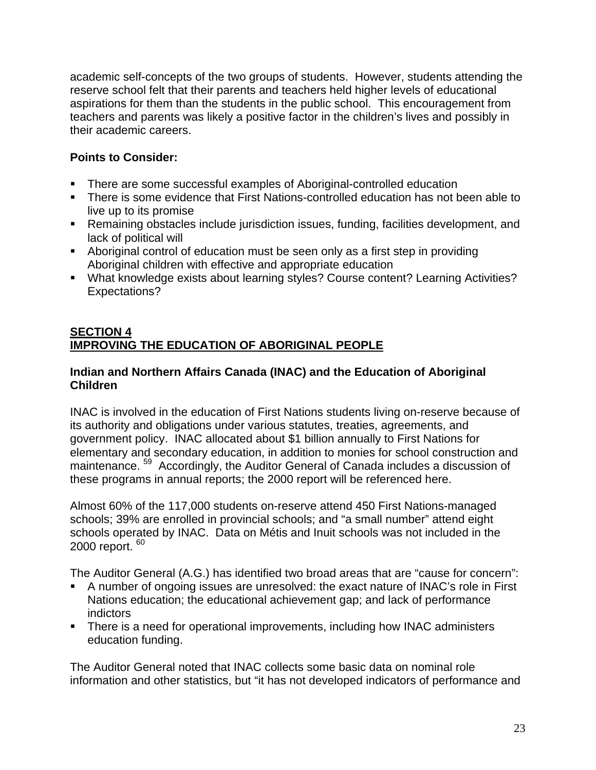academic self-concepts of the two groups of students. However, students attending the reserve school felt that their parents and teachers held higher levels of educational aspirations for them than the students in the public school. This encouragement from teachers and parents was likely a positive factor in the children's lives and possibly in their academic careers.

# **Points to Consider:**

- There are some successful examples of Aboriginal-controlled education
- There is some evidence that First Nations-controlled education has not been able to live up to its promise
- Remaining obstacles include jurisdiction issues, funding, facilities development, and lack of political will
- Aboriginal control of education must be seen only as a first step in providing Aboriginal children with effective and appropriate education
- What knowledge exists about learning styles? Course content? Learning Activities? Expectations?

### **SECTION 4 IMPROVING THE EDUCATION OF ABORIGINAL PEOPLE**

### **Indian and Northern Affairs Canada (INAC) and the Education of Aboriginal Children**

INAC is involved in the education of First Nations students living on-reserve because of its authority and obligations under various statutes, treaties, agreements, and government policy. INAC allocated about \$1 billion annually to First Nations for elementary and secondary education, in addition to monies for school construction and maintenance. 59 Accordingly, the Auditor General of Canada includes a discussion of these programs in annual reports; the 2000 report will be referenced here.

Almost 60% of the 117,000 students on-reserve attend 450 First Nations-managed schools; 39% are enrolled in provincial schools; and "a small number" attend eight schools operated by INAC. Data on Métis and Inuit schools was not included in the 2000 report.  $60$ 

The Auditor General (A.G.) has identified two broad areas that are "cause for concern":

- A number of ongoing issues are unresolved: the exact nature of INAC's role in First Nations education; the educational achievement gap; and lack of performance indictors
- There is a need for operational improvements, including how INAC administers education funding.

The Auditor General noted that INAC collects some basic data on nominal role information and other statistics, but "it has not developed indicators of performance and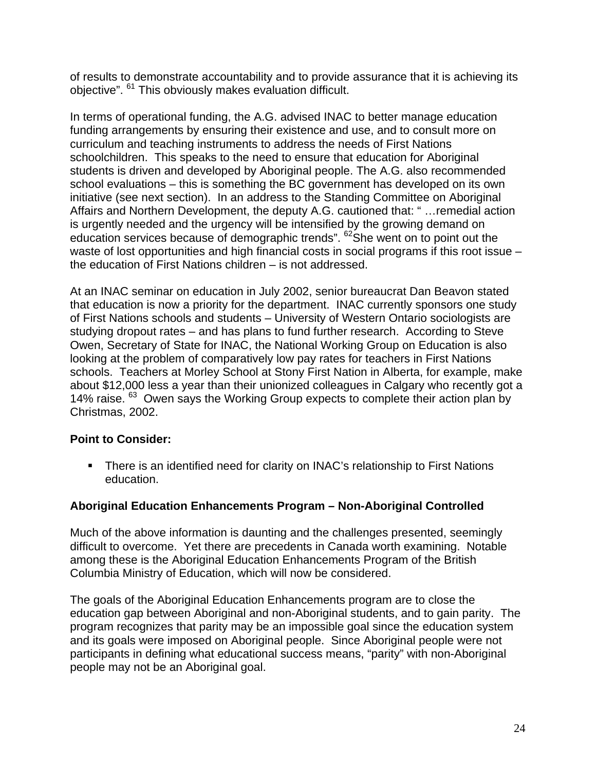of results to demonstrate accountability and to provide assurance that it is achieving its objective". 61 This obviously makes evaluation difficult.

In terms of operational funding, the A.G. advised INAC to better manage education funding arrangements by ensuring their existence and use, and to consult more on curriculum and teaching instruments to address the needs of First Nations schoolchildren. This speaks to the need to ensure that education for Aboriginal students is driven and developed by Aboriginal people. The A.G. also recommended school evaluations – this is something the BC government has developed on its own initiative (see next section). In an address to the Standing Committee on Aboriginal Affairs and Northern Development, the deputy A.G. cautioned that: " …remedial action is urgently needed and the urgency will be intensified by the growing demand on education services because of demographic trends". <sup>62</sup>She went on to point out the waste of lost opportunities and high financial costs in social programs if this root issue – the education of First Nations children – is not addressed.

At an INAC seminar on education in July 2002, senior bureaucrat Dan Beavon stated that education is now a priority for the department. INAC currently sponsors one study of First Nations schools and students – University of Western Ontario sociologists are studying dropout rates – and has plans to fund further research. According to Steve Owen, Secretary of State for INAC, the National Working Group on Education is also looking at the problem of comparatively low pay rates for teachers in First Nations schools. Teachers at Morley School at Stony First Nation in Alberta, for example, make about \$12,000 less a year than their unionized colleagues in Calgary who recently got a 14% raise. <sup>63</sup> Owen says the Working Group expects to complete their action plan by Christmas, 2002.

### **Point to Consider:**

 There is an identified need for clarity on INAC's relationship to First Nations education.

### **Aboriginal Education Enhancements Program – Non-Aboriginal Controlled**

Much of the above information is daunting and the challenges presented, seemingly difficult to overcome. Yet there are precedents in Canada worth examining. Notable among these is the Aboriginal Education Enhancements Program of the British Columbia Ministry of Education, which will now be considered.

The goals of the Aboriginal Education Enhancements program are to close the education gap between Aboriginal and non-Aboriginal students, and to gain parity. The program recognizes that parity may be an impossible goal since the education system and its goals were imposed on Aboriginal people. Since Aboriginal people were not participants in defining what educational success means, "parity" with non-Aboriginal people may not be an Aboriginal goal.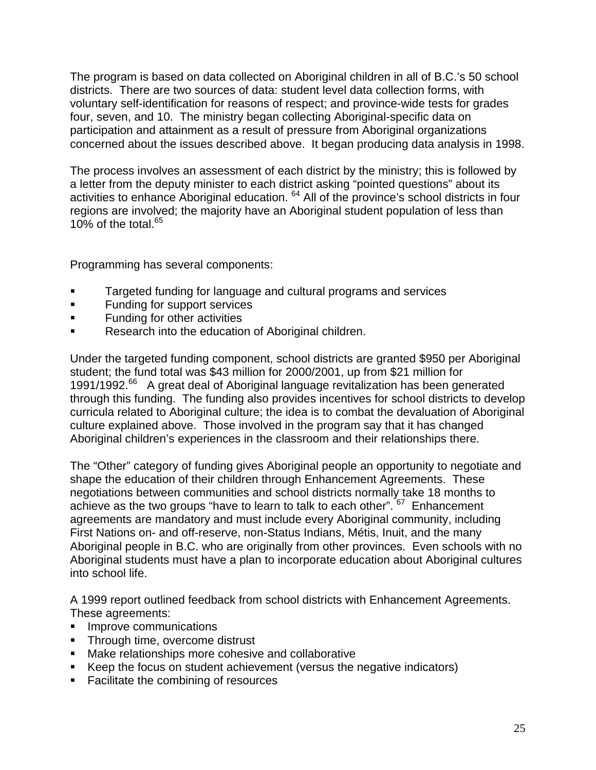The program is based on data collected on Aboriginal children in all of B.C.'s 50 school districts. There are two sources of data: student level data collection forms, with voluntary self-identification for reasons of respect; and province-wide tests for grades four, seven, and 10. The ministry began collecting Aboriginal-specific data on participation and attainment as a result of pressure from Aboriginal organizations concerned about the issues described above. It began producing data analysis in 1998.

The process involves an assessment of each district by the ministry; this is followed by a letter from the deputy minister to each district asking "pointed questions" about its activities to enhance Aboriginal education. 64 All of the province's school districts in four regions are involved; the majority have an Aboriginal student population of less than 10% of the total. $65$ 

Programming has several components:

- Targeted funding for language and cultural programs and services
- **Funding for support services**
- **Funding for other activities**
- Research into the education of Aboriginal children.

Under the targeted funding component, school districts are granted \$950 per Aboriginal student; the fund total was \$43 million for 2000/2001, up from \$21 million for 1991/1992.66 A great deal of Aboriginal language revitalization has been generated through this funding. The funding also provides incentives for school districts to develop curricula related to Aboriginal culture; the idea is to combat the devaluation of Aboriginal culture explained above. Those involved in the program say that it has changed Aboriginal children's experiences in the classroom and their relationships there.

The "Other" category of funding gives Aboriginal people an opportunity to negotiate and shape the education of their children through Enhancement Agreements. These negotiations between communities and school districts normally take 18 months to achieve as the two groups "have to learn to talk to each other".  $67$  Enhancement agreements are mandatory and must include every Aboriginal community, including First Nations on- and off-reserve, non-Status Indians, Métis, Inuit, and the many Aboriginal people in B.C. who are originally from other provinces. Even schools with no Aboriginal students must have a plan to incorporate education about Aboriginal cultures into school life.

A 1999 report outlined feedback from school districts with Enhancement Agreements. These agreements:

- **Improve communications**
- **Through time, overcome distrust**
- **Make relationships more cohesive and collaborative**
- Keep the focus on student achievement (versus the negative indicators)
- Facilitate the combining of resources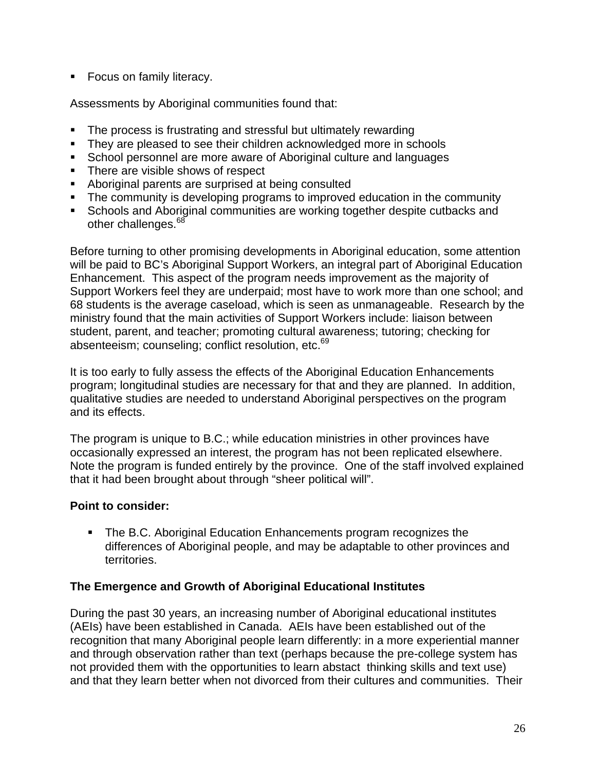**Focus on family literacy.** 

Assessments by Aboriginal communities found that:

- The process is frustrating and stressful but ultimately rewarding
- They are pleased to see their children acknowledged more in schools
- School personnel are more aware of Aboriginal culture and languages
- There are visible shows of respect
- Aboriginal parents are surprised at being consulted
- The community is developing programs to improved education in the community
- Schools and Aboriginal communities are working together despite cutbacks and other challenges.<sup>68</sup>

Before turning to other promising developments in Aboriginal education, some attention will be paid to BC's Aboriginal Support Workers, an integral part of Aboriginal Education Enhancement. This aspect of the program needs improvement as the majority of Support Workers feel they are underpaid; most have to work more than one school; and 68 students is the average caseload, which is seen as unmanageable. Research by the ministry found that the main activities of Support Workers include: liaison between student, parent, and teacher; promoting cultural awareness; tutoring; checking for absenteeism; counseling; conflict resolution, etc.<sup>69</sup>

It is too early to fully assess the effects of the Aboriginal Education Enhancements program; longitudinal studies are necessary for that and they are planned. In addition, qualitative studies are needed to understand Aboriginal perspectives on the program and its effects.

The program is unique to B.C.; while education ministries in other provinces have occasionally expressed an interest, the program has not been replicated elsewhere. Note the program is funded entirely by the province. One of the staff involved explained that it had been brought about through "sheer political will".

### **Point to consider:**

**The B.C. Aboriginal Education Enhancements program recognizes the** differences of Aboriginal people, and may be adaptable to other provinces and territories.

#### **The Emergence and Growth of Aboriginal Educational Institutes**

During the past 30 years, an increasing number of Aboriginal educational institutes (AEIs) have been established in Canada. AEIs have been established out of the recognition that many Aboriginal people learn differently: in a more experiential manner and through observation rather than text (perhaps because the pre-college system has not provided them with the opportunities to learn abstact thinking skills and text use) and that they learn better when not divorced from their cultures and communities. Their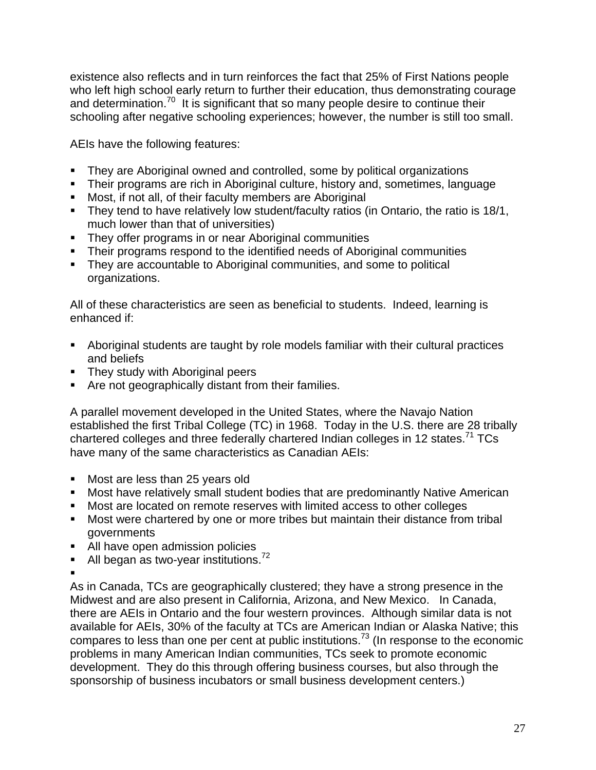existence also reflects and in turn reinforces the fact that 25% of First Nations people who left high school early return to further their education, thus demonstrating courage and determination.<sup>70</sup> It is significant that so many people desire to continue their schooling after negative schooling experiences; however, the number is still too small.

AEIs have the following features:

- They are Aboriginal owned and controlled, some by political organizations
- Their programs are rich in Aboriginal culture, history and, sometimes, language
- **Most, if not all, of their faculty members are Aboriginal**
- They tend to have relatively low student/faculty ratios (in Ontario, the ratio is 18/1, much lower than that of universities)
- They offer programs in or near Aboriginal communities
- Their programs respond to the identified needs of Aboriginal communities
- **They are accountable to Aboriginal communities, and some to political** organizations.

All of these characteristics are seen as beneficial to students. Indeed, learning is enhanced if:

- Aboriginal students are taught by role models familiar with their cultural practices and beliefs
- They study with Aboriginal peers
- Are not geographically distant from their families.

A parallel movement developed in the United States, where the Navajo Nation established the first Tribal College (TC) in 1968. Today in the U.S. there are 28 tribally chartered colleges and three federally chartered Indian colleges in 12 states.<sup>71</sup> TCs have many of the same characteristics as Canadian AEIs:

- Most are less than 25 years old
- Most have relatively small student bodies that are predominantly Native American
- Most are located on remote reserves with limited access to other colleges
- **Most were chartered by one or more tribes but maintain their distance from tribal** governments
- All have open admission policies
- All began as two-year institutions. $72$
- $\blacksquare$

As in Canada, TCs are geographically clustered; they have a strong presence in the Midwest and are also present in California, Arizona, and New Mexico. In Canada, there are AEIs in Ontario and the four western provinces. Although similar data is not available for AEIs, 30% of the faculty at TCs are American Indian or Alaska Native; this compares to less than one per cent at public institutions.<sup>73</sup> (In response to the economic problems in many American Indian communities, TCs seek to promote economic development. They do this through offering business courses, but also through the sponsorship of business incubators or small business development centers.)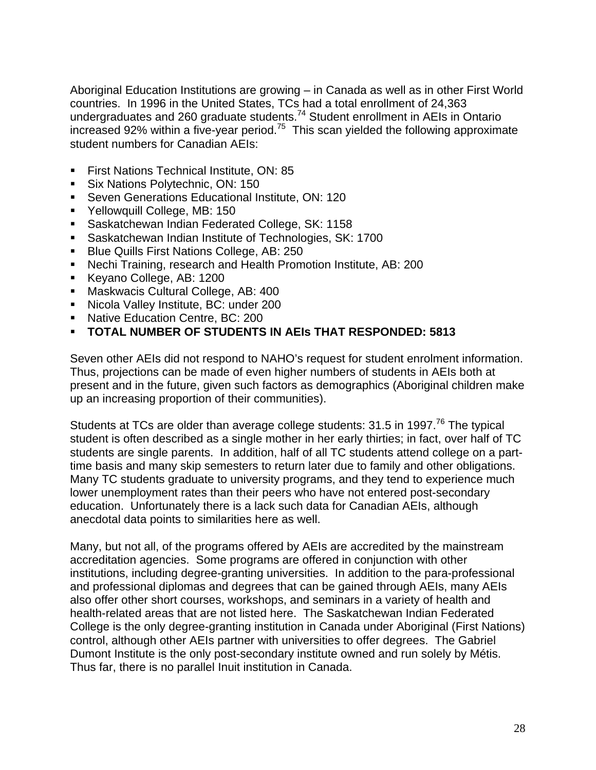Aboriginal Education Institutions are growing – in Canada as well as in other First World countries. In 1996 in the United States, TCs had a total enrollment of 24,363 undergraduates and 260 graduate students.<sup>74</sup> Student enrollment in AEIs in Ontario increased 92% within a five-year period.75 This scan yielded the following approximate student numbers for Canadian AEIs:

- **First Nations Technical Institute, ON: 85**
- **Six Nations Polytechnic, ON: 150**
- **Seven Generations Educational Institute, ON: 120**
- Yellowquill College, MB: 150
- **Saskatchewan Indian Federated College, SK: 1158**
- Saskatchewan Indian Institute of Technologies, SK: 1700
- **Blue Quills First Nations College, AB: 250**
- Nechi Training, research and Health Promotion Institute, AB: 200
- Keyano College, AB: 1200
- **Maskwacis Cultural College, AB: 400**
- **Nicola Valley Institute, BC: under 200**
- **Native Education Centre, BC: 200**
- **TOTAL NUMBER OF STUDENTS IN AEIs THAT RESPONDED: 5813**

Seven other AEIs did not respond to NAHO's request for student enrolment information. Thus, projections can be made of even higher numbers of students in AEIs both at present and in the future, given such factors as demographics (Aboriginal children make up an increasing proportion of their communities).

Students at TCs are older than average college students: 31.5 in 1997.<sup>76</sup> The typical student is often described as a single mother in her early thirties; in fact, over half of TC students are single parents. In addition, half of all TC students attend college on a parttime basis and many skip semesters to return later due to family and other obligations. Many TC students graduate to university programs, and they tend to experience much lower unemployment rates than their peers who have not entered post-secondary education. Unfortunately there is a lack such data for Canadian AEIs, although anecdotal data points to similarities here as well.

Many, but not all, of the programs offered by AEIs are accredited by the mainstream accreditation agencies. Some programs are offered in conjunction with other institutions, including degree-granting universities. In addition to the para-professional and professional diplomas and degrees that can be gained through AEIs, many AEIs also offer other short courses, workshops, and seminars in a variety of health and health-related areas that are not listed here. The Saskatchewan Indian Federated College is the only degree-granting institution in Canada under Aboriginal (First Nations) control, although other AEIs partner with universities to offer degrees. The Gabriel Dumont Institute is the only post-secondary institute owned and run solely by Métis. Thus far, there is no parallel Inuit institution in Canada.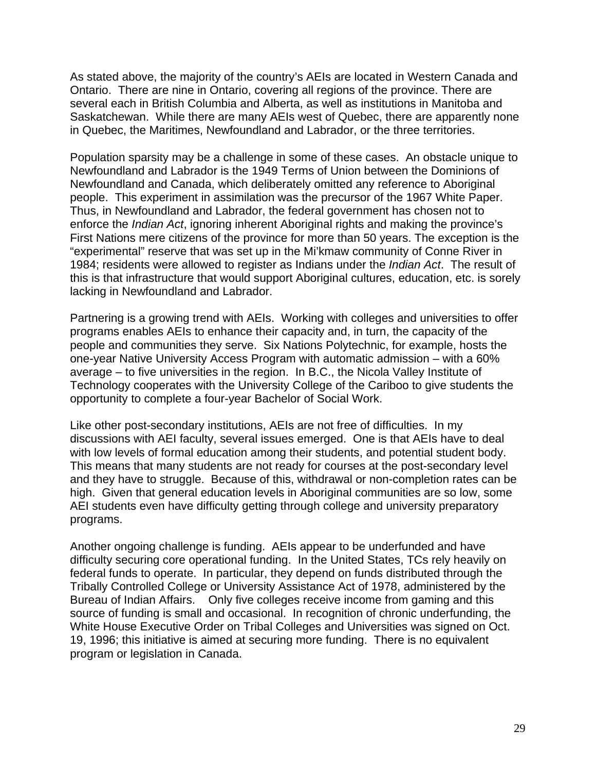As stated above, the majority of the country's AEIs are located in Western Canada and Ontario. There are nine in Ontario, covering all regions of the province. There are several each in British Columbia and Alberta, as well as institutions in Manitoba and Saskatchewan. While there are many AEIs west of Quebec, there are apparently none in Quebec, the Maritimes, Newfoundland and Labrador, or the three territories.

Population sparsity may be a challenge in some of these cases. An obstacle unique to Newfoundland and Labrador is the 1949 Terms of Union between the Dominions of Newfoundland and Canada, which deliberately omitted any reference to Aboriginal people. This experiment in assimilation was the precursor of the 1967 White Paper. Thus, in Newfoundland and Labrador, the federal government has chosen not to enforce the *Indian Act*, ignoring inherent Aboriginal rights and making the province's First Nations mere citizens of the province for more than 50 years. The exception is the "experimental" reserve that was set up in the Mi'kmaw community of Conne River in 1984; residents were allowed to register as Indians under the *Indian Act*. The result of this is that infrastructure that would support Aboriginal cultures, education, etc. is sorely lacking in Newfoundland and Labrador.

Partnering is a growing trend with AEIs. Working with colleges and universities to offer programs enables AEIs to enhance their capacity and, in turn, the capacity of the people and communities they serve. Six Nations Polytechnic, for example, hosts the one-year Native University Access Program with automatic admission – with a 60% average – to five universities in the region. In B.C., the Nicola Valley Institute of Technology cooperates with the University College of the Cariboo to give students the opportunity to complete a four-year Bachelor of Social Work.

Like other post-secondary institutions, AEIs are not free of difficulties. In my discussions with AEI faculty, several issues emerged. One is that AEIs have to deal with low levels of formal education among their students, and potential student body. This means that many students are not ready for courses at the post-secondary level and they have to struggle. Because of this, withdrawal or non-completion rates can be high. Given that general education levels in Aboriginal communities are so low, some AEI students even have difficulty getting through college and university preparatory programs.

Another ongoing challenge is funding. AEIs appear to be underfunded and have difficulty securing core operational funding. In the United States, TCs rely heavily on federal funds to operate. In particular, they depend on funds distributed through the Tribally Controlled College or University Assistance Act of 1978, administered by the Bureau of Indian Affairs. Only five colleges receive income from gaming and this source of funding is small and occasional. In recognition of chronic underfunding, the White House Executive Order on Tribal Colleges and Universities was signed on Oct. 19, 1996; this initiative is aimed at securing more funding. There is no equivalent program or legislation in Canada.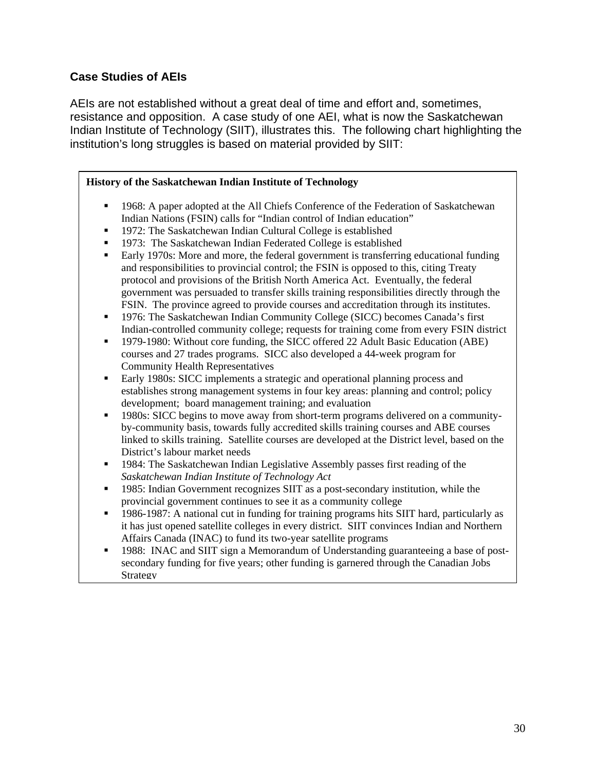### **Case Studies of AEIs**

AEIs are not established without a great deal of time and effort and, sometimes, resistance and opposition. A case study of one AEI, what is now the Saskatchewan Indian Institute of Technology (SIIT), illustrates this. The following chart highlighting the institution's long struggles is based on material provided by SIIT:

#### **History of the Saskatchewan Indian Institute of Technology**  1968: A paper adopted at the All Chiefs Conference of the Federation of Saskatchewan Indian Nations (FSIN) calls for "Indian control of Indian education" **1972:** The Saskatchewan Indian Cultural College is established **1973:** The Saskatchewan Indian Federated College is established Early 1970s: More and more, the federal government is transferring educational funding and responsibilities to provincial control; the FSIN is opposed to this, citing Treaty protocol and provisions of the British North America Act. Eventually, the federal government was persuaded to transfer skills training responsibilities directly through the FSIN. The province agreed to provide courses and accreditation through its institutes. 1976: The Saskatchewan Indian Community College (SICC) becomes Canada's first

- Indian-controlled community college; requests for training come from every FSIN district
- <sup>1979-1980:</sup> Without core funding, the SICC offered 22 Adult Basic Education (ABE) courses and 27 trades programs. SICC also developed a 44-week program for Community Health Representatives
- Early 1980s: SICC implements a strategic and operational planning process and establishes strong management systems in four key areas: planning and control; policy development; board management training; and evaluation
- 1980s: SICC begins to move away from short-term programs delivered on a communityby-community basis, towards fully accredited skills training courses and ABE courses linked to skills training. Satellite courses are developed at the District level, based on the District's labour market needs
- 1984: The Saskatchewan Indian Legislative Assembly passes first reading of the *Saskatchewan Indian Institute of Technology Act*
- 1985: Indian Government recognizes SIIT as a post-secondary institution, while the provincial government continues to see it as a community college
- 1986-1987: A national cut in funding for training programs hits SIIT hard, particularly as it has just opened satellite colleges in every district. SIIT convinces Indian and Northern Affairs Canada (INAC) to fund its two-year satellite programs
- 1988: INAC and SIIT sign a Memorandum of Understanding guaranteeing a base of postsecondary funding for five years; other funding is garnered through the Canadian Jobs Strategy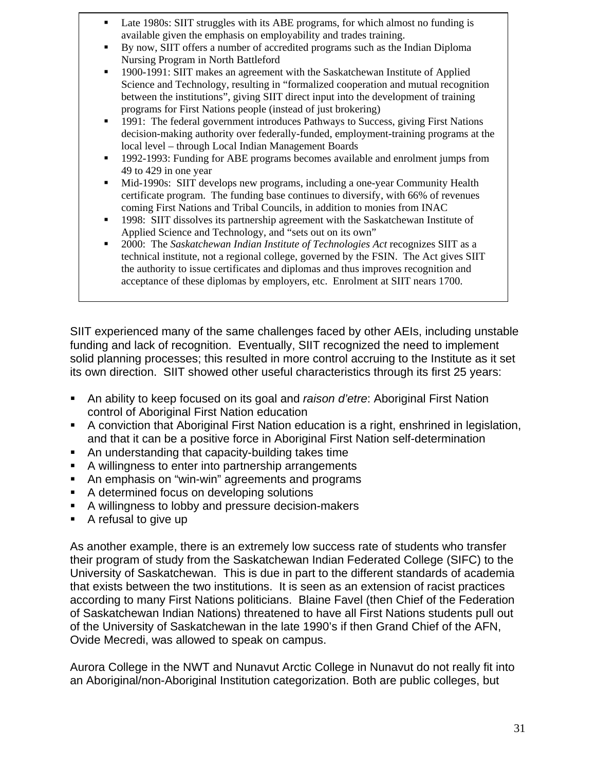- Late 1980s: SIIT struggles with its ABE programs, for which almost no funding is available given the emphasis on employability and trades training.
- By now, SIIT offers a number of accredited programs such as the Indian Diploma Nursing Program in North Battleford
- 1900-1991: SIIT makes an agreement with the Saskatchewan Institute of Applied Science and Technology, resulting in "formalized cooperation and mutual recognition between the institutions", giving SIIT direct input into the development of training programs for First Nations people (instead of just brokering)
- 1991: The federal government introduces Pathways to Success, giving First Nations decision-making authority over federally-funded, employment-training programs at the local level – through Local Indian Management Boards
- 1992-1993: Funding for ABE programs becomes available and enrolment jumps from 49 to 429 in one year
- Mid-1990s: SIIT develops new programs, including a one-year Community Health certificate program. The funding base continues to diversify, with 66% of revenues coming First Nations and Tribal Councils, in addition to monies from INAC
- 1998: SIIT dissolves its partnership agreement with the Saskatchewan Institute of Applied Science and Technology, and "sets out on its own"
- 2000: The *Saskatchewan Indian Institute of Technologies Act* recognizes SIIT as a technical institute, not a regional college, governed by the FSIN. The Act gives SIIT the authority to issue certificates and diplomas and thus improves recognition and acceptance of these diplomas by employers, etc. Enrolment at SIIT nears 1700.

SIIT experienced many of the same challenges faced by other AEIs, including unstable funding and lack of recognition. Eventually, SIIT recognized the need to implement solid planning processes; this resulted in more control accruing to the Institute as it set its own direction. SIIT showed other useful characteristics through its first 25 years:

- An ability to keep focused on its goal and *raison d'etre*: Aboriginal First Nation control of Aboriginal First Nation education
- A conviction that Aboriginal First Nation education is a right, enshrined in legislation, and that it can be a positive force in Aboriginal First Nation self-determination
- An understanding that capacity-building takes time
- A willingness to enter into partnership arrangements
- An emphasis on "win-win" agreements and programs
- A determined focus on developing solutions
- A willingness to lobby and pressure decision-makers
- A refusal to give up

As another example, there is an extremely low success rate of students who transfer their program of study from the Saskatchewan Indian Federated College (SIFC) to the University of Saskatchewan. This is due in part to the different standards of academia that exists between the two institutions. It is seen as an extension of racist practices according to many First Nations politicians. Blaine Favel (then Chief of the Federation of Saskatchewan Indian Nations) threatened to have all First Nations students pull out of the University of Saskatchewan in the late 1990's if then Grand Chief of the AFN, Ovide Mecredi, was allowed to speak on campus.

Aurora College in the NWT and Nunavut Arctic College in Nunavut do not really fit into an Aboriginal/non-Aboriginal Institution categorization. Both are public colleges, but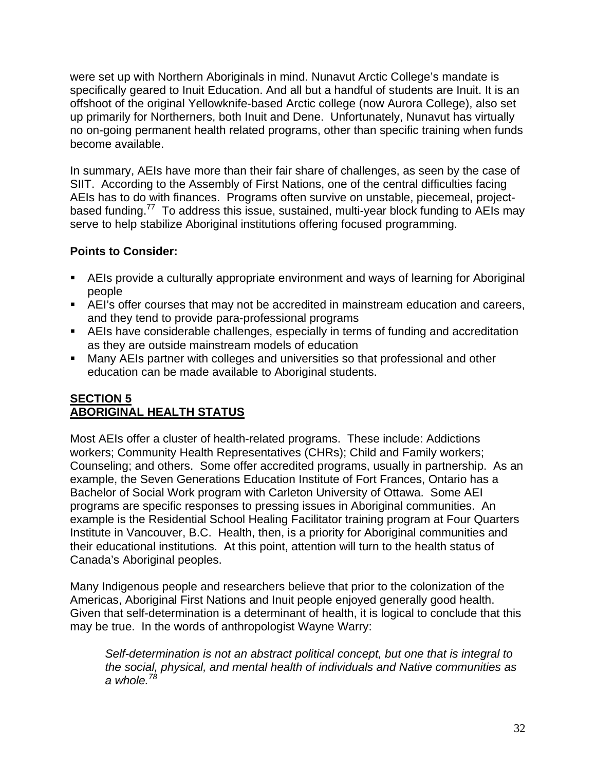were set up with Northern Aboriginals in mind. Nunavut Arctic College's mandate is specifically geared to Inuit Education. And all but a handful of students are Inuit. It is an offshoot of the original Yellowknife-based Arctic college (now Aurora College), also set up primarily for Northerners, both Inuit and Dene. Unfortunately, Nunavut has virtually no on-going permanent health related programs, other than specific training when funds become available.

In summary, AEIs have more than their fair share of challenges, as seen by the case of SIIT. According to the Assembly of First Nations, one of the central difficulties facing AEIs has to do with finances. Programs often survive on unstable, piecemeal, projectbased funding.<sup>77</sup> To address this issue, sustained, multi-year block funding to AEIs may serve to help stabilize Aboriginal institutions offering focused programming.

# **Points to Consider:**

- AEIs provide a culturally appropriate environment and ways of learning for Aboriginal people
- AEI's offer courses that may not be accredited in mainstream education and careers, and they tend to provide para-professional programs
- AEIs have considerable challenges, especially in terms of funding and accreditation as they are outside mainstream models of education
- Many AEIs partner with colleges and universities so that professional and other education can be made available to Aboriginal students.

### **SECTION 5 ABORIGINAL HEALTH STATUS**

Most AEIs offer a cluster of health-related programs. These include: Addictions workers; Community Health Representatives (CHRs); Child and Family workers; Counseling; and others. Some offer accredited programs, usually in partnership. As an example, the Seven Generations Education Institute of Fort Frances, Ontario has a Bachelor of Social Work program with Carleton University of Ottawa. Some AEI programs are specific responses to pressing issues in Aboriginal communities. An example is the Residential School Healing Facilitator training program at Four Quarters Institute in Vancouver, B.C. Health, then, is a priority for Aboriginal communities and their educational institutions. At this point, attention will turn to the health status of Canada's Aboriginal peoples.

Many Indigenous people and researchers believe that prior to the colonization of the Americas, Aboriginal First Nations and Inuit people enjoyed generally good health. Given that self-determination is a determinant of health, it is logical to conclude that this may be true. In the words of anthropologist Wayne Warry:

*Self-determination is not an abstract political concept, but one that is integral to the social, physical, and mental health of individuals and Native communities as a whole.<sup>78</sup>*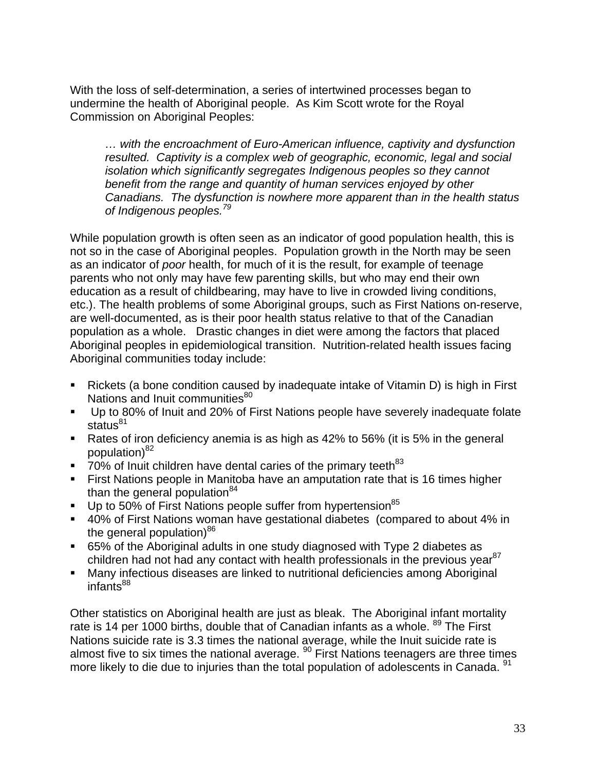With the loss of self-determination, a series of intertwined processes began to undermine the health of Aboriginal people. As Kim Scott wrote for the Royal Commission on Aboriginal Peoples:

*… with the encroachment of Euro-American influence, captivity and dysfunction resulted. Captivity is a complex web of geographic, economic, legal and social isolation which significantly segregates Indigenous peoples so they cannot benefit from the range and quantity of human services enjoyed by other Canadians. The dysfunction is nowhere more apparent than in the health status of Indigenous peoples.<sup>79</sup>*

While population growth is often seen as an indicator of good population health, this is not so in the case of Aboriginal peoples. Population growth in the North may be seen as an indicator of *poor* health, for much of it is the result, for example of teenage parents who not only may have few parenting skills, but who may end their own education as a result of childbearing, may have to live in crowded living conditions, etc.). The health problems of some Aboriginal groups, such as First Nations on-reserve, are well-documented, as is their poor health status relative to that of the Canadian population as a whole. Drastic changes in diet were among the factors that placed Aboriginal peoples in epidemiological transition. Nutrition-related health issues facing Aboriginal communities today include:

- Rickets (a bone condition caused by inadequate intake of Vitamin D) is high in First Nations and Inuit communities<sup>80</sup>
- Up to 80% of Inuit and 20% of First Nations people have severely inadequate folate status $^{81}$
- Rates of iron deficiency anemia is as high as 42% to 56% (it is 5% in the general population)<sup>82</sup>
- 70% of Inuit children have dental caries of the primary teeth<sup>83</sup>
- First Nations people in Manitoba have an amputation rate that is 16 times higher than the general population $84$
- $\blacksquare$  Up to 50% of First Nations people suffer from hypertension<sup>85</sup>
- 40% of First Nations woman have gestational diabetes (compared to about 4% in the general population) $86$
- 65% of the Aboriginal adults in one study diagnosed with Type 2 diabetes as children had not had any contact with health professionals in the previous year<sup>87</sup>
- Many infectious diseases are linked to nutritional deficiencies among Aboriginal infants $^{88}$

Other statistics on Aboriginal health are just as bleak. The Aboriginal infant mortality rate is 14 per 1000 births, double that of Canadian infants as a whole. <sup>89</sup> The First Nations suicide rate is 3.3 times the national average, while the Inuit suicide rate is almost five to six times the national average.  $90$  First Nations teenagers are three times more likely to die due to injuries than the total population of adolescents in Canada. <sup>91</sup>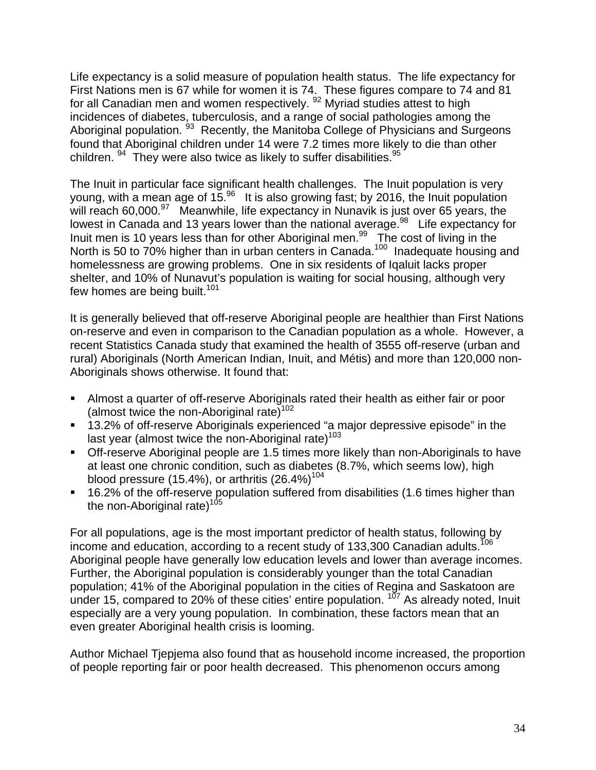Life expectancy is a solid measure of population health status. The life expectancy for First Nations men is 67 while for women it is 74. These figures compare to 74 and 81 for all Canadian men and women respectively.<sup>92</sup> Myriad studies attest to high incidences of diabetes, tuberculosis, and a range of social pathologies among the Aboriginal population. <sup>93</sup> Recently, the Manitoba College of Physicians and Surgeons found that Aboriginal children under 14 were 7.2 times more likely to die than other children.  $94$  They were also twice as likely to suffer disabilities.  $95$ 

The Inuit in particular face significant health challenges. The Inuit population is very young, with a mean age of  $15<sup>96</sup>$  It is also growing fast; by 2016, the Inuit population will reach 60,000.<sup>97</sup> Meanwhile, life expectancy in Nunavik is just over 65 years, the lowest in Canada and 13 years lower than the national average.<sup>98</sup> Life expectancy for Inuit men is 10 years less than for other Aboriginal men.<sup>99</sup> The cost of living in the North is 50 to 70% higher than in urban centers in Canada.<sup>100</sup> Inadequate housing and homelessness are growing problems. One in six residents of Iqaluit lacks proper shelter, and 10% of Nunavut's population is waiting for social housing, although very few homes are being built.<sup>101</sup>

It is generally believed that off-reserve Aboriginal people are healthier than First Nations on-reserve and even in comparison to the Canadian population as a whole. However, a recent Statistics Canada study that examined the health of 3555 off-reserve (urban and rural) Aboriginals (North American Indian, Inuit, and Métis) and more than 120,000 non-Aboriginals shows otherwise. It found that:

- Almost a quarter of off-reserve Aboriginals rated their health as either fair or poor (almost twice the non-Aboriginal rate)<sup>102</sup>
- 13.2% of off-reserve Aboriginals experienced "a major depressive episode" in the last year (almost twice the non-Aboriginal rate)<sup>103</sup>
- Off-reserve Aboriginal people are 1.5 times more likely than non-Aboriginals to have at least one chronic condition, such as diabetes (8.7%, which seems low), high blood pressure (15.4%), or arthritis  $(26.4\%)^{104}$
- 16.2% of the off-reserve population suffered from disabilities (1.6 times higher than the non-Aboriginal rate) $105$

For all populations, age is the most important predictor of health status, following by income and education, according to a recent study of 133,300 Canadian adults.<sup>106</sup> Aboriginal people have generally low education levels and lower than average incomes. Further, the Aboriginal population is considerably younger than the total Canadian population; 41% of the Aboriginal population in the cities of Regina and Saskatoon are under 15, compared to 20% of these cities' entire population.  $107$  As already noted, Inuit especially are a very young population. In combination, these factors mean that an even greater Aboriginal health crisis is looming.

Author Michael Tjepjema also found that as household income increased, the proportion of people reporting fair or poor health decreased. This phenomenon occurs among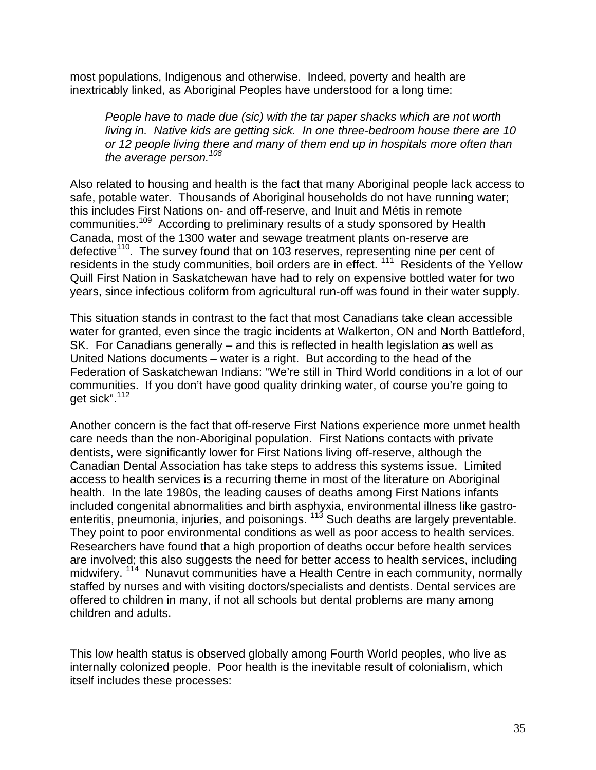most populations, Indigenous and otherwise. Indeed, poverty and health are inextricably linked, as Aboriginal Peoples have understood for a long time:

*People have to made due (sic) with the tar paper shacks which are not worth living in. Native kids are getting sick. In one three-bedroom house there are 10 or 12 people living there and many of them end up in hospitals more often than the average person.<sup>108</sup>*

Also related to housing and health is the fact that many Aboriginal people lack access to safe, potable water. Thousands of Aboriginal households do not have running water; this includes First Nations on- and off-reserve, and Inuit and Métis in remote communities.109 According to preliminary results of a study sponsored by Health Canada, most of the 1300 water and sewage treatment plants on-reserve are defective<sup>110</sup>. The survey found that on 103 reserves, representing nine per cent of residents in the study communities, boil orders are in effect. <sup>111</sup> Residents of the Yellow Quill First Nation in Saskatchewan have had to rely on expensive bottled water for two years, since infectious coliform from agricultural run-off was found in their water supply.

This situation stands in contrast to the fact that most Canadians take clean accessible water for granted, even since the tragic incidents at Walkerton, ON and North Battleford, SK. For Canadians generally – and this is reflected in health legislation as well as United Nations documents – water is a right. But according to the head of the Federation of Saskatchewan Indians: "We're still in Third World conditions in a lot of our communities. If you don't have good quality drinking water, of course you're going to get sick".112

Another concern is the fact that off-reserve First Nations experience more unmet health care needs than the non-Aboriginal population. First Nations contacts with private dentists, were significantly lower for First Nations living off-reserve, although the Canadian Dental Association has take steps to address this systems issue. Limited access to health services is a recurring theme in most of the literature on Aboriginal health. In the late 1980s, the leading causes of deaths among First Nations infants included congenital abnormalities and birth asphyxia, environmental illness like gastroenteritis, pneumonia, injuries, and poisonings.<sup>113</sup> Such deaths are largely preventable. They point to poor environmental conditions as well as poor access to health services. Researchers have found that a high proportion of deaths occur before health services are involved; this also suggests the need for better access to health services, including midwifery. <sup>114</sup> Nunavut communities have a Health Centre in each community, normally staffed by nurses and with visiting doctors/specialists and dentists. Dental services are offered to children in many, if not all schools but dental problems are many among children and adults.

This low health status is observed globally among Fourth World peoples, who live as internally colonized people. Poor health is the inevitable result of colonialism, which itself includes these processes: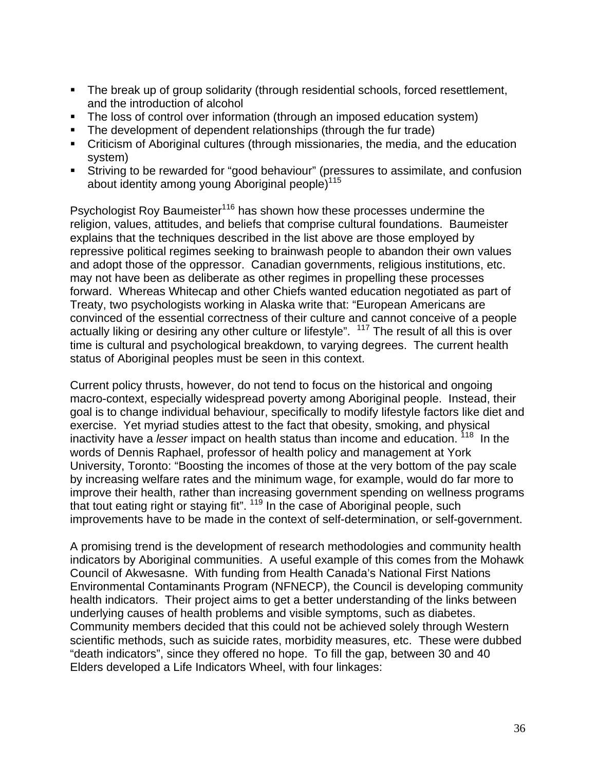- The break up of group solidarity (through residential schools, forced resettlement, and the introduction of alcohol
- The loss of control over information (through an imposed education system)
- The development of dependent relationships (through the fur trade)
- Criticism of Aboriginal cultures (through missionaries, the media, and the education system)
- Striving to be rewarded for "good behaviour" (pressures to assimilate, and confusion about identity among young Aboriginal people $115$

Psychologist Roy Baumeister<sup>116</sup> has shown how these processes undermine the religion, values, attitudes, and beliefs that comprise cultural foundations. Baumeister explains that the techniques described in the list above are those employed by repressive political regimes seeking to brainwash people to abandon their own values and adopt those of the oppressor. Canadian governments, religious institutions, etc. may not have been as deliberate as other regimes in propelling these processes forward. Whereas Whitecap and other Chiefs wanted education negotiated as part of Treaty, two psychologists working in Alaska write that: "European Americans are convinced of the essential correctness of their culture and cannot conceive of a people actually liking or desiring any other culture or lifestyle". <sup>117</sup> The result of all this is over time is cultural and psychological breakdown, to varying degrees. The current health status of Aboriginal peoples must be seen in this context.

Current policy thrusts, however, do not tend to focus on the historical and ongoing macro-context, especially widespread poverty among Aboriginal people. Instead, their goal is to change individual behaviour, specifically to modify lifestyle factors like diet and exercise. Yet myriad studies attest to the fact that obesity, smoking, and physical inactivity have a *lesser* impact on health status than income and education. 118 In the words of Dennis Raphael, professor of health policy and management at York University, Toronto: "Boosting the incomes of those at the very bottom of the pay scale by increasing welfare rates and the minimum wage, for example, would do far more to improve their health, rather than increasing government spending on wellness programs that tout eating right or staying fit". 119 In the case of Aboriginal people, such improvements have to be made in the context of self-determination, or self-government.

A promising trend is the development of research methodologies and community health indicators by Aboriginal communities. A useful example of this comes from the Mohawk Council of Akwesasne. With funding from Health Canada's National First Nations Environmental Contaminants Program (NFNECP), the Council is developing community health indicators. Their project aims to get a better understanding of the links between underlying causes of health problems and visible symptoms, such as diabetes. Community members decided that this could not be achieved solely through Western scientific methods, such as suicide rates, morbidity measures, etc. These were dubbed "death indicators", since they offered no hope. To fill the gap, between 30 and 40 Elders developed a Life Indicators Wheel, with four linkages: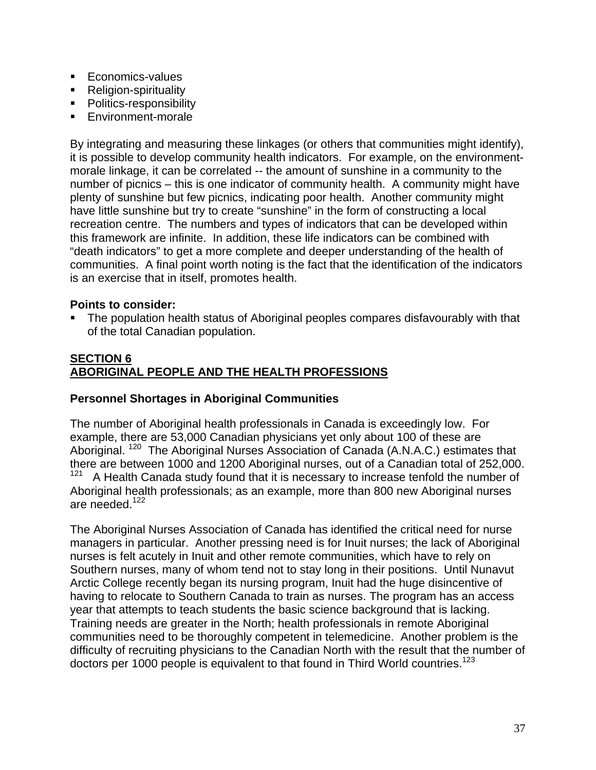- **Economics-values**
- **Religion-spirituality**
- Politics-responsibility
- Environment-morale

By integrating and measuring these linkages (or others that communities might identify), it is possible to develop community health indicators. For example, on the environmentmorale linkage, it can be correlated -- the amount of sunshine in a community to the number of picnics – this is one indicator of community health. A community might have plenty of sunshine but few picnics, indicating poor health. Another community might have little sunshine but try to create "sunshine" in the form of constructing a local recreation centre. The numbers and types of indicators that can be developed within this framework are infinite. In addition, these life indicators can be combined with "death indicators" to get a more complete and deeper understanding of the health of communities. A final point worth noting is the fact that the identification of the indicators is an exercise that in itself, promotes health.

## **Points to consider:**

 The population health status of Aboriginal peoples compares disfavourably with that of the total Canadian population.

### **SECTION 6 ABORIGINAL PEOPLE AND THE HEALTH PROFESSIONS**

## **Personnel Shortages in Aboriginal Communities**

The number of Aboriginal health professionals in Canada is exceedingly low. For example, there are 53,000 Canadian physicians yet only about 100 of these are Aboriginal. <sup>120</sup> The Aboriginal Nurses Association of Canada (A.N.A.C.) estimates that there are between 1000 and 1200 Aboriginal nurses, out of a Canadian total of 252,000.<br> $121 - A$  Health Canada study found that it is necessary to increase tenfold the number of A Health Canada study found that it is necessary to increase tenfold the number of Aboriginal health professionals; as an example, more than 800 new Aboriginal nurses are needed.<sup>122</sup>

The Aboriginal Nurses Association of Canada has identified the critical need for nurse managers in particular. Another pressing need is for Inuit nurses; the lack of Aboriginal nurses is felt acutely in Inuit and other remote communities, which have to rely on Southern nurses, many of whom tend not to stay long in their positions. Until Nunavut Arctic College recently began its nursing program, Inuit had the huge disincentive of having to relocate to Southern Canada to train as nurses. The program has an access year that attempts to teach students the basic science background that is lacking. Training needs are greater in the North; health professionals in remote Aboriginal communities need to be thoroughly competent in telemedicine. Another problem is the difficulty of recruiting physicians to the Canadian North with the result that the number of doctors per 1000 people is equivalent to that found in Third World countries.<sup>123</sup>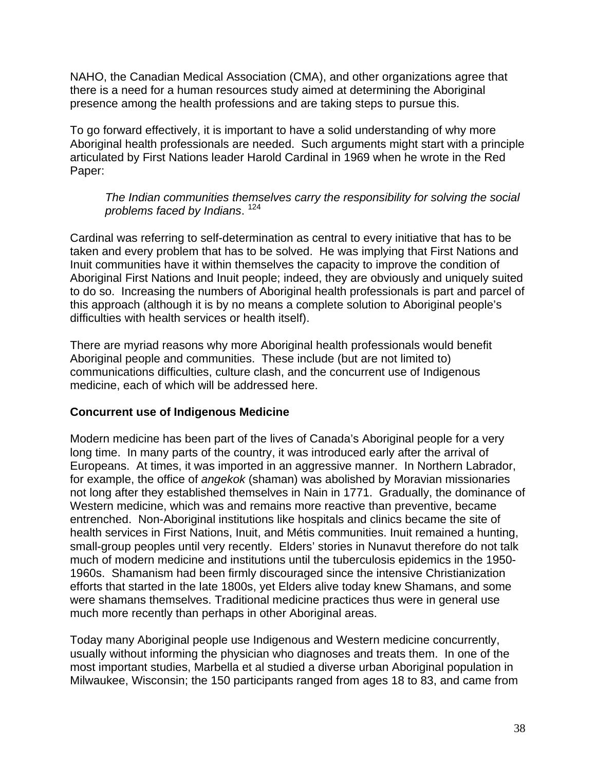NAHO, the Canadian Medical Association (CMA), and other organizations agree that there is a need for a human resources study aimed at determining the Aboriginal presence among the health professions and are taking steps to pursue this.

To go forward effectively, it is important to have a solid understanding of why more Aboriginal health professionals are needed. Such arguments might start with a principle articulated by First Nations leader Harold Cardinal in 1969 when he wrote in the Red Paper:

#### *The Indian communities themselves carry the responsibility for solving the social problems faced by Indians*. 124

Cardinal was referring to self-determination as central to every initiative that has to be taken and every problem that has to be solved. He was implying that First Nations and Inuit communities have it within themselves the capacity to improve the condition of Aboriginal First Nations and Inuit people; indeed, they are obviously and uniquely suited to do so. Increasing the numbers of Aboriginal health professionals is part and parcel of this approach (although it is by no means a complete solution to Aboriginal people's difficulties with health services or health itself).

There are myriad reasons why more Aboriginal health professionals would benefit Aboriginal people and communities. These include (but are not limited to) communications difficulties, culture clash, and the concurrent use of Indigenous medicine, each of which will be addressed here.

## **Concurrent use of Indigenous Medicine**

Modern medicine has been part of the lives of Canada's Aboriginal people for a very long time. In many parts of the country, it was introduced early after the arrival of Europeans. At times, it was imported in an aggressive manner. In Northern Labrador, for example, the office of *angekok* (shaman) was abolished by Moravian missionaries not long after they established themselves in Nain in 1771. Gradually, the dominance of Western medicine, which was and remains more reactive than preventive, became entrenched. Non-Aboriginal institutions like hospitals and clinics became the site of health services in First Nations, Inuit, and Métis communities. Inuit remained a hunting, small-group peoples until very recently. Elders' stories in Nunavut therefore do not talk much of modern medicine and institutions until the tuberculosis epidemics in the 1950- 1960s. Shamanism had been firmly discouraged since the intensive Christianization efforts that started in the late 1800s, yet Elders alive today knew Shamans, and some were shamans themselves. Traditional medicine practices thus were in general use much more recently than perhaps in other Aboriginal areas.

Today many Aboriginal people use Indigenous and Western medicine concurrently, usually without informing the physician who diagnoses and treats them. In one of the most important studies, Marbella et al studied a diverse urban Aboriginal population in Milwaukee, Wisconsin; the 150 participants ranged from ages 18 to 83, and came from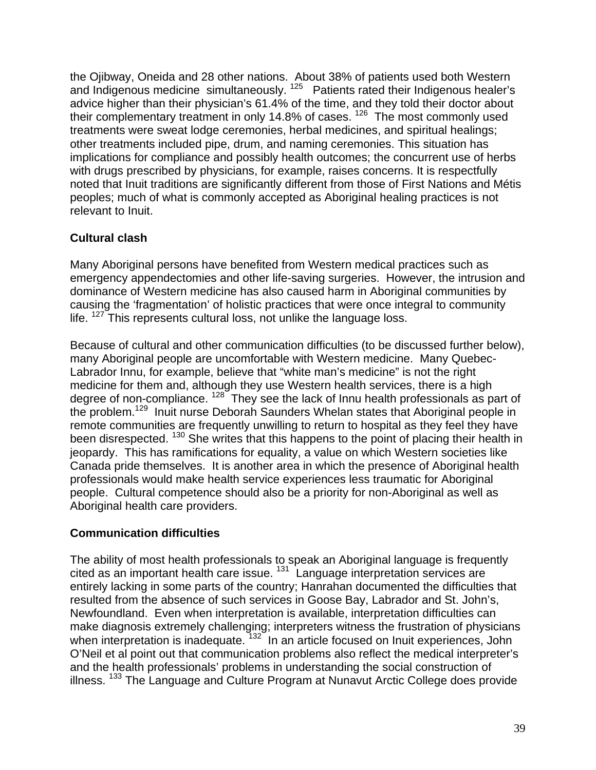the Ojibway, Oneida and 28 other nations. About 38% of patients used both Western and Indigenous medicine simultaneously.  $125$  Patients rated their Indigenous healer's advice higher than their physician's 61.4% of the time, and they told their doctor about their complementary treatment in only 14.8% of cases.<sup>126</sup> The most commonly used treatments were sweat lodge ceremonies, herbal medicines, and spiritual healings; other treatments included pipe, drum, and naming ceremonies. This situation has implications for compliance and possibly health outcomes; the concurrent use of herbs with drugs prescribed by physicians, for example, raises concerns. It is respectfully noted that Inuit traditions are significantly different from those of First Nations and Métis peoples; much of what is commonly accepted as Aboriginal healing practices is not relevant to Inuit.

# **Cultural clash**

Many Aboriginal persons have benefited from Western medical practices such as emergency appendectomies and other life-saving surgeries. However, the intrusion and dominance of Western medicine has also caused harm in Aboriginal communities by causing the 'fragmentation' of holistic practices that were once integral to community life.  $127$  This represents cultural loss, not unlike the language loss.

Because of cultural and other communication difficulties (to be discussed further below), many Aboriginal people are uncomfortable with Western medicine. Many Quebec-Labrador Innu, for example, believe that "white man's medicine" is not the right medicine for them and, although they use Western health services, there is a high degree of non-compliance. <sup>128</sup> They see the lack of Innu health professionals as part of the problem.129 Inuit nurse Deborah Saunders Whelan states that Aboriginal people in remote communities are frequently unwilling to return to hospital as they feel they have been disrespected. <sup>130</sup> She writes that this happens to the point of placing their health in jeopardy. This has ramifications for equality, a value on which Western societies like Canada pride themselves. It is another area in which the presence of Aboriginal health professionals would make health service experiences less traumatic for Aboriginal people. Cultural competence should also be a priority for non-Aboriginal as well as Aboriginal health care providers.

## **Communication difficulties**

The ability of most health professionals to speak an Aboriginal language is frequently cited as an important health care issue. 131 Language interpretation services are entirely lacking in some parts of the country; Hanrahan documented the difficulties that resulted from the absence of such services in Goose Bay, Labrador and St. John's, Newfoundland. Even when interpretation is available, interpretation difficulties can make diagnosis extremely challenging; interpreters witness the frustration of physicians when interpretation is inadequate. <sup>132</sup> In an article focused on Inuit experiences, John O'Neil et al point out that communication problems also reflect the medical interpreter's and the health professionals' problems in understanding the social construction of illness. 133 The Language and Culture Program at Nunavut Arctic College does provide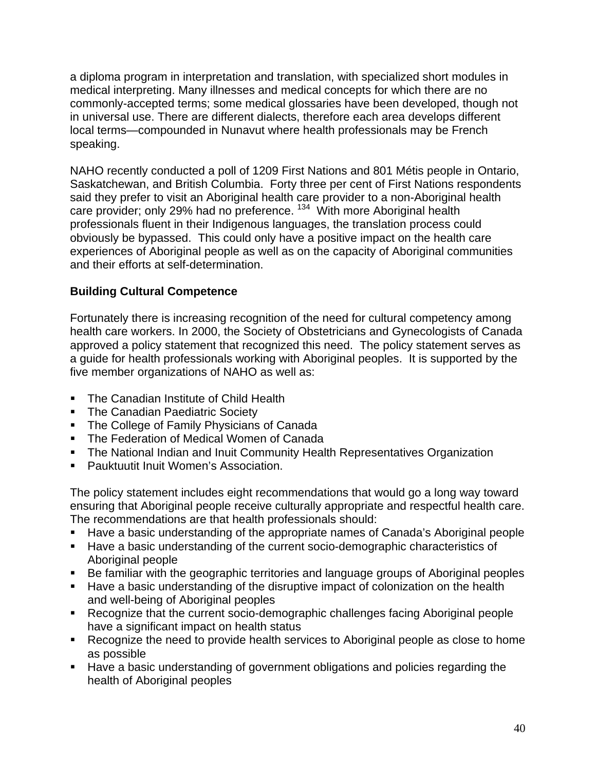a diploma program in interpretation and translation, with specialized short modules in medical interpreting. Many illnesses and medical concepts for which there are no commonly-accepted terms; some medical glossaries have been developed, though not in universal use. There are different dialects, therefore each area develops different local terms—compounded in Nunavut where health professionals may be French speaking.

NAHO recently conducted a poll of 1209 First Nations and 801 Métis people in Ontario, Saskatchewan, and British Columbia. Forty three per cent of First Nations respondents said they prefer to visit an Aboriginal health care provider to a non-Aboriginal health care provider; only 29% had no preference.<sup>134</sup> With more Aboriginal health professionals fluent in their Indigenous languages, the translation process could obviously be bypassed. This could only have a positive impact on the health care experiences of Aboriginal people as well as on the capacity of Aboriginal communities and their efforts at self-determination.

# **Building Cultural Competence**

Fortunately there is increasing recognition of the need for cultural competency among health care workers. In 2000, the Society of Obstetricians and Gynecologists of Canada approved a policy statement that recognized this need. The policy statement serves as a guide for health professionals working with Aboriginal peoples. It is supported by the five member organizations of NAHO as well as:

- **The Canadian Institute of Child Health**
- **The Canadian Paediatric Society**
- **The College of Family Physicians of Canada**
- **The Federation of Medical Women of Canada**
- **The National Indian and Inuit Community Health Representatives Organization**
- **Pauktuutit Inuit Women's Association.**

The policy statement includes eight recommendations that would go a long way toward ensuring that Aboriginal people receive culturally appropriate and respectful health care. The recommendations are that health professionals should:

- Have a basic understanding of the appropriate names of Canada's Aboriginal people
- Have a basic understanding of the current socio-demographic characteristics of Aboriginal people
- Be familiar with the geographic territories and language groups of Aboriginal peoples
- Have a basic understanding of the disruptive impact of colonization on the health and well-being of Aboriginal peoples
- Recognize that the current socio-demographic challenges facing Aboriginal people have a significant impact on health status
- Recognize the need to provide health services to Aboriginal people as close to home as possible
- **Have a basic understanding of government obligations and policies regarding the** health of Aboriginal peoples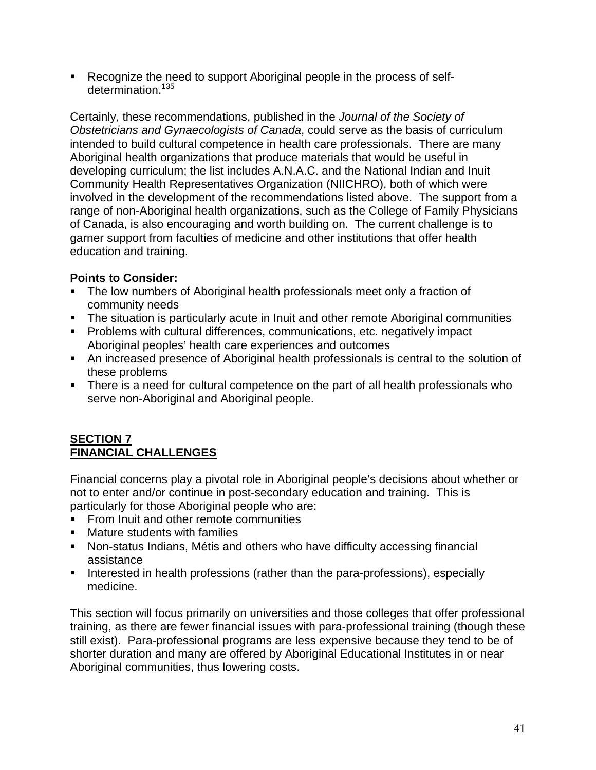Recognize the need to support Aboriginal people in the process of selfdetermination.<sup>135</sup>

Certainly, these recommendations, published in the *Journal of the Society of Obstetricians and Gynaecologists of Canada*, could serve as the basis of curriculum intended to build cultural competence in health care professionals. There are many Aboriginal health organizations that produce materials that would be useful in developing curriculum; the list includes A.N.A.C. and the National Indian and Inuit Community Health Representatives Organization (NIICHRO), both of which were involved in the development of the recommendations listed above. The support from a range of non-Aboriginal health organizations, such as the College of Family Physicians of Canada, is also encouraging and worth building on. The current challenge is to garner support from faculties of medicine and other institutions that offer health education and training.

# **Points to Consider:**

- The low numbers of Aboriginal health professionals meet only a fraction of community needs
- The situation is particularly acute in Inuit and other remote Aboriginal communities
- **Problems with cultural differences, communications, etc. negatively impact** Aboriginal peoples' health care experiences and outcomes
- An increased presence of Aboriginal health professionals is central to the solution of these problems
- There is a need for cultural competence on the part of all health professionals who serve non-Aboriginal and Aboriginal people.

## **SECTION 7 FINANCIAL CHALLENGES**

Financial concerns play a pivotal role in Aboriginal people's decisions about whether or not to enter and/or continue in post-secondary education and training. This is particularly for those Aboriginal people who are:

- From Inuit and other remote communities
- **Mature students with families**
- Non-status Indians, Métis and others who have difficulty accessing financial assistance
- Interested in health professions (rather than the para-professions), especially medicine.

This section will focus primarily on universities and those colleges that offer professional training, as there are fewer financial issues with para-professional training (though these still exist). Para-professional programs are less expensive because they tend to be of shorter duration and many are offered by Aboriginal Educational Institutes in or near Aboriginal communities, thus lowering costs.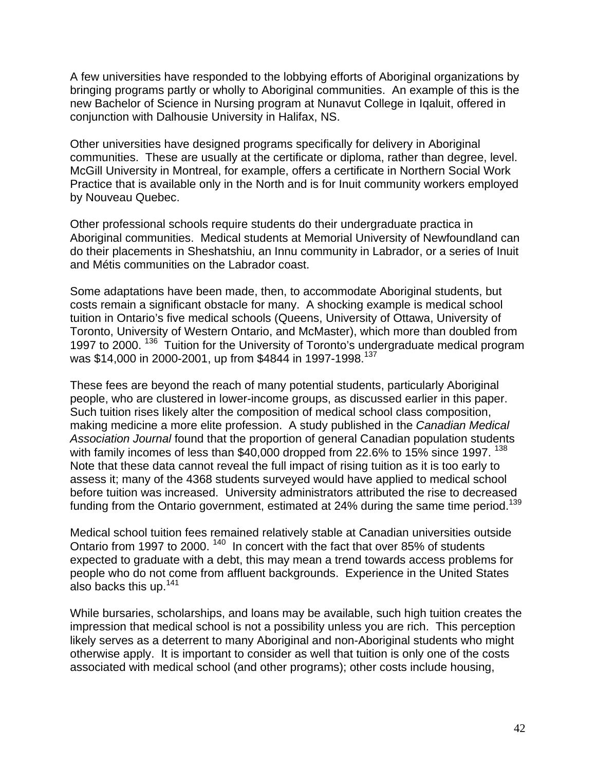A few universities have responded to the lobbying efforts of Aboriginal organizations by bringing programs partly or wholly to Aboriginal communities. An example of this is the new Bachelor of Science in Nursing program at Nunavut College in Iqaluit, offered in conjunction with Dalhousie University in Halifax, NS.

Other universities have designed programs specifically for delivery in Aboriginal communities. These are usually at the certificate or diploma, rather than degree, level. McGill University in Montreal, for example, offers a certificate in Northern Social Work Practice that is available only in the North and is for Inuit community workers employed by Nouveau Quebec.

Other professional schools require students do their undergraduate practica in Aboriginal communities. Medical students at Memorial University of Newfoundland can do their placements in Sheshatshiu, an Innu community in Labrador, or a series of Inuit and Métis communities on the Labrador coast.

Some adaptations have been made, then, to accommodate Aboriginal students, but costs remain a significant obstacle for many. A shocking example is medical school tuition in Ontario's five medical schools (Queens, University of Ottawa, University of Toronto, University of Western Ontario, and McMaster), which more than doubled from 1997 to 2000.<sup>136</sup> Tuition for the University of Toronto's undergraduate medical program was \$14,000 in 2000-2001, up from \$4844 in 1997-1998.<sup>137</sup>

These fees are beyond the reach of many potential students, particularly Aboriginal people, who are clustered in lower-income groups, as discussed earlier in this paper. Such tuition rises likely alter the composition of medical school class composition, making medicine a more elite profession. A study published in the *Canadian Medical Association Journal* found that the proportion of general Canadian population students with family incomes of less than \$40,000 dropped from 22.6% to 15% since 1997. <sup>138</sup> Note that these data cannot reveal the full impact of rising tuition as it is too early to assess it; many of the 4368 students surveyed would have applied to medical school before tuition was increased. University administrators attributed the rise to decreased funding from the Ontario government, estimated at 24% during the same time period.<sup>139</sup>

Medical school tuition fees remained relatively stable at Canadian universities outside Ontario from 1997 to 2000.<sup>140</sup> In concert with the fact that over 85% of students expected to graduate with a debt, this may mean a trend towards access problems for people who do not come from affluent backgrounds. Experience in the United States also backs this up.  $141$ 

While bursaries, scholarships, and loans may be available, such high tuition creates the impression that medical school is not a possibility unless you are rich. This perception likely serves as a deterrent to many Aboriginal and non-Aboriginal students who might otherwise apply. It is important to consider as well that tuition is only one of the costs associated with medical school (and other programs); other costs include housing,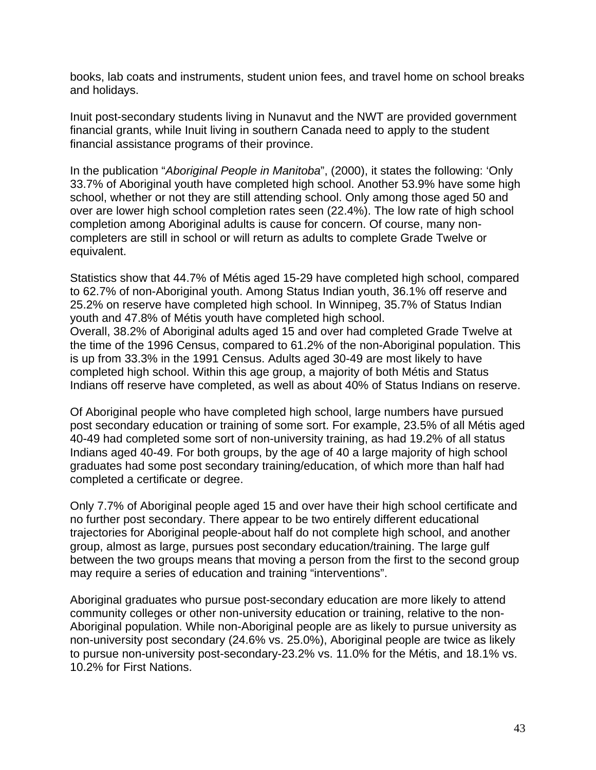books, lab coats and instruments, student union fees, and travel home on school breaks and holidays.

Inuit post-secondary students living in Nunavut and the NWT are provided government financial grants, while Inuit living in southern Canada need to apply to the student financial assistance programs of their province.

In the publication "*Aboriginal People in Manitoba*", (2000), it states the following: 'Only 33.7% of Aboriginal youth have completed high school. Another 53.9% have some high school, whether or not they are still attending school. Only among those aged 50 and over are lower high school completion rates seen (22.4%). The low rate of high school completion among Aboriginal adults is cause for concern. Of course, many noncompleters are still in school or will return as adults to complete Grade Twelve or equivalent.

Statistics show that 44.7% of Métis aged 15-29 have completed high school, compared to 62.7% of non-Aboriginal youth. Among Status Indian youth, 36.1% off reserve and 25.2% on reserve have completed high school. In Winnipeg, 35.7% of Status Indian youth and 47.8% of Métis youth have completed high school. Overall, 38.2% of Aboriginal adults aged 15 and over had completed Grade Twelve at the time of the 1996 Census, compared to 61.2% of the non-Aboriginal population. This is up from 33.3% in the 1991 Census. Adults aged 30-49 are most likely to have completed high school. Within this age group, a majority of both Métis and Status Indians off reserve have completed, as well as about 40% of Status Indians on reserve.

Of Aboriginal people who have completed high school, large numbers have pursued post secondary education or training of some sort. For example, 23.5% of all Métis aged 40-49 had completed some sort of non-university training, as had 19.2% of all status Indians aged 40-49. For both groups, by the age of 40 a large majority of high school graduates had some post secondary training/education, of which more than half had completed a certificate or degree.

Only 7.7% of Aboriginal people aged 15 and over have their high school certificate and no further post secondary. There appear to be two entirely different educational trajectories for Aboriginal people-about half do not complete high school, and another group, almost as large, pursues post secondary education/training. The large gulf between the two groups means that moving a person from the first to the second group may require a series of education and training "interventions".

Aboriginal graduates who pursue post-secondary education are more likely to attend community colleges or other non-university education or training, relative to the non-Aboriginal population. While non-Aboriginal people are as likely to pursue university as non-university post secondary (24.6% vs. 25.0%), Aboriginal people are twice as likely to pursue non-university post-secondary-23.2% vs. 11.0% for the Métis, and 18.1% vs. 10.2% for First Nations.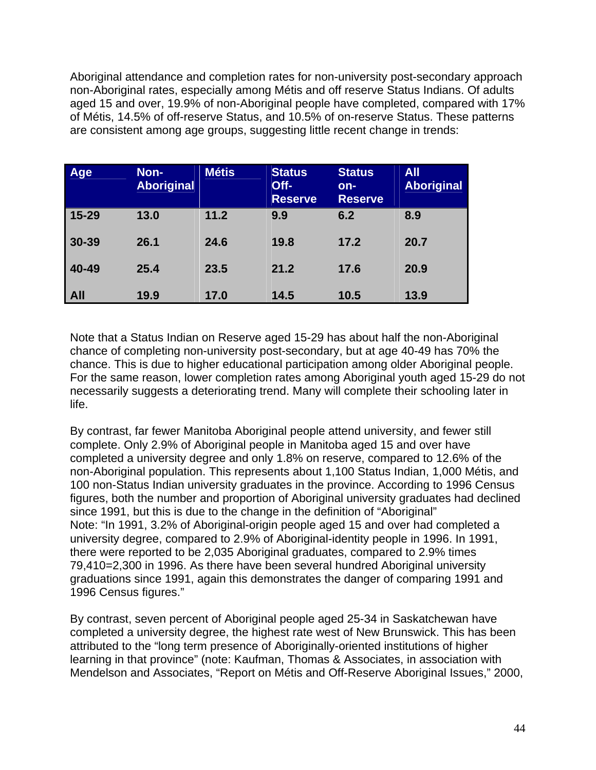Aboriginal attendance and completion rates for non-university post-secondary approach non-Aboriginal rates, especially among Métis and off reserve Status Indians. Of adults aged 15 and over, 19.9% of non-Aboriginal people have completed, compared with 17% of Métis, 14.5% of off-reserve Status, and 10.5% of on-reserve Status. These patterns are consistent among age groups, suggesting little recent change in trends:

| Age        | Non-<br><b>Aboriginal</b> | <b>Métis</b> | <b>Status</b><br>Off-<br><b>Reserve</b> | <b>Status</b><br>$on-$<br><b>Reserve</b> | <b>All</b><br><b>Aboriginal</b> |
|------------|---------------------------|--------------|-----------------------------------------|------------------------------------------|---------------------------------|
| $15 - 29$  | 13.0                      | 11.2         | 9.9                                     | 6.2                                      | 8.9                             |
| 30-39      | 26.1                      | 24.6         | 19.8                                    | 17.2                                     | 20.7                            |
| 40-49      | 25.4                      | 23.5         | 21.2                                    | 17.6                                     | 20.9                            |
| <b>All</b> | 19.9                      | 17.0         | 14.5                                    | 10.5                                     | 13.9                            |

Note that a Status Indian on Reserve aged 15-29 has about half the non-Aboriginal chance of completing non-university post-secondary, but at age 40-49 has 70% the chance. This is due to higher educational participation among older Aboriginal people. For the same reason, lower completion rates among Aboriginal youth aged 15-29 do not necessarily suggests a deteriorating trend. Many will complete their schooling later in life.

By contrast, far fewer Manitoba Aboriginal people attend university, and fewer still complete. Only 2.9% of Aboriginal people in Manitoba aged 15 and over have completed a university degree and only 1.8% on reserve, compared to 12.6% of the non-Aboriginal population. This represents about 1,100 Status Indian, 1,000 Métis, and 100 non-Status Indian university graduates in the province. According to 1996 Census figures, both the number and proportion of Aboriginal university graduates had declined since 1991, but this is due to the change in the definition of "Aboriginal" Note: "In 1991, 3.2% of Aboriginal-origin people aged 15 and over had completed a university degree, compared to 2.9% of Aboriginal-identity people in 1996. In 1991, there were reported to be 2,035 Aboriginal graduates, compared to 2.9% times 79,410=2,300 in 1996. As there have been several hundred Aboriginal university graduations since 1991, again this demonstrates the danger of comparing 1991 and 1996 Census figures."

By contrast, seven percent of Aboriginal people aged 25-34 in Saskatchewan have completed a university degree, the highest rate west of New Brunswick. This has been attributed to the "long term presence of Aboriginally-oriented institutions of higher learning in that province" (note: Kaufman, Thomas & Associates, in association with Mendelson and Associates, "Report on Métis and Off-Reserve Aboriginal Issues," 2000,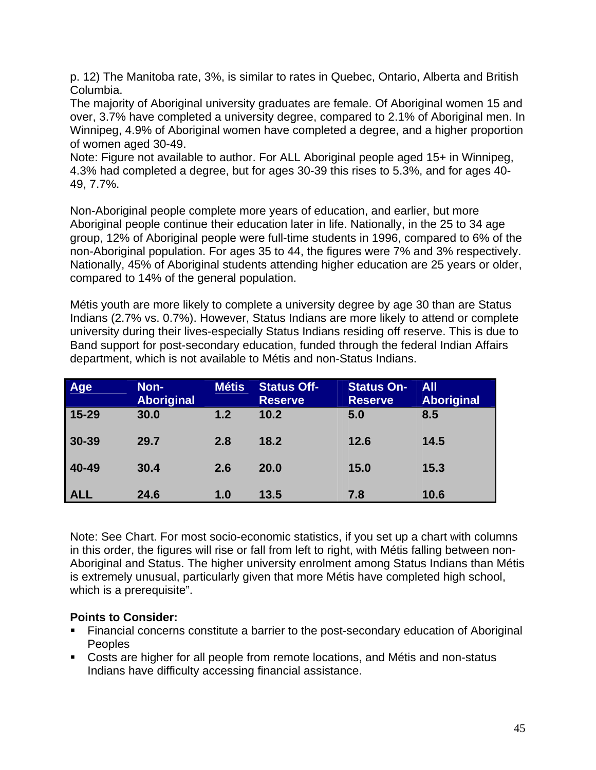p. 12) The Manitoba rate, 3%, is similar to rates in Quebec, Ontario, Alberta and British Columbia.

The majority of Aboriginal university graduates are female. Of Aboriginal women 15 and over, 3.7% have completed a university degree, compared to 2.1% of Aboriginal men. In Winnipeg, 4.9% of Aboriginal women have completed a degree, and a higher proportion of women aged 30-49.

Note: Figure not available to author. For ALL Aboriginal people aged 15+ in Winnipeg, 4.3% had completed a degree, but for ages 30-39 this rises to 5.3%, and for ages 40- 49, 7.7%.

Non-Aboriginal people complete more years of education, and earlier, but more Aboriginal people continue their education later in life. Nationally, in the 25 to 34 age group, 12% of Aboriginal people were full-time students in 1996, compared to 6% of the non-Aboriginal population. For ages 35 to 44, the figures were 7% and 3% respectively. Nationally, 45% of Aboriginal students attending higher education are 25 years or older, compared to 14% of the general population.

Métis youth are more likely to complete a university degree by age 30 than are Status Indians (2.7% vs. 0.7%). However, Status Indians are more likely to attend or complete university during their lives-especially Status Indians residing off reserve. This is due to Band support for post-secondary education, funded through the federal Indian Affairs department, which is not available to Métis and non-Status Indians.

| Age        | Non-<br><b>Aboriginal</b> | <b>Métis</b> | <b>Status Off-</b><br><b>Reserve</b> | <b>Status On-</b><br><b>Reserve</b> | <b>All</b><br><b>Aboriginal</b> |
|------------|---------------------------|--------------|--------------------------------------|-------------------------------------|---------------------------------|
| $15 - 29$  | 30.0                      | 1.2          | 10.2                                 | 5.0                                 | 8.5                             |
| 30-39      | 29.7                      | 2.8          | 18.2                                 | 12.6                                | 14.5                            |
| 40-49      | 30.4                      | 2.6          | 20.0                                 | 15.0                                | 15.3                            |
| <b>ALL</b> | 24.6                      | 1.0          | 13.5                                 | 7.8                                 | 10.6                            |

Note: See Chart. For most socio-economic statistics, if you set up a chart with columns in this order, the figures will rise or fall from left to right, with Métis falling between non-Aboriginal and Status. The higher university enrolment among Status Indians than Métis is extremely unusual, particularly given that more Métis have completed high school, which is a prerequisite".

#### **Points to Consider:**

- Financial concerns constitute a barrier to the post-secondary education of Aboriginal Peoples
- Costs are higher for all people from remote locations, and Métis and non-status Indians have difficulty accessing financial assistance.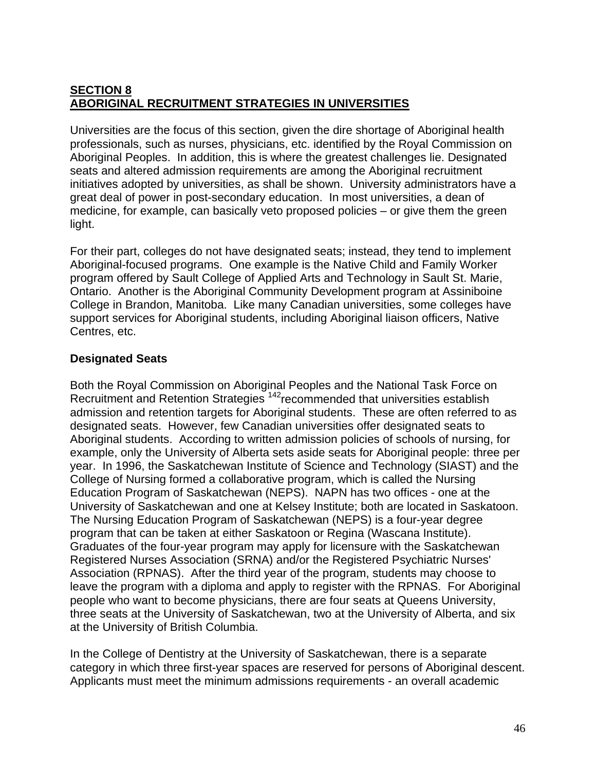# **SECTION 8 ABORIGINAL RECRUITMENT STRATEGIES IN UNIVERSITIES**

Universities are the focus of this section, given the dire shortage of Aboriginal health professionals, such as nurses, physicians, etc. identified by the Royal Commission on Aboriginal Peoples. In addition, this is where the greatest challenges lie. Designated seats and altered admission requirements are among the Aboriginal recruitment initiatives adopted by universities, as shall be shown. University administrators have a great deal of power in post-secondary education. In most universities, a dean of medicine, for example, can basically veto proposed policies – or give them the green light.

For their part, colleges do not have designated seats; instead, they tend to implement Aboriginal-focused programs. One example is the Native Child and Family Worker program offered by Sault College of Applied Arts and Technology in Sault St. Marie, Ontario. Another is the Aboriginal Community Development program at Assiniboine College in Brandon, Manitoba. Like many Canadian universities, some colleges have support services for Aboriginal students, including Aboriginal liaison officers, Native Centres, etc.

# **Designated Seats**

Both the Royal Commission on Aboriginal Peoples and the National Task Force on Recruitment and Retention Strategies<sup>142</sup>recommended that universities establish admission and retention targets for Aboriginal students. These are often referred to as designated seats. However, few Canadian universities offer designated seats to Aboriginal students. According to written admission policies of schools of nursing, for example, only the University of Alberta sets aside seats for Aboriginal people: three per year. In 1996, the Saskatchewan Institute of Science and Technology (SIAST) and the College of Nursing formed a collaborative program, which is called the Nursing Education Program of Saskatchewan (NEPS). NAPN has two offices - one at the University of Saskatchewan and one at Kelsey Institute; both are located in Saskatoon. The Nursing Education Program of Saskatchewan (NEPS) is a four-year degree program that can be taken at either Saskatoon or Regina (Wascana Institute). Graduates of the four-year program may apply for licensure with the Saskatchewan Registered Nurses Association (SRNA) and/or the Registered Psychiatric Nurses' Association (RPNAS). After the third year of the program, students may choose to leave the program with a diploma and apply to register with the RPNAS. For Aboriginal people who want to become physicians, there are four seats at Queens University, three seats at the University of Saskatchewan, two at the University of Alberta, and six at the University of British Columbia.

In the College of Dentistry at the University of Saskatchewan, there is a separate category in which three first-year spaces are reserved for persons of Aboriginal descent. Applicants must meet the minimum admissions requirements - an overall academic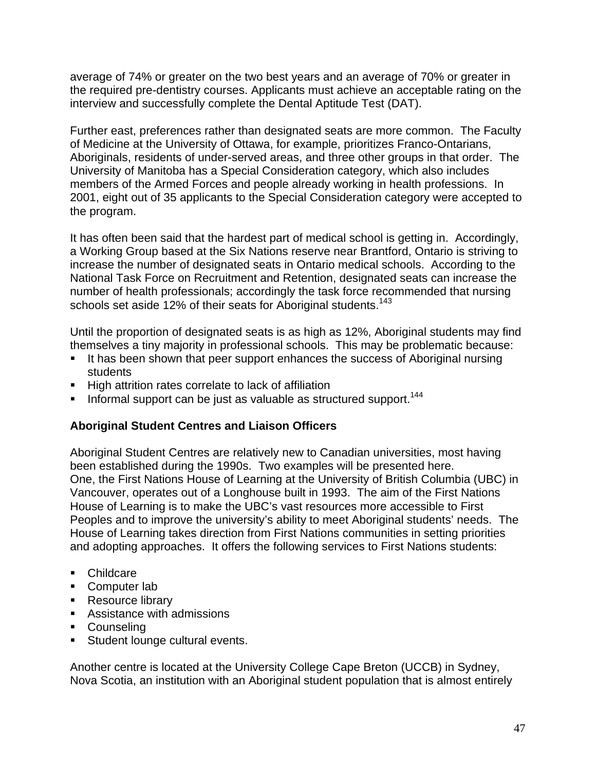average of 74% or greater on the two best years and an average of 70% or greater in the required pre-dentistry courses. Applicants must achieve an acceptable rating on the interview and successfully complete the Dental Aptitude Test (DAT).

Further east, preferences rather than designated seats are more common. The Faculty of Medicine at the University of Ottawa, for example, prioritizes Franco-Ontarians, Aboriginals, residents of under-served areas, and three other groups in that order. The University of Manitoba has a Special Consideration category, which also includes members of the Armed Forces and people already working in health professions. In 2001, eight out of 35 applicants to the Special Consideration category were accepted to the program.

It has often been said that the hardest part of medical school is getting in. Accordingly, a Working Group based at the Six Nations reserve near Brantford, Ontario is striving to increase the number of designated seats in Ontario medical schools. According to the National Task Force on Recruitment and Retention, designated seats can increase the number of health professionals; accordingly the task force recommended that nursing schools set aside 12% of their seats for Aboriginal students.<sup>143</sup>

Until the proportion of designated seats is as high as 12%, Aboriginal students may find themselves a tiny majority in professional schools. This may be problematic because:

- It has been shown that peer support enhances the success of Aboriginal nursing students
- **High attrition rates correlate to lack of affiliation**
- Informal support can be just as valuable as structured support.<sup>144</sup>

## **Aboriginal Student Centres and Liaison Officers**

Aboriginal Student Centres are relatively new to Canadian universities, most having been established during the 1990s. Two examples will be presented here. One, the First Nations House of Learning at the University of British Columbia (UBC) in Vancouver, operates out of a Longhouse built in 1993. The aim of the First Nations House of Learning is to make the UBC's vast resources more accessible to First Peoples and to improve the university's ability to meet Aboriginal students' needs. The House of Learning takes direction from First Nations communities in setting priorities and adopting approaches. It offers the following services to First Nations students:

- **Childcare**
- **Computer lab**
- **Resource library**
- Assistance with admissions
- Counseling
- **Student lounge cultural events.**

Another centre is located at the University College Cape Breton (UCCB) in Sydney, Nova Scotia, an institution with an Aboriginal student population that is almost entirely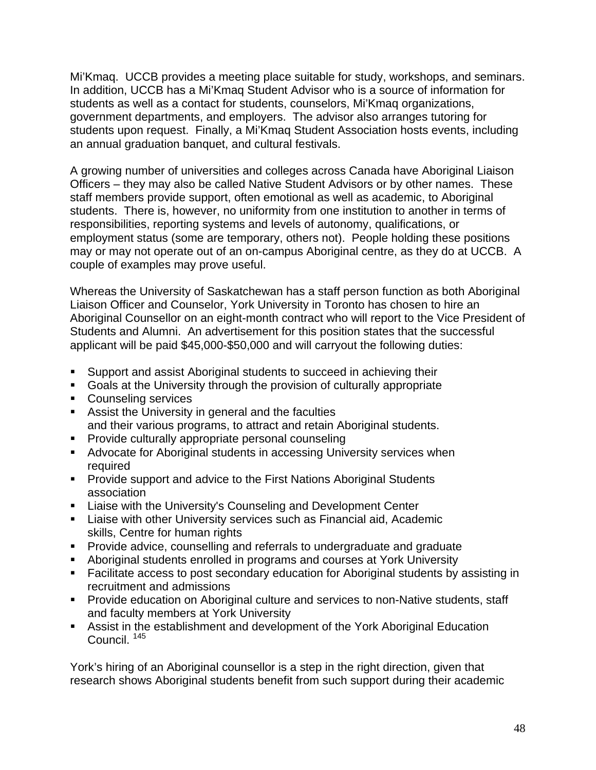Mi'Kmaq. UCCB provides a meeting place suitable for study, workshops, and seminars. In addition, UCCB has a Mi'Kmaq Student Advisor who is a source of information for students as well as a contact for students, counselors, Mi'Kmaq organizations, government departments, and employers. The advisor also arranges tutoring for students upon request. Finally, a Mi'Kmaq Student Association hosts events, including an annual graduation banquet, and cultural festivals.

A growing number of universities and colleges across Canada have Aboriginal Liaison Officers – they may also be called Native Student Advisors or by other names. These staff members provide support, often emotional as well as academic, to Aboriginal students. There is, however, no uniformity from one institution to another in terms of responsibilities, reporting systems and levels of autonomy, qualifications, or employment status (some are temporary, others not). People holding these positions may or may not operate out of an on-campus Aboriginal centre, as they do at UCCB. A couple of examples may prove useful.

Whereas the University of Saskatchewan has a staff person function as both Aboriginal Liaison Officer and Counselor, York University in Toronto has chosen to hire an Aboriginal Counsellor on an eight-month contract who will report to the Vice President of Students and Alumni. An advertisement for this position states that the successful applicant will be paid \$45,000-\$50,000 and will carryout the following duties:

- Support and assist Aboriginal students to succeed in achieving their
- Goals at the University through the provision of culturally appropriate
- **Counseling services**
- Assist the University in general and the faculties and their various programs, to attract and retain Aboriginal students.
- **Provide culturally appropriate personal counseling**
- Advocate for Aboriginal students in accessing University services when required
- **Provide support and advice to the First Nations Aboriginal Students** association
- **EXEC** Liaise with the University's Counseling and Development Center
- Liaise with other University services such as Financial aid, Academic skills, Centre for human rights
- **Provide advice, counselling and referrals to undergraduate and graduate**
- Aboriginal students enrolled in programs and courses at York University
- Facilitate access to post secondary education for Aboriginal students by assisting in recruitment and admissions
- **Provide education on Aboriginal culture and services to non-Native students, staff** and faculty members at York University
- Assist in the establishment and development of the York Aboriginal Education Council. <sup>145</sup>

York's hiring of an Aboriginal counsellor is a step in the right direction, given that research shows Aboriginal students benefit from such support during their academic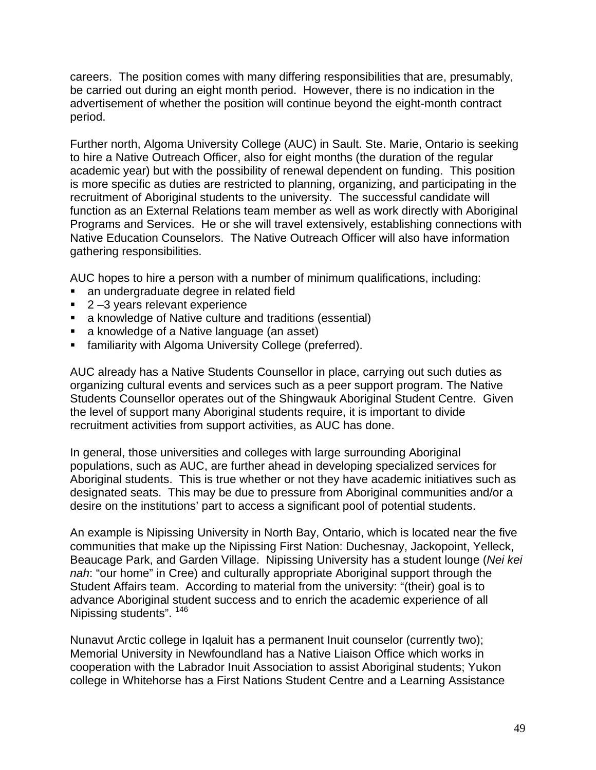careers. The position comes with many differing responsibilities that are, presumably, be carried out during an eight month period. However, there is no indication in the advertisement of whether the position will continue beyond the eight-month contract period.

Further north, Algoma University College (AUC) in Sault. Ste. Marie, Ontario is seeking to hire a Native Outreach Officer, also for eight months (the duration of the regular academic year) but with the possibility of renewal dependent on funding. This position is more specific as duties are restricted to planning, organizing, and participating in the recruitment of Aboriginal students to the university. The successful candidate will function as an External Relations team member as well as work directly with Aboriginal Programs and Services. He or she will travel extensively, establishing connections with Native Education Counselors. The Native Outreach Officer will also have information gathering responsibilities.

AUC hopes to hire a person with a number of minimum qualifications, including:

- an undergraduate degree in related field
- 2-3 years relevant experience
- a knowledge of Native culture and traditions (essential)
- a knowledge of a Native language (an asset)
- **familiarity with Algoma University College (preferred).**

AUC already has a Native Students Counsellor in place, carrying out such duties as organizing cultural events and services such as a peer support program. The Native Students Counsellor operates out of the Shingwauk Aboriginal Student Centre. Given the level of support many Aboriginal students require, it is important to divide recruitment activities from support activities, as AUC has done.

In general, those universities and colleges with large surrounding Aboriginal populations, such as AUC, are further ahead in developing specialized services for Aboriginal students. This is true whether or not they have academic initiatives such as designated seats. This may be due to pressure from Aboriginal communities and/or a desire on the institutions' part to access a significant pool of potential students.

An example is Nipissing University in North Bay, Ontario, which is located near the five communities that make up the Nipissing First Nation: Duchesnay, Jackopoint, Yelleck, Beaucage Park, and Garden Village. Nipissing University has a student lounge (*Nei kei nah*: "our home" in Cree) and culturally appropriate Aboriginal support through the Student Affairs team. According to material from the university: "(their) goal is to advance Aboriginal student success and to enrich the academic experience of all Nipissing students". <sup>146</sup>

Nunavut Arctic college in Iqaluit has a permanent Inuit counselor (currently two); Memorial University in Newfoundland has a Native Liaison Office which works in cooperation with the Labrador Inuit Association to assist Aboriginal students; Yukon college in Whitehorse has a First Nations Student Centre and a Learning Assistance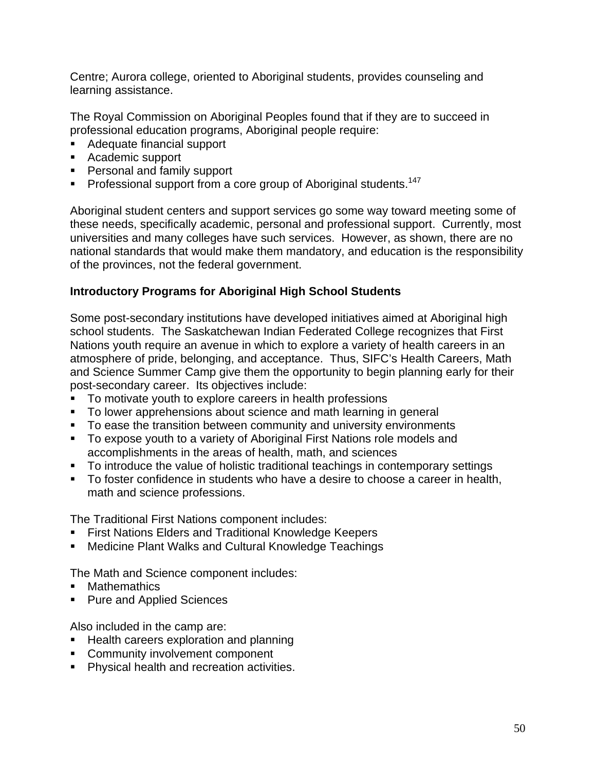Centre; Aurora college, oriented to Aboriginal students, provides counseling and learning assistance.

The Royal Commission on Aboriginal Peoples found that if they are to succeed in professional education programs, Aboriginal people require:

- Adequate financial support
- Academic support
- **Personal and family support**
- Professional support from a core group of Aboriginal students.<sup>147</sup>

Aboriginal student centers and support services go some way toward meeting some of these needs, specifically academic, personal and professional support. Currently, most universities and many colleges have such services. However, as shown, there are no national standards that would make them mandatory, and education is the responsibility of the provinces, not the federal government.

### **Introductory Programs for Aboriginal High School Students**

Some post-secondary institutions have developed initiatives aimed at Aboriginal high school students. The Saskatchewan Indian Federated College recognizes that First Nations youth require an avenue in which to explore a variety of health careers in an atmosphere of pride, belonging, and acceptance. Thus, SIFC's Health Careers, Math and Science Summer Camp give them the opportunity to begin planning early for their post-secondary career. Its objectives include:

- To motivate youth to explore careers in health professions
- To lower apprehensions about science and math learning in general
- To ease the transition between community and university environments
- To expose youth to a variety of Aboriginal First Nations role models and accomplishments in the areas of health, math, and sciences
- To introduce the value of holistic traditional teachings in contemporary settings
- To foster confidence in students who have a desire to choose a career in health, math and science professions.

The Traditional First Nations component includes:

- **First Nations Elders and Traditional Knowledge Keepers**
- **E** Medicine Plant Walks and Cultural Knowledge Teachings

The Math and Science component includes:

- **Mathemathics**
- **Pure and Applied Sciences**

Also included in the camp are:

- **Health careers exploration and planning**
- **Community involvement component**
- **Physical health and recreation activities.**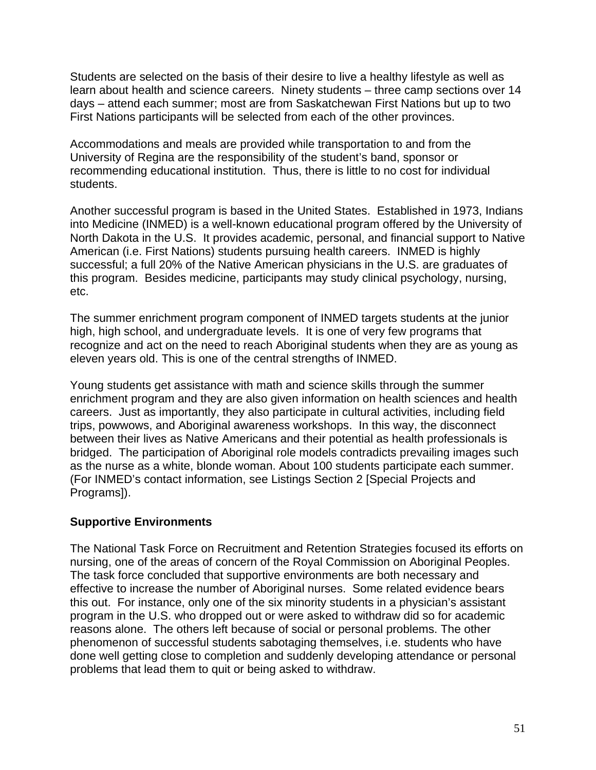Students are selected on the basis of their desire to live a healthy lifestyle as well as learn about health and science careers. Ninety students – three camp sections over 14 days – attend each summer; most are from Saskatchewan First Nations but up to two First Nations participants will be selected from each of the other provinces.

Accommodations and meals are provided while transportation to and from the University of Regina are the responsibility of the student's band, sponsor or recommending educational institution. Thus, there is little to no cost for individual students.

Another successful program is based in the United States. Established in 1973, Indians into Medicine (INMED) is a well-known educational program offered by the University of North Dakota in the U.S. It provides academic, personal, and financial support to Native American (i.e. First Nations) students pursuing health careers. INMED is highly successful; a full 20% of the Native American physicians in the U.S. are graduates of this program. Besides medicine, participants may study clinical psychology, nursing, etc.

The summer enrichment program component of INMED targets students at the junior high, high school, and undergraduate levels. It is one of very few programs that recognize and act on the need to reach Aboriginal students when they are as young as eleven years old. This is one of the central strengths of INMED.

Young students get assistance with math and science skills through the summer enrichment program and they are also given information on health sciences and health careers. Just as importantly, they also participate in cultural activities, including field trips, powwows, and Aboriginal awareness workshops. In this way, the disconnect between their lives as Native Americans and their potential as health professionals is bridged. The participation of Aboriginal role models contradicts prevailing images such as the nurse as a white, blonde woman. About 100 students participate each summer. (For INMED's contact information, see Listings Section 2 [Special Projects and Programs]).

## **Supportive Environments**

The National Task Force on Recruitment and Retention Strategies focused its efforts on nursing, one of the areas of concern of the Royal Commission on Aboriginal Peoples. The task force concluded that supportive environments are both necessary and effective to increase the number of Aboriginal nurses. Some related evidence bears this out. For instance, only one of the six minority students in a physician's assistant program in the U.S. who dropped out or were asked to withdraw did so for academic reasons alone. The others left because of social or personal problems. The other phenomenon of successful students sabotaging themselves, i.e. students who have done well getting close to completion and suddenly developing attendance or personal problems that lead them to quit or being asked to withdraw.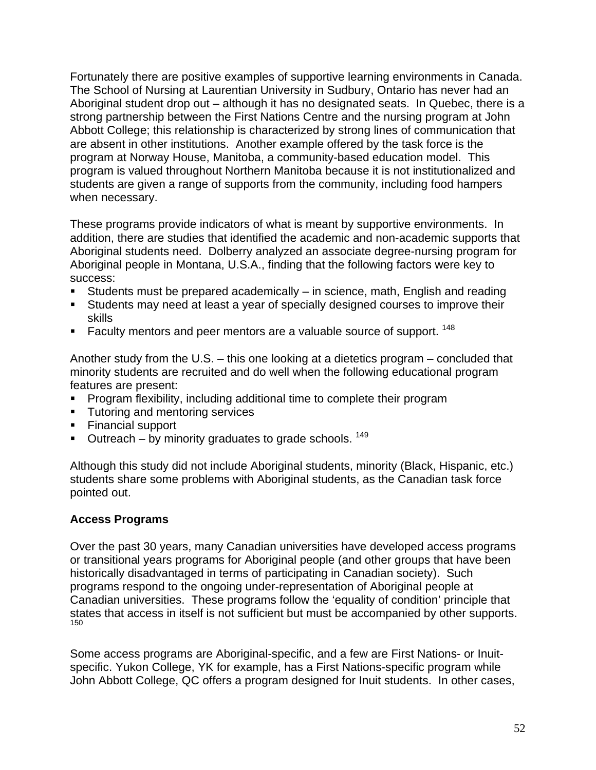Fortunately there are positive examples of supportive learning environments in Canada. The School of Nursing at Laurentian University in Sudbury, Ontario has never had an Aboriginal student drop out – although it has no designated seats. In Quebec, there is a strong partnership between the First Nations Centre and the nursing program at John Abbott College; this relationship is characterized by strong lines of communication that are absent in other institutions. Another example offered by the task force is the program at Norway House, Manitoba, a community-based education model. This program is valued throughout Northern Manitoba because it is not institutionalized and students are given a range of supports from the community, including food hampers when necessary.

These programs provide indicators of what is meant by supportive environments. In addition, there are studies that identified the academic and non-academic supports that Aboriginal students need. Dolberry analyzed an associate degree-nursing program for Aboriginal people in Montana, U.S.A., finding that the following factors were key to success:

- Students must be prepared academically in science, math, English and reading
- Students may need at least a year of specially designed courses to improve their skills
- Faculty mentors and peer mentors are a valuable source of support.  $148$

Another study from the U.S. – this one looking at a dietetics program – concluded that minority students are recruited and do well when the following educational program features are present:

- **Program flexibility, including additional time to complete their program**
- **Tutoring and mentoring services**
- Financial support
- $\blacksquare$  Outreach by minority graduates to grade schools. <sup>149</sup>

Although this study did not include Aboriginal students, minority (Black, Hispanic, etc.) students share some problems with Aboriginal students, as the Canadian task force pointed out.

## **Access Programs**

Over the past 30 years, many Canadian universities have developed access programs or transitional years programs for Aboriginal people (and other groups that have been historically disadvantaged in terms of participating in Canadian society). Such programs respond to the ongoing under-representation of Aboriginal people at Canadian universities. These programs follow the 'equality of condition' principle that states that access in itself is not sufficient but must be accompanied by other supports. 150

Some access programs are Aboriginal-specific, and a few are First Nations- or Inuitspecific. Yukon College, YK for example, has a First Nations-specific program while John Abbott College, QC offers a program designed for Inuit students. In other cases,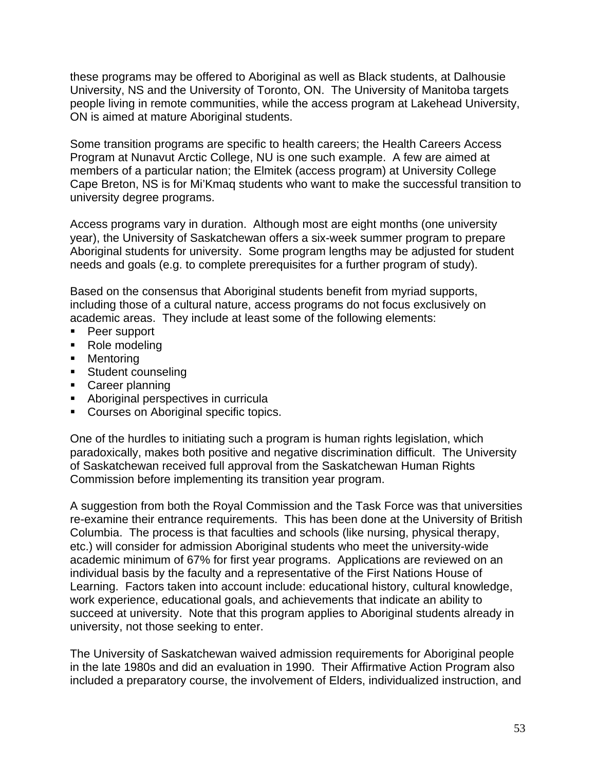these programs may be offered to Aboriginal as well as Black students, at Dalhousie University, NS and the University of Toronto, ON. The University of Manitoba targets people living in remote communities, while the access program at Lakehead University, ON is aimed at mature Aboriginal students.

Some transition programs are specific to health careers; the Health Careers Access Program at Nunavut Arctic College, NU is one such example. A few are aimed at members of a particular nation; the Elmitek (access program) at University College Cape Breton, NS is for Mi'Kmaq students who want to make the successful transition to university degree programs.

Access programs vary in duration. Although most are eight months (one university year), the University of Saskatchewan offers a six-week summer program to prepare Aboriginal students for university. Some program lengths may be adjusted for student needs and goals (e.g. to complete prerequisites for a further program of study).

Based on the consensus that Aboriginal students benefit from myriad supports, including those of a cultural nature, access programs do not focus exclusively on academic areas. They include at least some of the following elements:

- Peer support
- Role modeling
- Mentoring
- **Student counseling**
- **Career planning**
- **Aboriginal perspectives in curricula**
- **Courses on Aboriginal specific topics.**

One of the hurdles to initiating such a program is human rights legislation, which paradoxically, makes both positive and negative discrimination difficult. The University of Saskatchewan received full approval from the Saskatchewan Human Rights Commission before implementing its transition year program.

A suggestion from both the Royal Commission and the Task Force was that universities re-examine their entrance requirements. This has been done at the University of British Columbia. The process is that faculties and schools (like nursing, physical therapy, etc.) will consider for admission Aboriginal students who meet the university-wide academic minimum of 67% for first year programs. Applications are reviewed on an individual basis by the faculty and a representative of the First Nations House of Learning. Factors taken into account include: educational history, cultural knowledge, work experience, educational goals, and achievements that indicate an ability to succeed at university. Note that this program applies to Aboriginal students already in university, not those seeking to enter.

The University of Saskatchewan waived admission requirements for Aboriginal people in the late 1980s and did an evaluation in 1990. Their Affirmative Action Program also included a preparatory course, the involvement of Elders, individualized instruction, and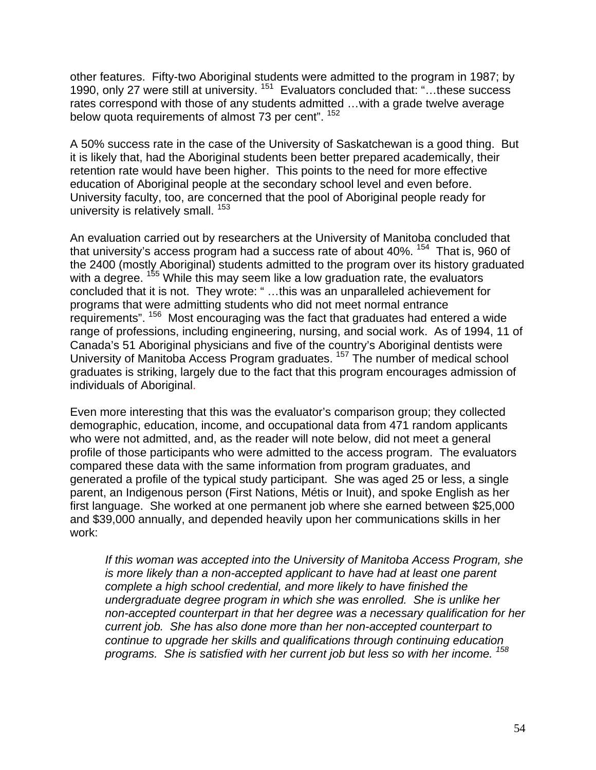other features. Fifty-two Aboriginal students were admitted to the program in 1987; by 1990, only 27 were still at university.<sup>151</sup> Evaluators concluded that: "...these success rates correspond with those of any students admitted …with a grade twelve average below quota requirements of almost 73 per cent". <sup>152</sup>

A 50% success rate in the case of the University of Saskatchewan is a good thing. But it is likely that, had the Aboriginal students been better prepared academically, their retention rate would have been higher. This points to the need for more effective education of Aboriginal people at the secondary school level and even before. University faculty, too, are concerned that the pool of Aboriginal people ready for university is relatively small. <sup>153</sup>

An evaluation carried out by researchers at the University of Manitoba concluded that that university's access program had a success rate of about 40%. <sup>154</sup> That is, 960 of the 2400 (mostly Aboriginal) students admitted to the program over its history graduated with a degree. <sup>155</sup> While this may seem like a low graduation rate, the evaluators concluded that it is not. They wrote: " …this was an unparalleled achievement for programs that were admitting students who did not meet normal entrance requirements". 156 Most encouraging was the fact that graduates had entered a wide range of professions, including engineering, nursing, and social work. As of 1994, 11 of Canada's 51 Aboriginal physicians and five of the country's Aboriginal dentists were University of Manitoba Access Program graduates. 157 The number of medical school graduates is striking, largely due to the fact that this program encourages admission of individuals of Aboriginal.

Even more interesting that this was the evaluator's comparison group; they collected demographic, education, income, and occupational data from 471 random applicants who were not admitted, and, as the reader will note below, did not meet a general profile of those participants who were admitted to the access program. The evaluators compared these data with the same information from program graduates, and generated a profile of the typical study participant. She was aged 25 or less, a single parent, an Indigenous person (First Nations, Métis or Inuit), and spoke English as her first language. She worked at one permanent job where she earned between \$25,000 and \$39,000 annually, and depended heavily upon her communications skills in her work:

*If this woman was accepted into the University of Manitoba Access Program, she is more likely than a non-accepted applicant to have had at least one parent complete a high school credential, and more likely to have finished the undergraduate degree program in which she was enrolled. She is unlike her non-accepted counterpart in that her degree was a necessary qualification for her current job. She has also done more than her non-accepted counterpart to continue to upgrade her skills and qualifications through continuing education programs. She is satisfied with her current job but less so with her income. 158*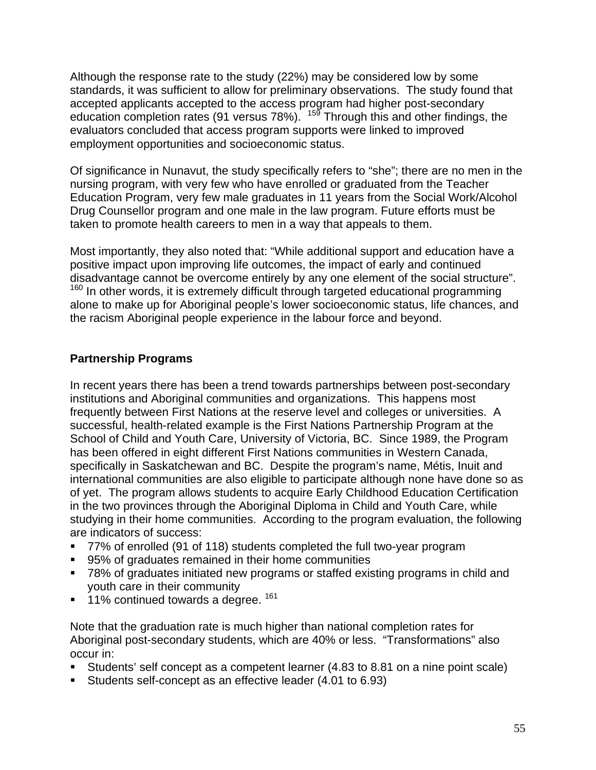Although the response rate to the study (22%) may be considered low by some standards, it was sufficient to allow for preliminary observations. The study found that accepted applicants accepted to the access program had higher post-secondary education completion rates (91 versus 78%).  $15\frac{3}{5}$  Through this and other findings, the evaluators concluded that access program supports were linked to improved employment opportunities and socioeconomic status.

Of significance in Nunavut, the study specifically refers to "she"; there are no men in the nursing program, with very few who have enrolled or graduated from the Teacher Education Program, very few male graduates in 11 years from the Social Work/Alcohol Drug Counsellor program and one male in the law program. Future efforts must be taken to promote health careers to men in a way that appeals to them.

Most importantly, they also noted that: "While additional support and education have a positive impact upon improving life outcomes, the impact of early and continued disadvantage cannot be overcome entirely by any one element of the social structure".  $160$  In other words, it is extremely difficult through targeted educational programming alone to make up for Aboriginal people's lower socioeconomic status, life chances, and the racism Aboriginal people experience in the labour force and beyond.

## **Partnership Programs**

In recent years there has been a trend towards partnerships between post-secondary institutions and Aboriginal communities and organizations. This happens most frequently between First Nations at the reserve level and colleges or universities. A successful, health-related example is the First Nations Partnership Program at the School of Child and Youth Care, University of Victoria, BC. Since 1989, the Program has been offered in eight different First Nations communities in Western Canada, specifically in Saskatchewan and BC. Despite the program's name, Métis, Inuit and international communities are also eligible to participate although none have done so as of yet. The program allows students to acquire Early Childhood Education Certification in the two provinces through the Aboriginal Diploma in Child and Youth Care, while studying in their home communities. According to the program evaluation, the following are indicators of success:

- 77% of enrolled (91 of 118) students completed the full two-year program
- 95% of graduates remained in their home communities
- 78% of graduates initiated new programs or staffed existing programs in child and youth care in their community
- $11\%$  continued towards a degree.  $161$

Note that the graduation rate is much higher than national completion rates for Aboriginal post-secondary students, which are 40% or less. "Transformations" also occur in:

- Students' self concept as a competent learner (4.83 to 8.81 on a nine point scale)
- Students self-concept as an effective leader (4.01 to 6.93)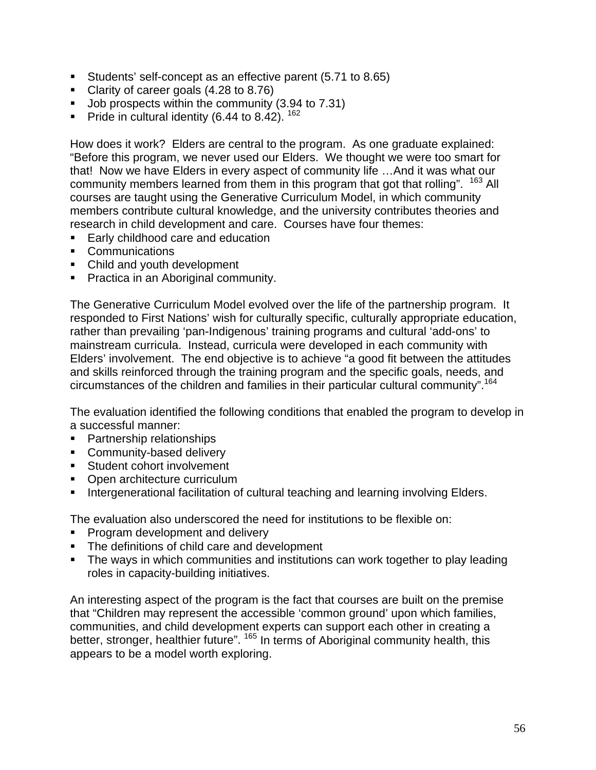- Students' self-concept as an effective parent (5.71 to 8.65)
- Clarity of career goals (4.28 to 8.76)
- Up Job prospects within the community (3.94 to 7.31)
- Pride in cultural identity (6.44 to 8.42).  $162$

How does it work? Elders are central to the program. As one graduate explained: "Before this program, we never used our Elders. We thought we were too smart for that! Now we have Elders in every aspect of community life …And it was what our community members learned from them in this program that got that rolling". <sup>163</sup> All courses are taught using the Generative Curriculum Model, in which community members contribute cultural knowledge, and the university contributes theories and research in child development and care. Courses have four themes:

- Early childhood care and education
- **Communications**
- Child and youth development
- **Practica in an Aboriginal community.**

The Generative Curriculum Model evolved over the life of the partnership program. It responded to First Nations' wish for culturally specific, culturally appropriate education, rather than prevailing 'pan-Indigenous' training programs and cultural 'add-ons' to mainstream curricula. Instead, curricula were developed in each community with Elders' involvement. The end objective is to achieve "a good fit between the attitudes and skills reinforced through the training program and the specific goals, needs, and circumstances of the children and families in their particular cultural community".164

The evaluation identified the following conditions that enabled the program to develop in a successful manner:

- Partnership relationships
- **Community-based delivery**
- **Student cohort involvement**
- Open architecture curriculum
- **Intergenerational facilitation of cultural teaching and learning involving Elders.**

The evaluation also underscored the need for institutions to be flexible on:

- **Program development and delivery**
- The definitions of child care and development
- The ways in which communities and institutions can work together to play leading roles in capacity-building initiatives.

An interesting aspect of the program is the fact that courses are built on the premise that "Children may represent the accessible 'common ground' upon which families, communities, and child development experts can support each other in creating a better, stronger, healthier future". <sup>165</sup> In terms of Aboriginal community health, this appears to be a model worth exploring.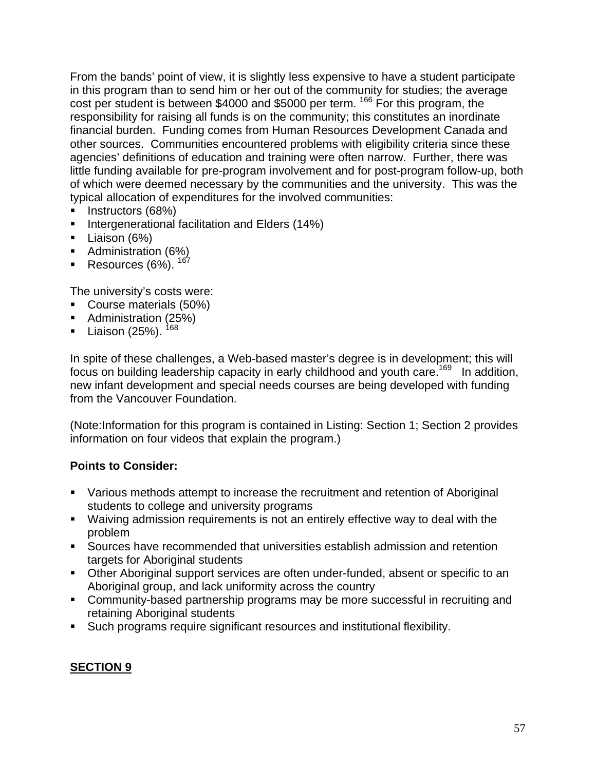From the bands' point of view, it is slightly less expensive to have a student participate in this program than to send him or her out of the community for studies; the average cost per student is between \$4000 and \$5000 per term.<sup>166</sup> For this program, the responsibility for raising all funds is on the community; this constitutes an inordinate financial burden. Funding comes from Human Resources Development Canada and other sources. Communities encountered problems with eligibility criteria since these agencies' definitions of education and training were often narrow. Further, there was little funding available for pre-program involvement and for post-program follow-up, both of which were deemed necessary by the communities and the university. This was the typical allocation of expenditures for the involved communities:

- **Instructors (68%)**
- **Intergenerational facilitation and Elders (14%)**
- Liaison (6%)
- **Administration (6%)**
- Resources  $(6\%)$ .  $^{167}$

The university's costs were:

- Course materials (50%)
- Administration (25%)
- Liaison (25%).  $168$

In spite of these challenges, a Web-based master's degree is in development; this will focus on building leadership capacity in early childhood and youth care.<sup>169</sup> In addition, new infant development and special needs courses are being developed with funding from the Vancouver Foundation.

(Note:Information for this program is contained in Listing: Section 1; Section 2 provides information on four videos that explain the program.)

## **Points to Consider:**

- Various methods attempt to increase the recruitment and retention of Aboriginal students to college and university programs
- Waiving admission requirements is not an entirely effective way to deal with the problem
- Sources have recommended that universities establish admission and retention targets for Aboriginal students
- Other Aboriginal support services are often under-funded, absent or specific to an Aboriginal group, and lack uniformity across the country
- Community-based partnership programs may be more successful in recruiting and retaining Aboriginal students
- Such programs require significant resources and institutional flexibility.

## **SECTION 9**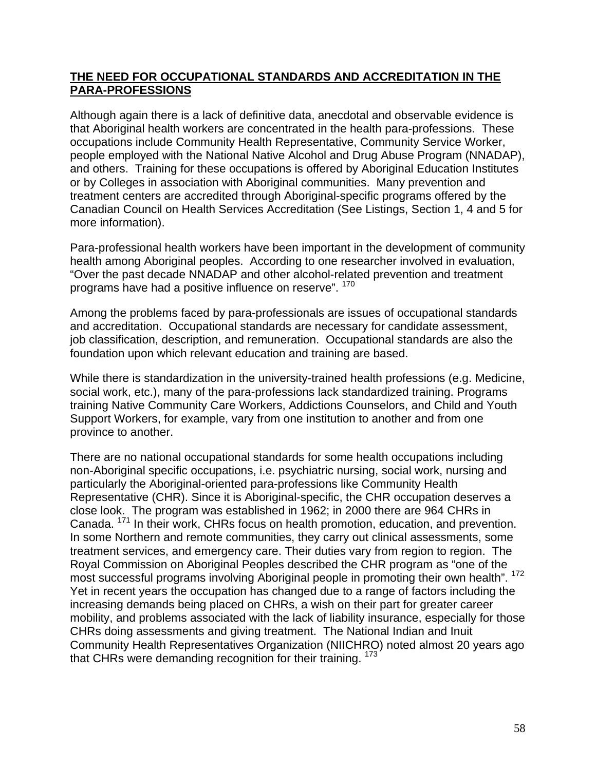## **THE NEED FOR OCCUPATIONAL STANDARDS AND ACCREDITATION IN THE PARA-PROFESSIONS**

Although again there is a lack of definitive data, anecdotal and observable evidence is that Aboriginal health workers are concentrated in the health para-professions. These occupations include Community Health Representative, Community Service Worker, people employed with the National Native Alcohol and Drug Abuse Program (NNADAP), and others. Training for these occupations is offered by Aboriginal Education Institutes or by Colleges in association with Aboriginal communities. Many prevention and treatment centers are accredited through Aboriginal-specific programs offered by the Canadian Council on Health Services Accreditation (See Listings, Section 1, 4 and 5 for more information).

Para-professional health workers have been important in the development of community health among Aboriginal peoples. According to one researcher involved in evaluation, "Over the past decade NNADAP and other alcohol-related prevention and treatment programs have had a positive influence on reserve". <sup>170</sup>

Among the problems faced by para-professionals are issues of occupational standards and accreditation. Occupational standards are necessary for candidate assessment, job classification, description, and remuneration. Occupational standards are also the foundation upon which relevant education and training are based.

While there is standardization in the university-trained health professions (e.g. Medicine, social work, etc.), many of the para-professions lack standardized training. Programs training Native Community Care Workers, Addictions Counselors, and Child and Youth Support Workers, for example, vary from one institution to another and from one province to another.

There are no national occupational standards for some health occupations including non-Aboriginal specific occupations, i.e. psychiatric nursing, social work, nursing and particularly the Aboriginal-oriented para-professions like Community Health Representative (CHR). Since it is Aboriginal-specific, the CHR occupation deserves a close look. The program was established in 1962; in 2000 there are 964 CHRs in Canada. 171 In their work, CHRs focus on health promotion, education, and prevention. In some Northern and remote communities, they carry out clinical assessments, some treatment services, and emergency care. Their duties vary from region to region. The Royal Commission on Aboriginal Peoples described the CHR program as "one of the most successful programs involving Aboriginal people in promoting their own health". <sup>172</sup> Yet in recent years the occupation has changed due to a range of factors including the increasing demands being placed on CHRs, a wish on their part for greater career mobility, and problems associated with the lack of liability insurance, especially for those CHRs doing assessments and giving treatment. The National Indian and Inuit Community Health Representatives Organization (NIICHRO) noted almost 20 years ago that CHRs were demanding recognition for their training. <sup>173</sup>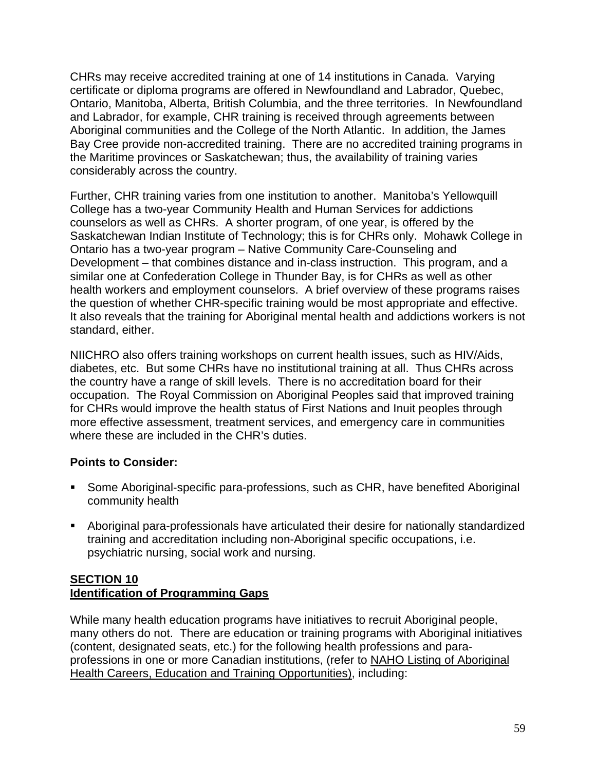CHRs may receive accredited training at one of 14 institutions in Canada. Varying certificate or diploma programs are offered in Newfoundland and Labrador, Quebec, Ontario, Manitoba, Alberta, British Columbia, and the three territories. In Newfoundland and Labrador, for example, CHR training is received through agreements between Aboriginal communities and the College of the North Atlantic. In addition, the James Bay Cree provide non-accredited training. There are no accredited training programs in the Maritime provinces or Saskatchewan; thus, the availability of training varies considerably across the country.

Further, CHR training varies from one institution to another. Manitoba's Yellowquill College has a two-year Community Health and Human Services for addictions counselors as well as CHRs. A shorter program, of one year, is offered by the Saskatchewan Indian Institute of Technology; this is for CHRs only. Mohawk College in Ontario has a two-year program – Native Community Care-Counseling and Development – that combines distance and in-class instruction. This program, and a similar one at Confederation College in Thunder Bay, is for CHRs as well as other health workers and employment counselors. A brief overview of these programs raises the question of whether CHR-specific training would be most appropriate and effective. It also reveals that the training for Aboriginal mental health and addictions workers is not standard, either.

NIICHRO also offers training workshops on current health issues, such as HIV/Aids, diabetes, etc. But some CHRs have no institutional training at all. Thus CHRs across the country have a range of skill levels. There is no accreditation board for their occupation. The Royal Commission on Aboriginal Peoples said that improved training for CHRs would improve the health status of First Nations and Inuit peoples through more effective assessment, treatment services, and emergency care in communities where these are included in the CHR's duties.

## **Points to Consider:**

- Some Aboriginal-specific para-professions, such as CHR, have benefited Aboriginal community health
- Aboriginal para-professionals have articulated their desire for nationally standardized training and accreditation including non-Aboriginal specific occupations, i.e. psychiatric nursing, social work and nursing.

### **SECTION 10 Identification of Programming Gaps**

While many health education programs have initiatives to recruit Aboriginal people, many others do not. There are education or training programs with Aboriginal initiatives (content, designated seats, etc.) for the following health professions and paraprofessions in one or more Canadian institutions, (refer to NAHO Listing of Aboriginal Health Careers, Education and Training Opportunities), including: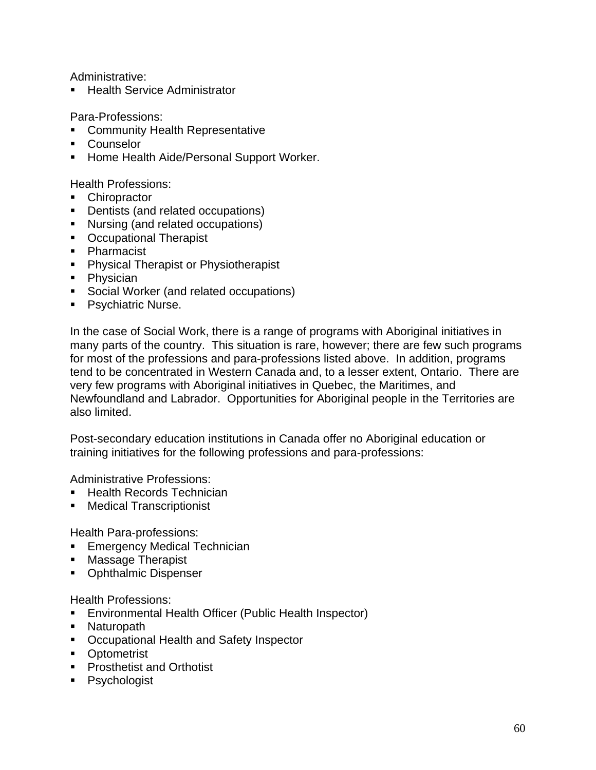Administrative:

Health Service Administrator

Para-Professions:

- **EXECOMMUNITY Health Representative**
- **Counselor**
- **Home Health Aide/Personal Support Worker.**

Health Professions:

- Chiropractor
- **Dentists (and related occupations)**
- Nursing (and related occupations)
- **C** Occupational Therapist
- Pharmacist
- **Physical Therapist or Physiotherapist**
- Physician
- **Social Worker (and related occupations)**
- **Psychiatric Nurse.**

In the case of Social Work, there is a range of programs with Aboriginal initiatives in many parts of the country. This situation is rare, however; there are few such programs for most of the professions and para-professions listed above. In addition, programs tend to be concentrated in Western Canada and, to a lesser extent, Ontario. There are very few programs with Aboriginal initiatives in Quebec, the Maritimes, and Newfoundland and Labrador. Opportunities for Aboriginal people in the Territories are also limited.

Post-secondary education institutions in Canada offer no Aboriginal education or training initiatives for the following professions and para-professions:

Administrative Professions:

- **Health Records Technician**
- Medical Transcriptionist

Health Para-professions:

- **Emergency Medical Technician**
- **Massage Therapist**
- Ophthalmic Dispenser

Health Professions:

- Environmental Health Officer (Public Health Inspector)
- Naturopath
- Occupational Health and Safety Inspector
- **•** Optometrist
- **Prosthetist and Orthotist**
- **Psychologist**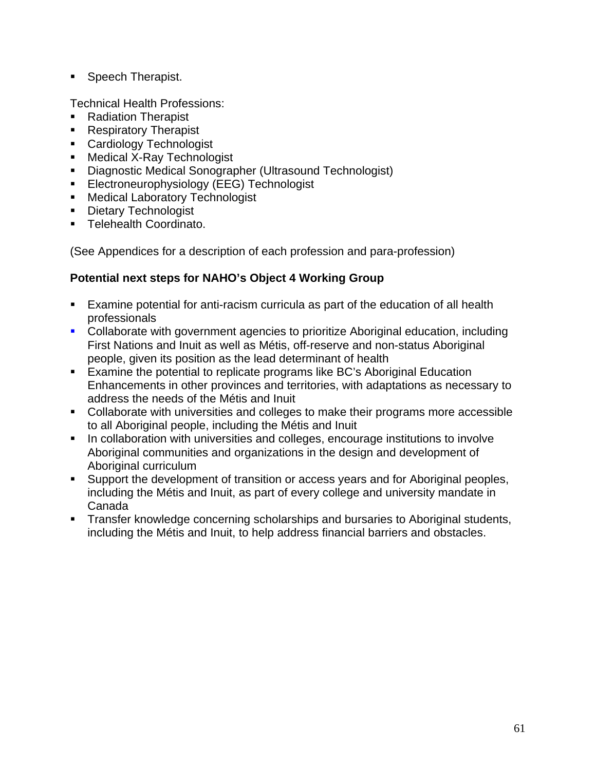• Speech Therapist.

Technical Health Professions:

- Radiation Therapist
- Respiratory Therapist
- **Cardiology Technologist**
- Medical X-Ray Technologist
- Diagnostic Medical Sonographer (Ultrasound Technologist)
- **Electroneurophysiology (EEG) Technologist**
- **Medical Laboratory Technologist**
- **Dietary Technologist**
- **Telehealth Coordinato.**

(See Appendices for a description of each profession and para-profession)

# **Potential next steps for NAHO's Object 4 Working Group**

- Examine potential for anti-racism curricula as part of the education of all health professionals
- Collaborate with government agencies to prioritize Aboriginal education, including First Nations and Inuit as well as Métis, off-reserve and non-status Aboriginal people, given its position as the lead determinant of health
- Examine the potential to replicate programs like BC's Aboriginal Education Enhancements in other provinces and territories, with adaptations as necessary to address the needs of the Métis and Inuit
- Collaborate with universities and colleges to make their programs more accessible to all Aboriginal people, including the Métis and Inuit
- **IF In collaboration with universities and colleges, encourage institutions to involve** Aboriginal communities and organizations in the design and development of Aboriginal curriculum
- Support the development of transition or access years and for Aboriginal peoples, including the Métis and Inuit, as part of every college and university mandate in Canada
- **Transfer knowledge concerning scholarships and bursaries to Aboriginal students,** including the Métis and Inuit, to help address financial barriers and obstacles.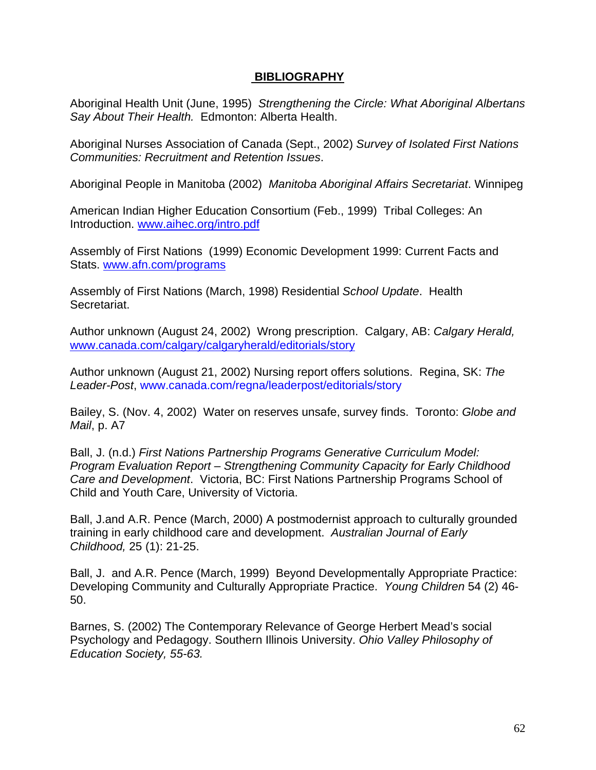#### **BIBLIOGRAPHY**

Aboriginal Health Unit (June, 1995) *Strengthening the Circle: What Aboriginal Albertans Say About Their Health.* Edmonton: Alberta Health.

Aboriginal Nurses Association of Canada (Sept., 2002) *Survey of Isolated First Nations Communities: Recruitment and Retention Issues*.

Aboriginal People in Manitoba (2002) *Manitoba Aboriginal Affairs Secretariat*. Winnipeg

American Indian Higher Education Consortium (Feb., 1999) Tribal Colleges: An Introduction. www.aihec.org/intro.pdf

Assembly of First Nations (1999) Economic Development 1999: Current Facts and Stats. www.afn.com/programs

Assembly of First Nations (March, 1998) Residential *School Update*. Health Secretariat.

Author unknown (August 24, 2002) Wrong prescription. Calgary, AB: *Calgary Herald,*  www.canada.com/calgary/calgaryherald/editorials/story

Author unknown (August 21, 2002) Nursing report offers solutions. Regina, SK: *The Leader-Post*, www.canada.com/regna/leaderpost/editorials/story

Bailey, S. (Nov. 4, 2002) Water on reserves unsafe, survey finds. Toronto: *Globe and Mail*, p. A7

Ball, J. (n.d.) *First Nations Partnership Programs Generative Curriculum Model: Program Evaluation Report – Strengthening Community Capacity for Early Childhood Care and Development*. Victoria, BC: First Nations Partnership Programs School of Child and Youth Care, University of Victoria.

Ball, J.and A.R. Pence (March, 2000) A postmodernist approach to culturally grounded training in early childhood care and development. *Australian Journal of Early Childhood,* 25 (1): 21-25.

Ball, J. and A.R. Pence (March, 1999) Beyond Developmentally Appropriate Practice: Developing Community and Culturally Appropriate Practice. *Young Children* 54 (2) 46- 50.

Barnes, S. (2002) The Contemporary Relevance of George Herbert Mead's social Psychology and Pedagogy. Southern Illinois University. *Ohio Valley Philosophy of Education Society, 55-63.*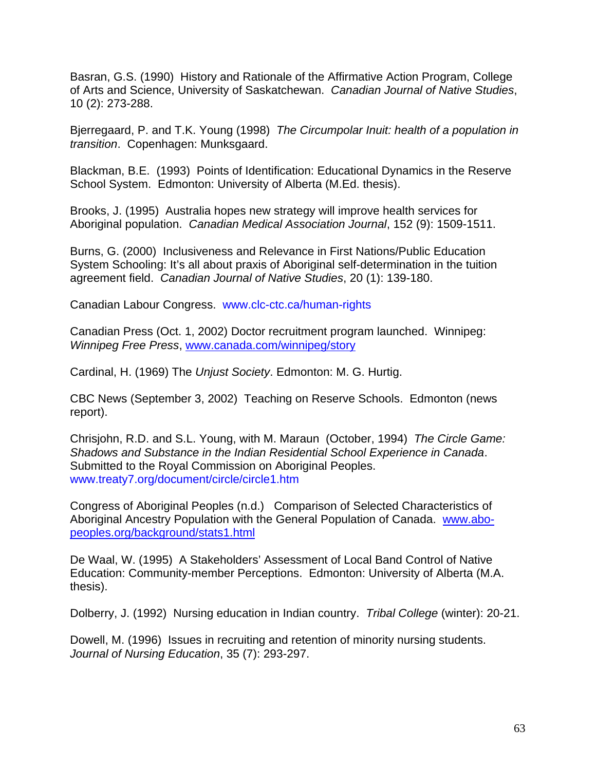Basran, G.S. (1990) History and Rationale of the Affirmative Action Program, College of Arts and Science, University of Saskatchewan. *Canadian Journal of Native Studies*, 10 (2): 273-288.

Bjerregaard, P. and T.K. Young (1998) *The Circumpolar Inuit: health of a population in transition*. Copenhagen: Munksgaard.

Blackman, B.E. (1993) Points of Identification: Educational Dynamics in the Reserve School System. Edmonton: University of Alberta (M.Ed. thesis).

Brooks, J. (1995) Australia hopes new strategy will improve health services for Aboriginal population. *Canadian Medical Association Journal*, 152 (9): 1509-1511.

Burns, G. (2000) Inclusiveness and Relevance in First Nations/Public Education System Schooling: It's all about praxis of Aboriginal self-determination in the tuition agreement field. *Canadian Journal of Native Studies*, 20 (1): 139-180.

Canadian Labour Congress. www.clc-ctc.ca/human-rights

Canadian Press (Oct. 1, 2002) Doctor recruitment program launched. Winnipeg: *Winnipeg Free Press*, www.canada.com/winnipeg/story

Cardinal, H. (1969) The *Unjust Society*. Edmonton: M. G. Hurtig.

CBC News (September 3, 2002) Teaching on Reserve Schools. Edmonton (news report).

Chrisjohn, R.D. and S.L. Young, with M. Maraun (October, 1994) *The Circle Game: Shadows and Substance in the Indian Residential School Experience in Canada*. Submitted to the Royal Commission on Aboriginal Peoples. www.treaty7.org/document/circle/circle1.htm

Congress of Aboriginal Peoples (n.d.) Comparison of Selected Characteristics of Aboriginal Ancestry Population with the General Population of Canada. www.abopeoples.org/background/stats1.html

De Waal, W. (1995) A Stakeholders' Assessment of Local Band Control of Native Education: Community-member Perceptions. Edmonton: University of Alberta (M.A. thesis).

Dolberry, J. (1992) Nursing education in Indian country. *Tribal College* (winter): 20-21.

Dowell, M. (1996) Issues in recruiting and retention of minority nursing students. *Journal of Nursing Education*, 35 (7): 293-297.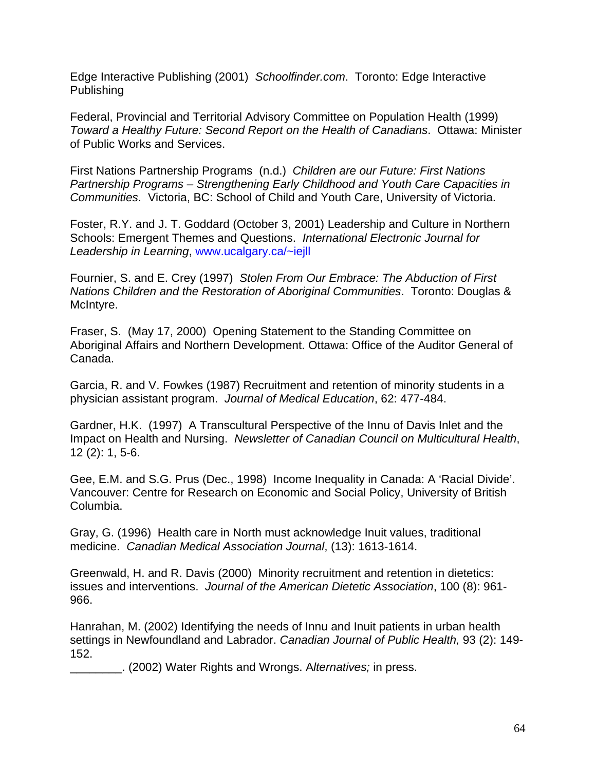Edge Interactive Publishing (2001) *Schoolfinder.com*. Toronto: Edge Interactive Publishing

Federal, Provincial and Territorial Advisory Committee on Population Health (1999) *Toward a Healthy Future: Second Report on the Health of Canadians*. Ottawa: Minister of Public Works and Services.

First Nations Partnership Programs (n.d.) *Children are our Future: First Nations Partnership Programs – Strengthening Early Childhood and Youth Care Capacities in Communities*. Victoria, BC: School of Child and Youth Care, University of Victoria.

Foster, R.Y. and J. T. Goddard (October 3, 2001) Leadership and Culture in Northern Schools: Emergent Themes and Questions. *International Electronic Journal for Leadership in Learning*, www.ucalgary.ca/~iejll

Fournier, S. and E. Crey (1997) *Stolen From Our Embrace: The Abduction of First Nations Children and the Restoration of Aboriginal Communities*. Toronto: Douglas & McIntyre.

Fraser, S. (May 17, 2000) Opening Statement to the Standing Committee on Aboriginal Affairs and Northern Development. Ottawa: Office of the Auditor General of Canada.

Garcia, R. and V. Fowkes (1987) Recruitment and retention of minority students in a physician assistant program. *Journal of Medical Education*, 62: 477-484.

Gardner, H.K. (1997) A Transcultural Perspective of the Innu of Davis Inlet and the Impact on Health and Nursing. *Newsletter of Canadian Council on Multicultural Health*, 12 (2): 1, 5-6.

Gee, E.M. and S.G. Prus (Dec., 1998) Income Inequality in Canada: A 'Racial Divide'. Vancouver: Centre for Research on Economic and Social Policy, University of British Columbia.

Gray, G. (1996) Health care in North must acknowledge Inuit values, traditional medicine. *Canadian Medical Association Journal*, (13): 1613-1614.

Greenwald, H. and R. Davis (2000) Minority recruitment and retention in dietetics: issues and interventions. *Journal of the American Dietetic Association*, 100 (8): 961- 966.

Hanrahan, M. (2002) Identifying the needs of Innu and Inuit patients in urban health settings in Newfoundland and Labrador. *Canadian Journal of Public Health,* 93 (2): 149- 152.

\_\_\_\_\_\_\_\_. (2002) Water Rights and Wrongs. A*lternatives;* in press.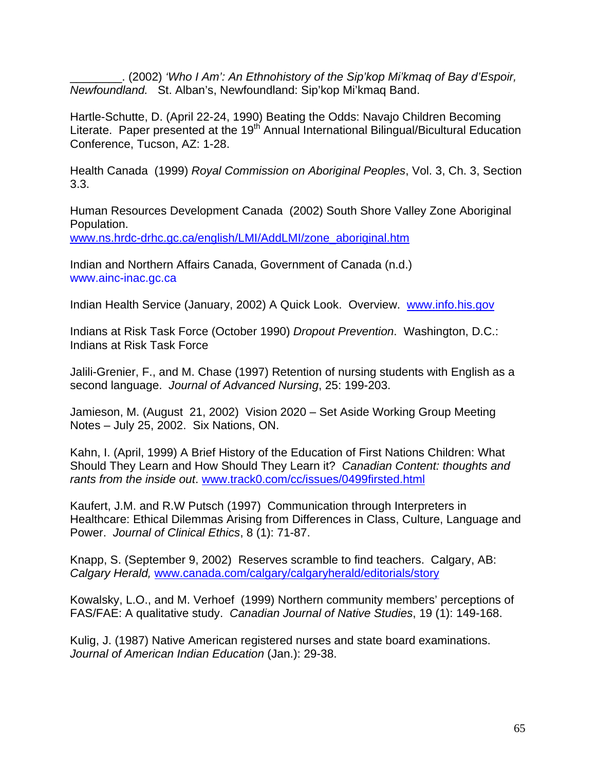\_\_\_\_\_\_\_\_. (2002) *'Who I Am': An Ethnohistory of the Sip'kop Mi'kmaq of Bay d'Espoir, Newfoundland.* St. Alban's, Newfoundland: Sip'kop Mi'kmaq Band.

Hartle-Schutte, D. (April 22-24, 1990) Beating the Odds: Navajo Children Becoming Literate. Paper presented at the 19<sup>th</sup> Annual International Bilingual/Bicultural Education Conference, Tucson, AZ: 1-28.

Health Canada (1999) *Royal Commission on Aboriginal Peoples*, Vol. 3, Ch. 3, Section 3.3.

Human Resources Development Canada (2002) South Shore Valley Zone Aboriginal Population.

www.ns.hrdc-drhc.gc.ca/english/LMI/AddLMI/zone\_aboriginal.htm

Indian and Northern Affairs Canada, Government of Canada (n.d.) www.ainc-inac.gc.ca

Indian Health Service (January, 2002) A Quick Look. Overview. www.info.his.gov

Indians at Risk Task Force (October 1990) *Dropout Prevention*. Washington, D.C.: Indians at Risk Task Force

Jalili-Grenier, F., and M. Chase (1997) Retention of nursing students with English as a second language. *Journal of Advanced Nursing*, 25: 199-203.

Jamieson, M. (August 21, 2002) Vision 2020 – Set Aside Working Group Meeting Notes – July 25, 2002. Six Nations, ON.

Kahn, I. (April, 1999) A Brief History of the Education of First Nations Children: What Should They Learn and How Should They Learn it? *Canadian Content: thoughts and rants from the inside out*. www.track0.com/cc/issues/0499firsted.html

Kaufert, J.M. and R.W Putsch (1997) Communication through Interpreters in Healthcare: Ethical Dilemmas Arising from Differences in Class, Culture, Language and Power. *Journal of Clinical Ethics*, 8 (1): 71-87.

Knapp, S. (September 9, 2002) Reserves scramble to find teachers. Calgary, AB: *Calgary Herald,* www.canada.com/calgary/calgaryherald/editorials/story

Kowalsky, L.O., and M. Verhoef (1999) Northern community members' perceptions of FAS/FAE: A qualitative study. *Canadian Journal of Native Studies*, 19 (1): 149-168.

Kulig, J. (1987) Native American registered nurses and state board examinations. *Journal of American Indian Education* (Jan.): 29-38.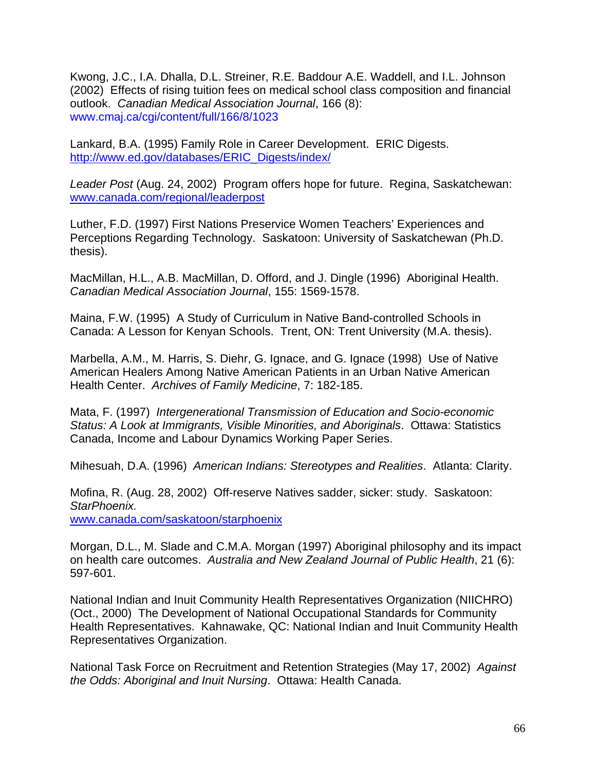Kwong, J.C., I.A. Dhalla, D.L. Streiner, R.E. Baddour A.E. Waddell, and I.L. Johnson (2002) Effects of rising tuition fees on medical school class composition and financial outlook. *Canadian Medical Association Journal*, 166 (8): www.cmaj.ca/cgi/content/full/166/8/1023

Lankard, B.A. (1995) Family Role in Career Development. ERIC Digests. http://www.ed.gov/databases/ERIC\_Digests/index/

*Leader Post* (Aug. 24, 2002) Program offers hope for future. Regina, Saskatchewan: www.canada.com/regional/leaderpost

Luther, F.D. (1997) First Nations Preservice Women Teachers' Experiences and Perceptions Regarding Technology. Saskatoon: University of Saskatchewan (Ph.D. thesis).

MacMillan, H.L., A.B. MacMillan, D. Offord, and J. Dingle (1996) Aboriginal Health. *Canadian Medical Association Journal*, 155: 1569-1578.

Maina, F.W. (1995) A Study of Curriculum in Native Band-controlled Schools in Canada: A Lesson for Kenyan Schools. Trent, ON: Trent University (M.A. thesis).

Marbella, A.M., M. Harris, S. Diehr, G. Ignace, and G. Ignace (1998) Use of Native American Healers Among Native American Patients in an Urban Native American Health Center. *Archives of Family Medicine*, 7: 182-185.

Mata, F. (1997) *Intergenerational Transmission of Education and Socio-economic Status: A Look at Immigrants, Visible Minorities, and Aboriginals*. Ottawa: Statistics Canada, Income and Labour Dynamics Working Paper Series.

Mihesuah, D.A. (1996) *American Indians: Stereotypes and Realities*. Atlanta: Clarity.

Mofina, R. (Aug. 28, 2002) Off-reserve Natives sadder, sicker: study. Saskatoon: *StarPhoenix.* 

www.canada.com/saskatoon/starphoenix

Morgan, D.L., M. Slade and C.M.A. Morgan (1997) Aboriginal philosophy and its impact on health care outcomes. *Australia and New Zealand Journal of Public Health*, 21 (6): 597-601.

National Indian and Inuit Community Health Representatives Organization (NIICHRO) (Oct., 2000) The Development of National Occupational Standards for Community Health Representatives. Kahnawake, QC: National Indian and Inuit Community Health Representatives Organization.

National Task Force on Recruitment and Retention Strategies (May 17, 2002) *Against the Odds: Aboriginal and Inuit Nursing*. Ottawa: Health Canada.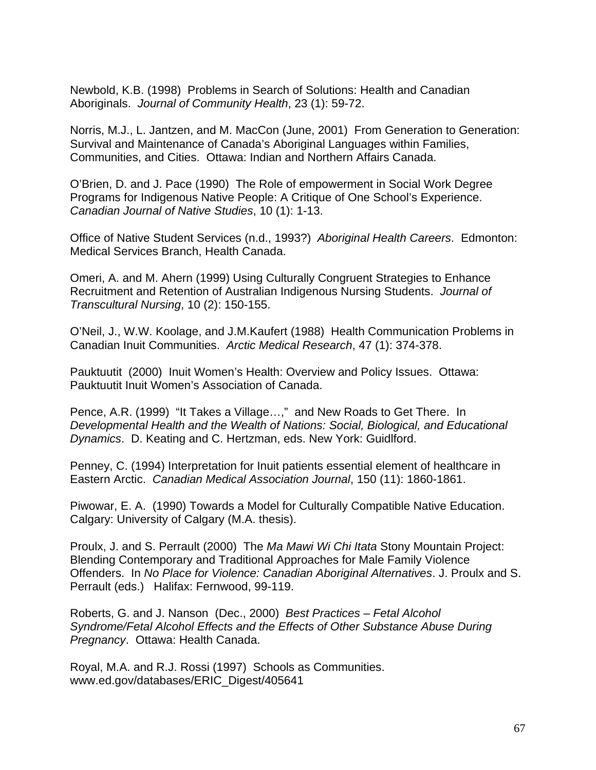Newbold, K.B. (1998) Problems in Search of Solutions: Health and Canadian Aboriginals. *Journal of Community Health*, 23 (1): 59-72.

Norris, M.J., L. Jantzen, and M. MacCon (June, 2001) From Generation to Generation: Survival and Maintenance of Canada's Aboriginal Languages within Families, Communities, and Cities. Ottawa: Indian and Northern Affairs Canada.

O'Brien, D. and J. Pace (1990) The Role of empowerment in Social Work Degree Programs for Indigenous Native People: A Critique of One School's Experience. *Canadian Journal of Native Studies*, 10 (1): 1-13.

Office of Native Student Services (n.d., 1993?) *Aboriginal Health Careers*. Edmonton: Medical Services Branch, Health Canada.

Omeri, A. and M. Ahern (1999) Using Culturally Congruent Strategies to Enhance Recruitment and Retention of Australian Indigenous Nursing Students. *Journal of Transcultural Nursing*, 10 (2): 150-155.

O'Neil, J., W.W. Koolage, and J.M.Kaufert (1988) Health Communication Problems in Canadian Inuit Communities. *Arctic Medical Research*, 47 (1): 374-378.

Pauktuutit (2000) Inuit Women's Health: Overview and Policy Issues. Ottawa: Pauktuutit Inuit Women's Association of Canada.

Pence, A.R. (1999) "It Takes a Village…," and New Roads to Get There. In *Developmental Health and the Wealth of Nations: Social, Biological, and Educational Dynamics*. D. Keating and C. Hertzman, eds. New York: Guidlford.

Penney, C. (1994) Interpretation for Inuit patients essential element of healthcare in Eastern Arctic. *Canadian Medical Association Journal*, 150 (11): 1860-1861.

Piwowar, E. A. (1990) Towards a Model for Culturally Compatible Native Education. Calgary: University of Calgary (M.A. thesis).

Proulx, J. and S. Perrault (2000) The *Ma Mawi Wi Chi Itata* Stony Mountain Project: Blending Contemporary and Traditional Approaches for Male Family Violence Offenders. In *No Place for Violence: Canadian Aboriginal Alternatives*. J. Proulx and S. Perrault (eds.) Halifax: Fernwood, 99-119.

Roberts, G. and J. Nanson (Dec., 2000) *Best Practices – Fetal Alcohol Syndrome/Fetal Alcohol Effects and the Effects of Other Substance Abuse During Pregnancy*. Ottawa: Health Canada.

Royal, M.A. and R.J. Rossi (1997) Schools as Communities. www.ed.gov/databases/ERIC\_Digest/405641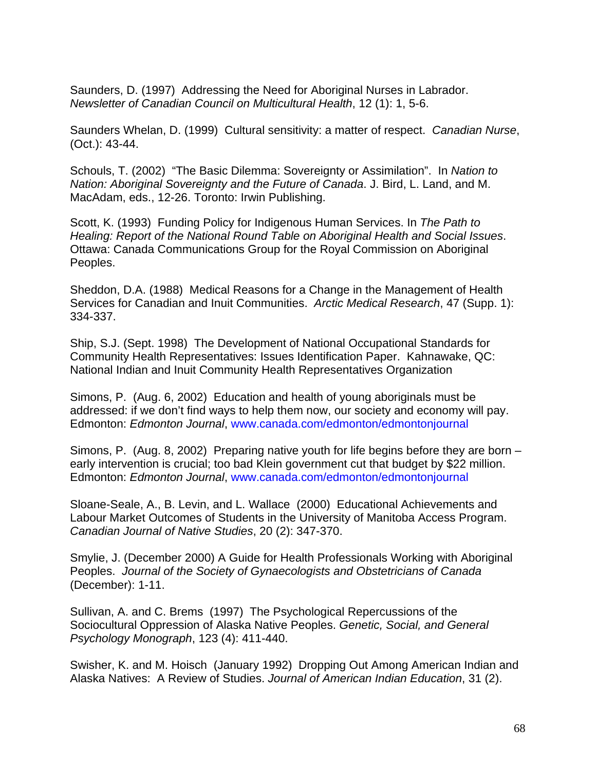Saunders, D. (1997) Addressing the Need for Aboriginal Nurses in Labrador. *Newsletter of Canadian Council on Multicultural Health*, 12 (1): 1, 5-6.

Saunders Whelan, D. (1999) Cultural sensitivity: a matter of respect. *Canadian Nurse*, (Oct.): 43-44.

Schouls, T. (2002) "The Basic Dilemma: Sovereignty or Assimilation". In *Nation to Nation: Aboriginal Sovereignty and the Future of Canada*. J. Bird, L. Land, and M. MacAdam, eds., 12-26. Toronto: Irwin Publishing.

Scott, K. (1993) Funding Policy for Indigenous Human Services. In *The Path to Healing: Report of the National Round Table on Aboriginal Health and Social Issues*. Ottawa: Canada Communications Group for the Royal Commission on Aboriginal Peoples.

Sheddon, D.A. (1988) Medical Reasons for a Change in the Management of Health Services for Canadian and Inuit Communities. *Arctic Medical Research*, 47 (Supp. 1): 334-337.

Ship, S.J. (Sept. 1998) The Development of National Occupational Standards for Community Health Representatives: Issues Identification Paper. Kahnawake, QC: National Indian and Inuit Community Health Representatives Organization

Simons, P. (Aug. 6, 2002) Education and health of young aboriginals must be addressed: if we don't find ways to help them now, our society and economy will pay. Edmonton: *Edmonton Journal*, www.canada.com/edmonton/edmontonjournal

Simons, P. (Aug. 8, 2002) Preparing native youth for life begins before they are born – early intervention is crucial; too bad Klein government cut that budget by \$22 million. Edmonton: *Edmonton Journal*, www.canada.com/edmonton/edmontonjournal

Sloane-Seale, A., B. Levin, and L. Wallace (2000) Educational Achievements and Labour Market Outcomes of Students in the University of Manitoba Access Program. *Canadian Journal of Native Studies*, 20 (2): 347-370.

Smylie, J. (December 2000) A Guide for Health Professionals Working with Aboriginal Peoples. *Journal of the Society of Gynaecologists and Obstetricians of Canada* (December): 1-11.

Sullivan, A. and C. Brems (1997) The Psychological Repercussions of the Sociocultural Oppression of Alaska Native Peoples. *Genetic, Social, and General Psychology Monograph*, 123 (4): 411-440.

Swisher, K. and M. Hoisch (January 1992) Dropping Out Among American Indian and Alaska Natives: A Review of Studies. *Journal of American Indian Education*, 31 (2).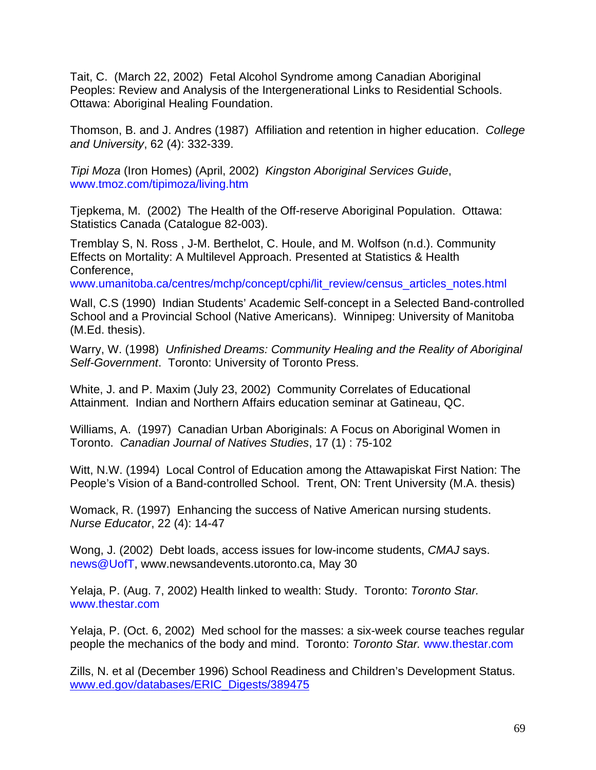Tait, C. (March 22, 2002) Fetal Alcohol Syndrome among Canadian Aboriginal Peoples: Review and Analysis of the Intergenerational Links to Residential Schools. Ottawa: Aboriginal Healing Foundation.

Thomson, B. and J. Andres (1987) Affiliation and retention in higher education. *College and University*, 62 (4): 332-339.

*Tipi Moza* (Iron Homes) (April, 2002) *Kingston Aboriginal Services Guide*, www.tmoz.com/tipimoza/living.htm

Tjepkema, M. (2002) The Health of the Off-reserve Aboriginal Population. Ottawa: Statistics Canada (Catalogue 82-003).

Tremblay S, N. Ross , J-M. Berthelot, C. Houle, and M. Wolfson (n.d.). Community Effects on Mortality: A Multilevel Approach. Presented at Statistics & Health Conference,

www.umanitoba.ca/centres/mchp/concept/cphi/lit\_review/census\_articles\_notes.html

Wall, C.S (1990) Indian Students' Academic Self-concept in a Selected Band-controlled School and a Provincial School (Native Americans). Winnipeg: University of Manitoba (M.Ed. thesis).

Warry, W. (1998) *Unfinished Dreams: Community Healing and the Reality of Aboriginal Self-Government*. Toronto: University of Toronto Press.

White, J. and P. Maxim (July 23, 2002) Community Correlates of Educational Attainment. Indian and Northern Affairs education seminar at Gatineau, QC.

Williams, A. (1997) Canadian Urban Aboriginals: A Focus on Aboriginal Women in Toronto. *Canadian Journal of Natives Studies*, 17 (1) : 75-102

Witt, N.W. (1994) Local Control of Education among the Attawapiskat First Nation: The People's Vision of a Band-controlled School. Trent, ON: Trent University (M.A. thesis)

Womack, R. (1997) Enhancing the success of Native American nursing students. *Nurse Educator*, 22 (4): 14-47

Wong, J. (2002) Debt loads, access issues for low-income students, *CMAJ* says. news@UofT, www.newsandevents.utoronto.ca, May 30

Yelaja, P. (Aug. 7, 2002) Health linked to wealth: Study. Toronto: *Toronto Star.* www.thestar.com

Yelaja, P. (Oct. 6, 2002) Med school for the masses: a six-week course teaches regular people the mechanics of the body and mind. Toronto: *Toronto Star.* www.thestar.com

Zills, N. et al (December 1996) School Readiness and Children's Development Status. www.ed.gov/databases/ERIC\_Digests/389475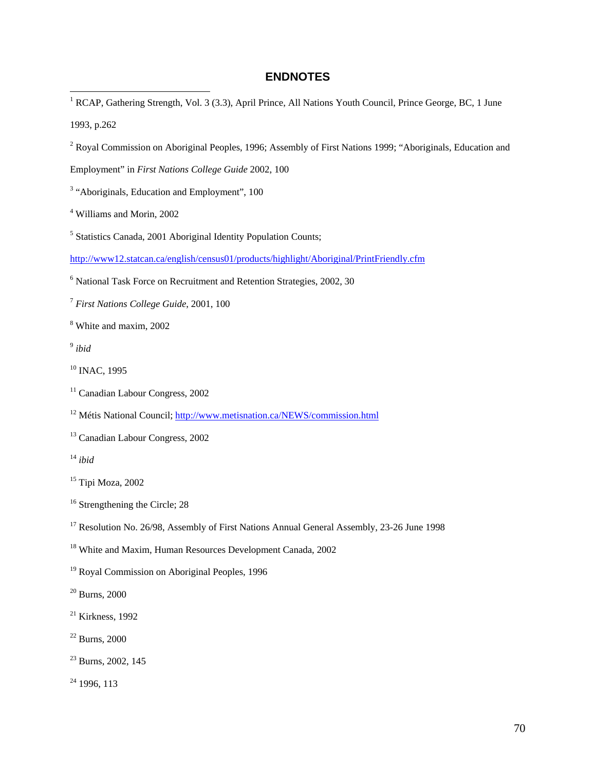#### **ENDNOTES**

- 1<br><sup>1</sup> RCAP, Gathering Strength, Vol. 3 (3.3), April Prince, All Nations Youth Council, Prince George, BC, 1 June 1993, p.262
- <sup>2</sup> Royal Commission on Aboriginal Peoples, 1996; Assembly of First Nations 1999; "Aboriginals, Education and

Employment" in *First Nations College Guide* 2002, 100

- <sup>3</sup> "Aboriginals, Education and Employment", 100
- 4 Williams and Morin, 2002
- <sup>5</sup> Statistics Canada, 2001 Aboriginal Identity Population Counts;

http://www12.statcan.ca/english/census01/products/highlight/Aboriginal/PrintFriendly.cfm

- 6 National Task Force on Recruitment and Retention Strategies, 2002, 30
- <sup>7</sup> *First Nations College Guide*, 2001, 100
- 8 White and maxim, 2002
- <sup>9</sup> *ibid*
- <sup>10</sup> INAC, 1995
- <sup>11</sup> Canadian Labour Congress, 2002
- <sup>12</sup> Métis National Council; http://www.metisnation.ca/NEWS/commission.html
- <sup>13</sup> Canadian Labour Congress, 2002
- <sup>14</sup> *ibid*

- <sup>16</sup> Strengthening the Circle; 28
- <sup>17</sup> Resolution No. 26/98, Assembly of First Nations Annual General Assembly, 23-26 June 1998
- 18 White and Maxim, Human Resources Development Canada, 2002
- 19 Royal Commission on Aboriginal Peoples, 1996

20 Burns, 2000

- $21$  Kirkness, 1992
- 22 Burns, 2000
- <sup>23</sup> Burns, 2002, 145

 $24$  1996, 113

<sup>15</sup> Tipi Moza, 2002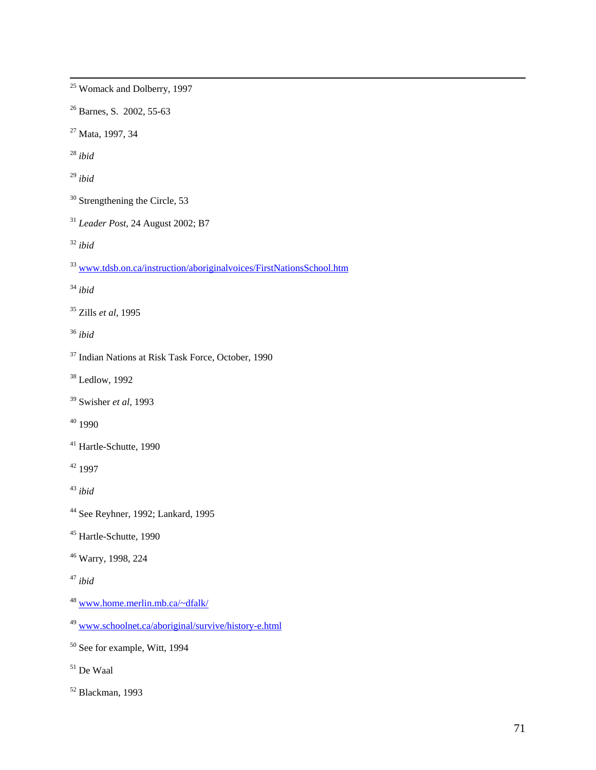<sup>26</sup> Barnes, S. 2002, 55-63 27 Mata, 1997, 34 <sup>28</sup> *ibid*  <sup>29</sup> *ibid*  30 Strengthening the Circle, 53 <sup>31</sup> *Leader Post,* 24 August 2002; B7 <sup>32</sup> *ibid*  <sup>33</sup> www.tdsb.on.ca/instruction/aboriginalvoices/FirstNationsSchool.htm <sup>34</sup> *ibid*  35 Zills *et al,* 1995 <sup>36</sup> *ibid*  37 Indian Nations at Risk Task Force, October, 1990 38 Ledlow, 1992 39 Swisher *et al*, 1993  $40$  1990 41 Hartle-Schutte, 1990 42 1997 <sup>43</sup> *ibid*  44 See Reyhner, 1992; Lankard, 1995 45 Hartle-Schutte, 1990 46 Warry, 1998, 224 <sup>47</sup> *ibid*  <sup>48</sup> www.home.merlin.mb.ca/~dfalk/ <sup>49</sup> www.schoolnet.ca/aboriginal/survive/history-e.html 50 See for example, Witt, 1994

25 Womack and Dolberry, 1997

- 51 De Waal
- 52 Blackman, 1993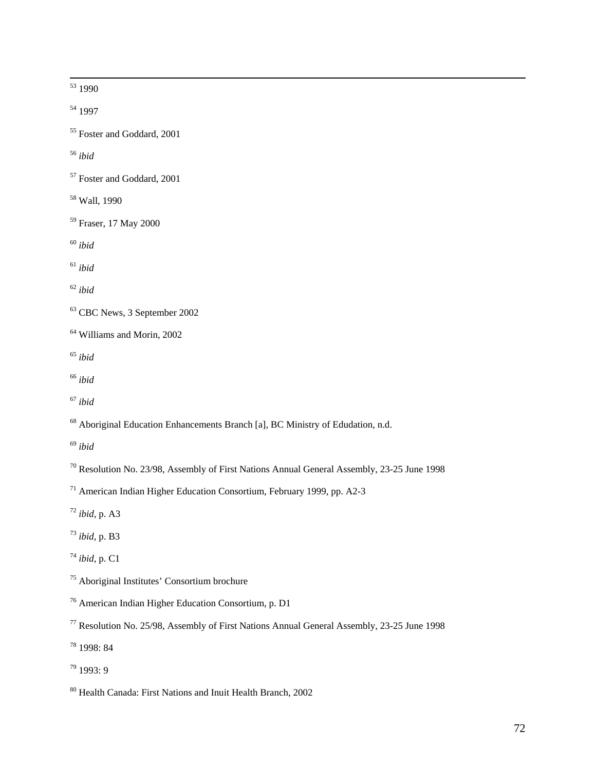53 1990

54 1997

55 Foster and Goddard, 2001

<sup>56</sup> *ibid* 

- 57 Foster and Goddard, 2001
- 58 Wall, 1990
- 59 Fraser, 17 May 2000
- <sup>60</sup> *ibid*

<sup>61</sup> *ibid* 

<sup>62</sup> *ibid* 

- 64 Williams and Morin, 2002
- <sup>65</sup> *ibid*
- <sup>66</sup> *ibid*
- <sup>67</sup> *ibid*

<sup>68</sup> Aboriginal Education Enhancements Branch [a], BC Ministry of Edudation, n.d.

- <sup>69</sup> *ibid*
- 70 Resolution No. 23/98, Assembly of First Nations Annual General Assembly, 23-25 June 1998
- 71 American Indian Higher Education Consortium, February 1999, pp. A2-3
- <sup>72</sup> *ibid,* p. A3
- <sup>73</sup> *ibid,* p. B3
- <sup>74</sup> *ibid,* p. C1
- 75 Aboriginal Institutes' Consortium brochure
- 76 American Indian Higher Education Consortium, p. D1
- 77 Resolution No. 25/98, Assembly of First Nations Annual General Assembly, 23-25 June 1998
- 78 1998: 84
- 79 1993: 9

<sup>63</sup> CBC News, 3 September 2002

<sup>80</sup> Health Canada: First Nations and Inuit Health Branch, 2002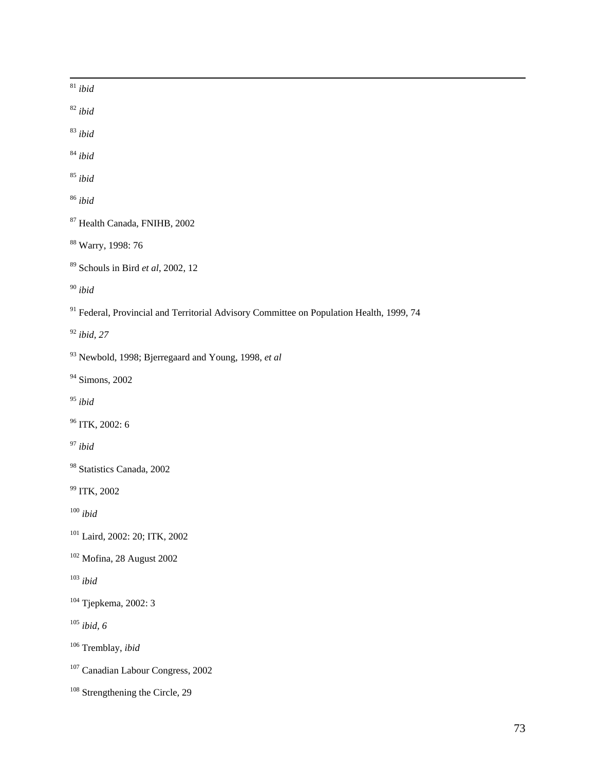| $^{\rm 81}$ ibid                                                                                    |
|-----------------------------------------------------------------------------------------------------|
| $^{\,82}$ ibid                                                                                      |
| $^{83}$ ibid                                                                                        |
| $^{84}$ ibid                                                                                        |
| $^{85}$ ibid                                                                                        |
| $^{86}$ ibid                                                                                        |
| <sup>87</sup> Health Canada, FNIHB, 2002                                                            |
| <sup>88</sup> Warry, 1998: 76                                                                       |
| $89$ Schouls in Bird et al, 2002, 12                                                                |
| $^{90}$ ibid                                                                                        |
| <sup>91</sup> Federal, Provincial and Territorial Advisory Committee on Population Health, 1999, 74 |
| $92$ ibid, 27                                                                                       |
| 93 Newbold, 1998; Bjerregaard and Young, 1998, et al                                                |
| <sup>94</sup> Simons, 2002                                                                          |
| $^{95}$ ibid                                                                                        |
| <sup>96</sup> ITK, 2002: 6                                                                          |
| $^{97}$ ibid                                                                                        |
| <sup>98</sup> Statistics Canada, 2002                                                               |
| <sup>99</sup> ITK, 2002                                                                             |
| $100$ ibid                                                                                          |
| <sup>101</sup> Laird, 2002: 20; ITK, 2002                                                           |
| $102$ Mofina, 28 August 2002                                                                        |
| $^{\rm 103}$ ibid                                                                                   |
| <sup>104</sup> Tjepkema, 2002: 3                                                                    |
| $105$ ibid, 6                                                                                       |
| $106$ Tremblay, <i>ibid</i>                                                                         |
| <sup>107</sup> Canadian Labour Congress, 2002                                                       |
| <sup>108</sup> Strengthening the Circle, 29                                                         |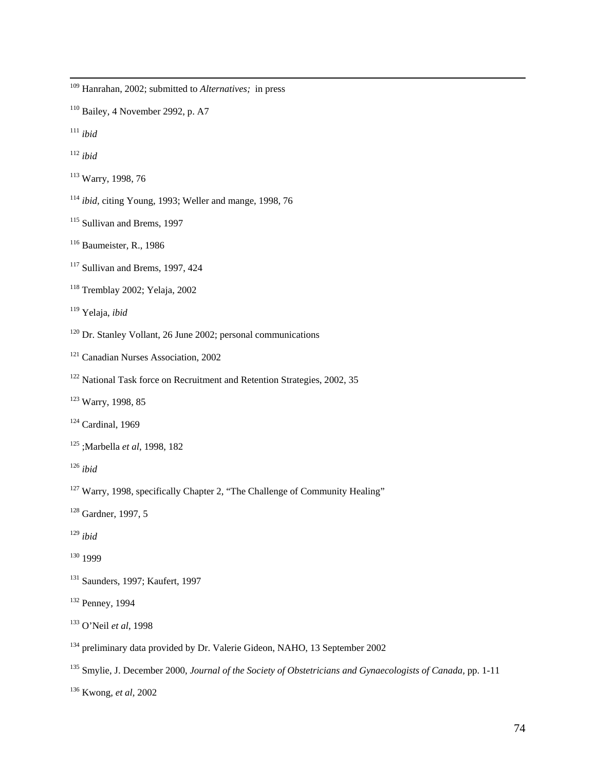109 Hanrahan, 2002; submitted to *Alternatives;* in press

 $110$  Bailey, 4 November 2992, p. A7

<sup>111</sup> *ibid* 

<sup>112</sup> *ibid* 

113 Warry, 1998, 76

<sup>114</sup> *ibid,* citing Young, 1993; Weller and mange, 1998, 76

<sup>115</sup> Sullivan and Brems, 1997

<sup>116</sup> Baumeister, R., 1986

 $117$  Sullivan and Brems, 1997, 424

118 Tremblay 2002; Yelaja, 2002

119 Yelaja, *ibid* 

 $120$  Dr. Stanley Vollant, 26 June 2002; personal communications

<sup>121</sup> Canadian Nurses Association, 2002

<sup>122</sup> National Task force on Recruitment and Retention Strategies, 2002, 35

123 Warry, 1998, 85

<sup>124</sup> Cardinal, 1969

125 ;Marbella *et al*, 1998, 182

<sup>126</sup> *ibid* 

<sup>127</sup> Warry, 1998, specifically Chapter 2, "The Challenge of Community Healing"

128 Gardner, 1997, 5

<sup>129</sup> *ibid* 

130 1999

131 Saunders, 1997; Kaufert, 1997

132 Penney, 1994

133 O'Neil *et al*, 1998

134 preliminary data provided by Dr. Valerie Gideon, NAHO, 13 September 2002

<sup>135</sup> Smylie, J. December 2000, *Journal of the Society of Obstetricians and Gynaecologists of Canada*, pp. 1-11

136 Kwong, *et al,* 2002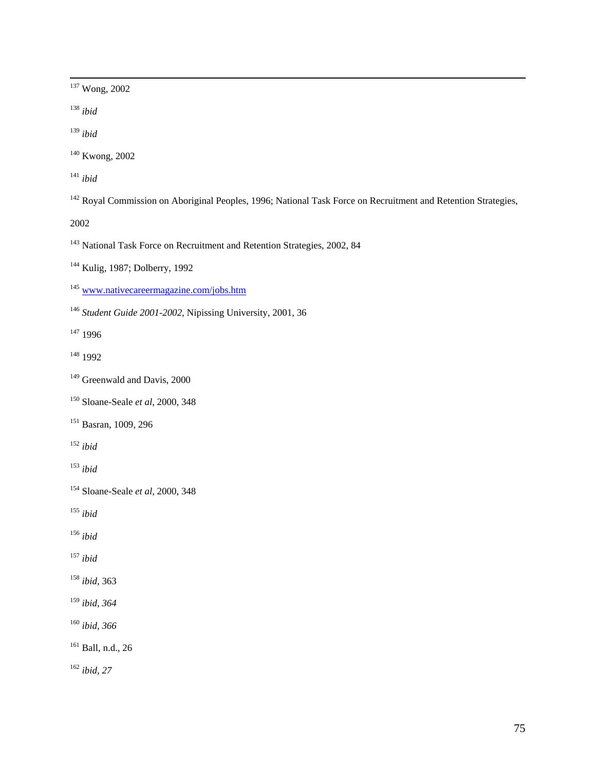137 Wong, 2002

<sup>138</sup> *ibid* 

<sup>139</sup> *ibid* 

140 Kwong, 2002

<sup>141</sup> *ibid* 

<sup>142</sup> Royal Commission on Aboriginal Peoples, 1996; National Task Force on Recruitment and Retention Strategies,

2002

<sup>143</sup> National Task Force on Recruitment and Retention Strategies, 2002, 84

144 Kulig, 1987; Dolberry, 1992

<sup>145</sup> www.nativecareermagazine.com/jobs.htm

<sup>146</sup> *Student Guide 2001-2002,* Nipissing University, 2001, 36

147 1996

148 1992

<sup>149</sup> Greenwald and Davis, 2000

150 Sloane-Seale *et al*, 2000, 348

151 Basran, 1009, 296

<sup>152</sup> *ibid* 

<sup>153</sup> *ibid* 

154 Sloane-Seale *et al,* 2000, 348

<sup>155</sup> *ibid* 

<sup>156</sup> *ibid* 

<sup>157</sup> *ibid* 

<sup>158</sup> *ibid,* 363

<sup>159</sup> *ibid, 364* 

<sup>160</sup> *ibid, 366* 

161 Ball, n.d., 26

<sup>162</sup> *ibid, 27*